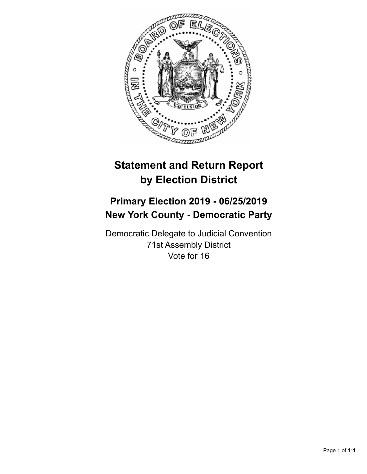

# **Statement and Return Report by Election District**

## **Primary Election 2019 - 06/25/2019 New York County - Democratic Party**

Democratic Delegate to Judicial Convention 71st Assembly District Vote for 16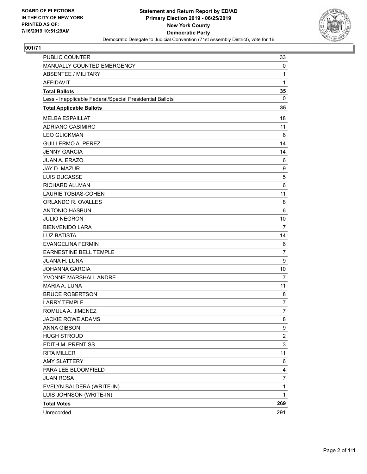

| PUBLIC COUNTER                                           | 33              |
|----------------------------------------------------------|-----------------|
| MANUALLY COUNTED EMERGENCY                               | 0               |
| <b>ABSENTEE / MILITARY</b>                               | 1               |
| AFFIDAVIT                                                | 1               |
| <b>Total Ballots</b>                                     | 35              |
| Less - Inapplicable Federal/Special Presidential Ballots | $\mathbf 0$     |
| <b>Total Applicable Ballots</b>                          | 35              |
| <b>MELBA ESPAILLAT</b>                                   | 18              |
| <b>ADRIANO CASIMIRO</b>                                  | 11              |
| <b>LEO GLICKMAN</b>                                      | 6               |
| <b>GUILLERMO A. PEREZ</b>                                | 14              |
| <b>JENNY GARCIA</b>                                      | 14              |
| JUAN A. ERAZO                                            | 6               |
| JAY D. MAZUR                                             | 9               |
| LUIS DUCASSE                                             | 5               |
| <b>RICHARD ALLMAN</b>                                    | $6\phantom{1}6$ |
| <b>LAURIE TOBIAS-COHEN</b>                               | 11              |
| ORLANDO R. OVALLES                                       | 8               |
| <b>ANTONIO HASBUN</b>                                    | 6               |
| <b>JULIO NEGRON</b>                                      | 10              |
| <b>BIENVENIDO LARA</b>                                   | $\overline{7}$  |
| <b>LUZ BATISTA</b>                                       | 14              |
| <b>EVANGELINA FERMIN</b>                                 | 6               |
| <b>EARNESTINE BELL TEMPLE</b>                            | $\overline{7}$  |
| JUANA H. LUNA                                            | 9               |
| <b>JOHANNA GARCIA</b>                                    | 10              |
| YVONNE MARSHALL ANDRE                                    | $\overline{7}$  |
| MARIA A. LUNA                                            | 11              |
| <b>BRUCE ROBERTSON</b>                                   | 8               |
| <b>LARRY TEMPLE</b>                                      | $\overline{7}$  |
| ROMULA A. JIMENEZ                                        | $\overline{7}$  |
| <b>JACKIE ROWE ADAMS</b>                                 | 8               |
| <b>ANNA GIBSON</b>                                       | 9               |
| <b>HUGH STROUD</b>                                       | $\overline{c}$  |
| EDITH M. PRENTISS                                        | 3               |
| <b>RITA MILLER</b>                                       | 11              |
| <b>AMY SLATTERY</b>                                      | 6               |
| PARA LEE BLOOMFIELD                                      | 4               |
| <b>JUAN ROSA</b>                                         | 7               |
| EVELYN BALDERA (WRITE-IN)                                | 1               |
| LUIS JOHNSON (WRITE-IN)                                  | 1               |
| <b>Total Votes</b>                                       | 269             |
| Unrecorded                                               | 291             |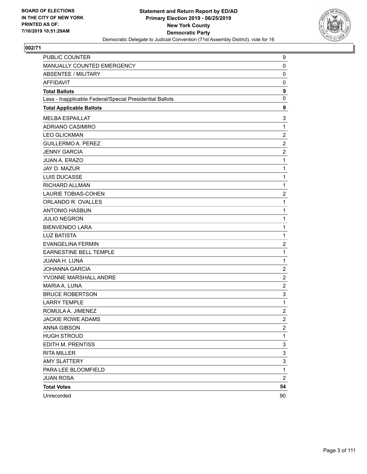

| PUBLIC COUNTER                                           | 9                       |
|----------------------------------------------------------|-------------------------|
| MANUALLY COUNTED EMERGENCY                               | 0                       |
| <b>ABSENTEE / MILITARY</b>                               | $\mathbf 0$             |
| <b>AFFIDAVIT</b>                                         | 0                       |
| <b>Total Ballots</b>                                     | 9                       |
| Less - Inapplicable Federal/Special Presidential Ballots | 0                       |
| <b>Total Applicable Ballots</b>                          | 9                       |
| <b>MELBA ESPAILLAT</b>                                   | 3                       |
| ADRIANO CASIMIRO                                         | $\mathbf{1}$            |
| <b>LEO GLICKMAN</b>                                      | $\overline{c}$          |
| <b>GUILLERMO A. PEREZ</b>                                | $\overline{c}$          |
| <b>JENNY GARCIA</b>                                      | $\overline{c}$          |
| JUAN A. ERAZO                                            | $\mathbf{1}$            |
| JAY D. MAZUR                                             | $\mathbf{1}$            |
| LUIS DUCASSE                                             | $\mathbf 1$             |
| RICHARD ALLMAN                                           | $\mathbf{1}$            |
| <b>LAURIE TOBIAS-COHEN</b>                               | $\overline{\mathbf{c}}$ |
| ORLANDO R. OVALLES                                       | $\mathbf{1}$            |
| <b>ANTONIO HASBUN</b>                                    | $\mathbf{1}$            |
| <b>JULIO NEGRON</b>                                      | $\mathbf{1}$            |
| <b>BIENVENIDO LARA</b>                                   | $\mathbf 1$             |
| <b>LUZ BATISTA</b>                                       | $\mathbf{1}$            |
| <b>EVANGELINA FERMIN</b>                                 | $\overline{\mathbf{c}}$ |
| EARNESTINE BELL TEMPLE                                   | $\mathbf 1$             |
| <b>JUANA H. LUNA</b>                                     | $\mathbf{1}$            |
| <b>JOHANNA GARCIA</b>                                    | $\overline{\mathbf{c}}$ |
| YVONNE MARSHALL ANDRE                                    | $\overline{c}$          |
| MARIA A. LUNA                                            | $\overline{c}$          |
| <b>BRUCE ROBERTSON</b>                                   | 3                       |
| <b>LARRY TEMPLE</b>                                      | $\mathbf{1}$            |
| ROMULA A. JIMENEZ                                        | $\overline{c}$          |
| <b>JACKIE ROWE ADAMS</b>                                 | $\overline{2}$          |
| <b>ANNA GIBSON</b>                                       | $\overline{\mathbf{c}}$ |
| <b>HUGH STROUD</b>                                       | 1                       |
| EDITH M. PRENTISS                                        | 3                       |
| <b>RITA MILLER</b>                                       | 3                       |
| <b>AMY SLATTERY</b>                                      | 3                       |
| PARA LEE BLOOMFIELD                                      | $\mathbf 1$             |
| <b>JUAN ROSA</b>                                         | $\overline{2}$          |
| <b>Total Votes</b>                                       | 54                      |
| Unrecorded                                               | 90                      |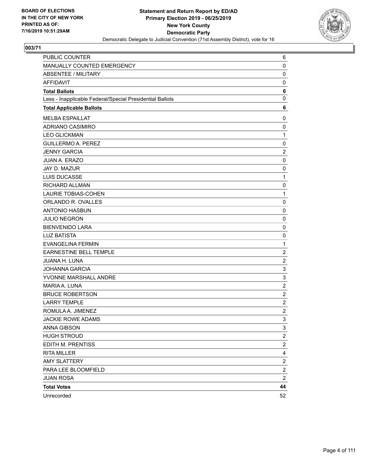

| PUBLIC COUNTER                                           | 6                       |
|----------------------------------------------------------|-------------------------|
| MANUALLY COUNTED EMERGENCY                               | 0                       |
| <b>ABSENTEE / MILITARY</b>                               | $\mathbf 0$             |
| <b>AFFIDAVIT</b>                                         | 0                       |
| <b>Total Ballots</b>                                     | 6                       |
| Less - Inapplicable Federal/Special Presidential Ballots | 0                       |
| <b>Total Applicable Ballots</b>                          | 6                       |
| <b>MELBA ESPAILLAT</b>                                   | 0                       |
| ADRIANO CASIMIRO                                         | 0                       |
| <b>LEO GLICKMAN</b>                                      | $\mathbf{1}$            |
| <b>GUILLERMO A. PEREZ</b>                                | 0                       |
| <b>JENNY GARCIA</b>                                      | $\overline{c}$          |
| JUAN A. ERAZO                                            | $\mathbf 0$             |
| JAY D. MAZUR                                             | 0                       |
| LUIS DUCASSE                                             | $\mathbf 1$             |
| RICHARD ALLMAN                                           | 0                       |
| <b>LAURIE TOBIAS-COHEN</b>                               | $\mathbf{1}$            |
| ORLANDO R. OVALLES                                       | 0                       |
| <b>ANTONIO HASBUN</b>                                    | $\mathbf 0$             |
| <b>JULIO NEGRON</b>                                      | 0                       |
| <b>BIENVENIDO LARA</b>                                   | 0                       |
| <b>LUZ BATISTA</b>                                       | 0                       |
| <b>EVANGELINA FERMIN</b>                                 | $\mathbf{1}$            |
| EARNESTINE BELL TEMPLE                                   | $\overline{c}$          |
| <b>JUANA H. LUNA</b>                                     | $\overline{c}$          |
| <b>JOHANNA GARCIA</b>                                    | 3                       |
| YVONNE MARSHALL ANDRE                                    | 3                       |
| MARIA A. LUNA                                            | $\overline{c}$          |
| <b>BRUCE ROBERTSON</b>                                   | $\overline{c}$          |
| <b>LARRY TEMPLE</b>                                      | $\overline{c}$          |
| ROMULA A. JIMENEZ                                        | $\overline{c}$          |
| <b>JACKIE ROWE ADAMS</b>                                 | 3                       |
| ANNA GIBSON                                              | 3                       |
| <b>HUGH STROUD</b>                                       | $\overline{\mathbf{c}}$ |
| EDITH M. PRENTISS                                        | $\overline{\mathbf{c}}$ |
| <b>RITA MILLER</b>                                       | 4                       |
| <b>AMY SLATTERY</b>                                      | $\overline{c}$          |
| PARA LEE BLOOMFIELD                                      | $\overline{\mathbf{c}}$ |
| <b>JUAN ROSA</b>                                         | $\overline{2}$          |
| <b>Total Votes</b>                                       | 44                      |
| Unrecorded                                               | 52                      |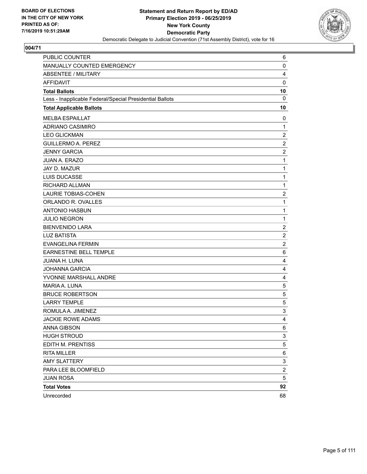

| PUBLIC COUNTER                                           | 6                |
|----------------------------------------------------------|------------------|
| MANUALLY COUNTED EMERGENCY                               | 0                |
| <b>ABSENTEE / MILITARY</b>                               | 4                |
| <b>AFFIDAVIT</b>                                         | $\mathbf 0$      |
| <b>Total Ballots</b>                                     | 10               |
| Less - Inapplicable Federal/Special Presidential Ballots | 0                |
| <b>Total Applicable Ballots</b>                          | 10               |
| <b>MELBA ESPAILLAT</b>                                   | 0                |
| ADRIANO CASIMIRO                                         | $\mathbf{1}$     |
| <b>LEO GLICKMAN</b>                                      | $\overline{c}$   |
| <b>GUILLERMO A. PEREZ</b>                                | $\overline{2}$   |
| <b>JENNY GARCIA</b>                                      | $\overline{c}$   |
| <b>JUAN A. ERAZO</b>                                     | $\mathbf{1}$     |
| JAY D. MAZUR                                             | $\mathbf{1}$     |
| LUIS DUCASSE                                             | $\mathbf{1}$     |
| RICHARD ALLMAN                                           | $\mathbf{1}$     |
| <b>LAURIE TOBIAS-COHEN</b>                               | $\overline{2}$   |
| ORLANDO R. OVALLES                                       | $\mathbf{1}$     |
| <b>ANTONIO HASBUN</b>                                    | $\mathbf{1}$     |
| <b>JULIO NEGRON</b>                                      | $\mathbf{1}$     |
| <b>BIENVENIDO LARA</b>                                   | $\overline{c}$   |
| <b>LUZ BATISTA</b>                                       | $\boldsymbol{2}$ |
| <b>EVANGELINA FERMIN</b>                                 | $\overline{2}$   |
| EARNESTINE BELL TEMPLE                                   | 6                |
| JUANA H. LUNA                                            | 4                |
| <b>JOHANNA GARCIA</b>                                    | 4                |
| YVONNE MARSHALL ANDRE                                    | 4                |
| MARIA A. LUNA                                            | 5                |
| <b>BRUCE ROBERTSON</b>                                   | 5                |
| <b>LARRY TEMPLE</b>                                      | 5                |
| ROMULA A. JIMENEZ                                        | 3                |
| <b>JACKIE ROWE ADAMS</b>                                 | $\overline{4}$   |
| ANNA GIBSON                                              | 6                |
| <b>HUGH STROUD</b>                                       | 3                |
| EDITH M. PRENTISS                                        | 5                |
| <b>RITA MILLER</b>                                       | 6                |
| <b>AMY SLATTERY</b>                                      | 3                |
| PARA LEE BLOOMFIELD                                      | $\overline{c}$   |
| <b>JUAN ROSA</b>                                         | 5                |
| <b>Total Votes</b>                                       | 92               |
| Unrecorded                                               | 68               |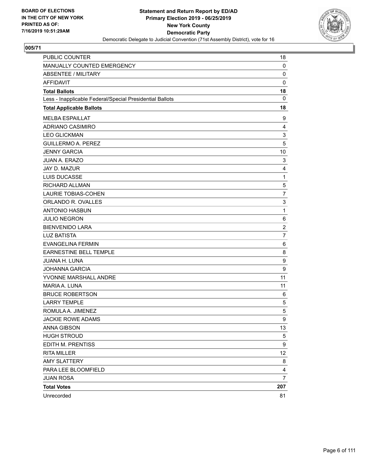

| PUBLIC COUNTER                                           | 18               |
|----------------------------------------------------------|------------------|
| MANUALLY COUNTED EMERGENCY                               | 0                |
| <b>ABSENTEE / MILITARY</b>                               | $\mathbf 0$      |
| AFFIDAVIT                                                | 0                |
| <b>Total Ballots</b>                                     | 18               |
| Less - Inapplicable Federal/Special Presidential Ballots | $\mathbf 0$      |
| <b>Total Applicable Ballots</b>                          | 18               |
| <b>MELBA ESPAILLAT</b>                                   | 9                |
| ADRIANO CASIMIRO                                         | 4                |
| <b>LEO GLICKMAN</b>                                      | 3                |
| <b>GUILLERMO A. PEREZ</b>                                | 5                |
| <b>JENNY GARCIA</b>                                      | 10               |
| JUAN A. ERAZO                                            | 3                |
| JAY D. MAZUR                                             | 4                |
| LUIS DUCASSE                                             | 1                |
| <b>RICHARD ALLMAN</b>                                    | 5                |
| <b>LAURIE TOBIAS-COHEN</b>                               | $\overline{7}$   |
| ORLANDO R. OVALLES                                       | 3                |
| <b>ANTONIO HASBUN</b>                                    | $\mathbf{1}$     |
| <b>JULIO NEGRON</b>                                      | 6                |
| <b>BIENVENIDO LARA</b>                                   | $\overline{2}$   |
| <b>LUZ BATISTA</b>                                       | $\overline{7}$   |
| <b>EVANGELINA FERMIN</b>                                 | 6                |
| <b>EARNESTINE BELL TEMPLE</b>                            | 8                |
| JUANA H. LUNA                                            | $\boldsymbol{9}$ |
| <b>JOHANNA GARCIA</b>                                    | 9                |
| YVONNE MARSHALL ANDRE                                    | 11               |
| MARIA A. LUNA                                            | 11               |
| <b>BRUCE ROBERTSON</b>                                   | 6                |
| <b>LARRY TEMPLE</b>                                      | 5                |
| ROMULA A. JIMENEZ                                        | 5                |
| <b>JACKIE ROWE ADAMS</b>                                 | 9                |
| ANNA GIBSON                                              | 13               |
| <b>HUGH STROUD</b>                                       | 5                |
| EDITH M. PRENTISS                                        | 9                |
| <b>RITA MILLER</b>                                       | 12               |
| <b>AMY SLATTERY</b>                                      | 8                |
| PARA LEE BLOOMFIELD                                      | 4                |
| <b>JUAN ROSA</b>                                         | $\overline{7}$   |
| <b>Total Votes</b>                                       | 207              |
| Unrecorded                                               | 81               |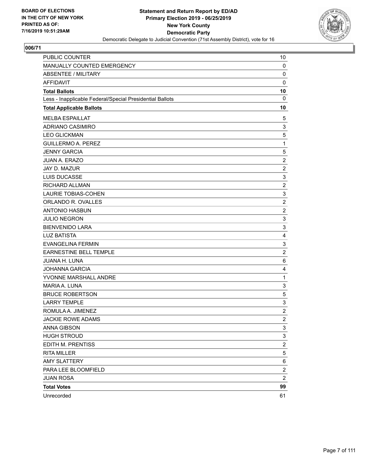

| PUBLIC COUNTER                                           | 10                      |
|----------------------------------------------------------|-------------------------|
| MANUALLY COUNTED EMERGENCY                               | 0                       |
| <b>ABSENTEE / MILITARY</b>                               | $\mathbf 0$             |
| AFFIDAVIT                                                | 0                       |
| <b>Total Ballots</b>                                     | 10                      |
| Less - Inapplicable Federal/Special Presidential Ballots | $\mathbf 0$             |
| <b>Total Applicable Ballots</b>                          | 10                      |
| <b>MELBA ESPAILLAT</b>                                   | 5                       |
| ADRIANO CASIMIRO                                         | 3                       |
| <b>LEO GLICKMAN</b>                                      | 5                       |
| <b>GUILLERMO A. PEREZ</b>                                | 1                       |
| <b>JENNY GARCIA</b>                                      | 5                       |
| JUAN A. ERAZO                                            | $\overline{c}$          |
| JAY D. MAZUR                                             | $\overline{c}$          |
| LUIS DUCASSE                                             | 3                       |
| RICHARD ALLMAN                                           | $\overline{c}$          |
| <b>LAURIE TOBIAS-COHEN</b>                               | 3                       |
| ORLANDO R. OVALLES                                       | $\overline{2}$          |
| <b>ANTONIO HASBUN</b>                                    | $\overline{c}$          |
| <b>JULIO NEGRON</b>                                      | 3                       |
| <b>BIENVENIDO LARA</b>                                   | 3                       |
| <b>LUZ BATISTA</b>                                       | 4                       |
| <b>EVANGELINA FERMIN</b>                                 | 3                       |
| <b>EARNESTINE BELL TEMPLE</b>                            | $\overline{2}$          |
| JUANA H. LUNA                                            | 6                       |
| <b>JOHANNA GARCIA</b>                                    | 4                       |
| YVONNE MARSHALL ANDRE                                    | $\mathbf{1}$            |
| MARIA A. LUNA                                            | 3                       |
| <b>BRUCE ROBERTSON</b>                                   | 5                       |
| <b>LARRY TEMPLE</b>                                      | 3                       |
| ROMULA A. JIMENEZ                                        | $\overline{c}$          |
| <b>JACKIE ROWE ADAMS</b>                                 | $\overline{2}$          |
| ANNA GIBSON                                              | 3                       |
| <b>HUGH STROUD</b>                                       | 3                       |
| EDITH M. PRENTISS                                        | $\overline{\mathbf{c}}$ |
| <b>RITA MILLER</b>                                       | 5                       |
| <b>AMY SLATTERY</b>                                      | 6                       |
| PARA LEE BLOOMFIELD                                      | $\overline{\mathbf{c}}$ |
| <b>JUAN ROSA</b>                                         | $\overline{c}$          |
| <b>Total Votes</b>                                       | 99                      |
| Unrecorded                                               | 61                      |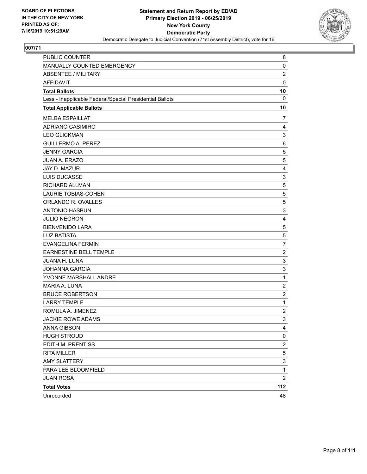

| PUBLIC COUNTER                                           | 8                       |
|----------------------------------------------------------|-------------------------|
| MANUALLY COUNTED EMERGENCY                               | 0                       |
| <b>ABSENTEE / MILITARY</b>                               | $\overline{c}$          |
| <b>AFFIDAVIT</b>                                         | 0                       |
| <b>Total Ballots</b>                                     | 10                      |
| Less - Inapplicable Federal/Special Presidential Ballots | 0                       |
| <b>Total Applicable Ballots</b>                          | 10                      |
| <b>MELBA ESPAILLAT</b>                                   | 7                       |
| ADRIANO CASIMIRO                                         | $\overline{4}$          |
| <b>LEO GLICKMAN</b>                                      | 3                       |
| <b>GUILLERMO A. PEREZ</b>                                | 6                       |
| <b>JENNY GARCIA</b>                                      | 5                       |
| <b>JUAN A. ERAZO</b>                                     | 5                       |
| JAY D. MAZUR                                             | 4                       |
| LUIS DUCASSE                                             | 3                       |
| RICHARD ALLMAN                                           | 5                       |
| <b>LAURIE TOBIAS-COHEN</b>                               | 5                       |
| ORLANDO R. OVALLES                                       | 5                       |
| <b>ANTONIO HASBUN</b>                                    | 3                       |
| <b>JULIO NEGRON</b>                                      | 4                       |
| <b>BIENVENIDO LARA</b>                                   | 5                       |
| <b>LUZ BATISTA</b>                                       | 5                       |
| <b>EVANGELINA FERMIN</b>                                 | 7                       |
| <b>EARNESTINE BELL TEMPLE</b>                            | $\overline{c}$          |
| <b>JUANA H. LUNA</b>                                     | 3                       |
| <b>JOHANNA GARCIA</b>                                    | 3                       |
| YVONNE MARSHALL ANDRE                                    | 1                       |
| MARIA A. LUNA                                            | $\overline{c}$          |
| <b>BRUCE ROBERTSON</b>                                   | 2                       |
| <b>LARRY TEMPLE</b>                                      | $\mathbf{1}$            |
| ROMULA A. JIMENEZ                                        | $\overline{\mathbf{c}}$ |
| <b>JACKIE ROWE ADAMS</b>                                 | 3                       |
| <b>ANNA GIBSON</b>                                       | 4                       |
| <b>HUGH STROUD</b>                                       | 0                       |
| EDITH M. PRENTISS                                        | 2                       |
| <b>RITA MILLER</b>                                       | 5                       |
| <b>AMY SLATTERY</b>                                      | 3                       |
| PARA LEE BLOOMFIELD                                      | 1                       |
| <b>JUAN ROSA</b>                                         | 2                       |
| <b>Total Votes</b>                                       | 112                     |
| Unrecorded                                               | 48                      |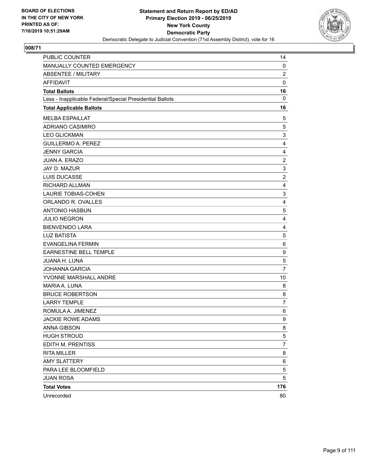

| PUBLIC COUNTER                                           | 14             |
|----------------------------------------------------------|----------------|
| MANUALLY COUNTED EMERGENCY                               | 0              |
| <b>ABSENTEE / MILITARY</b>                               | $\overline{c}$ |
| <b>AFFIDAVIT</b>                                         | 0              |
| <b>Total Ballots</b>                                     | 16             |
| Less - Inapplicable Federal/Special Presidential Ballots | $\mathbf 0$    |
| <b>Total Applicable Ballots</b>                          | 16             |
| <b>MELBA ESPAILLAT</b>                                   | 5              |
| ADRIANO CASIMIRO                                         | 5              |
| <b>LEO GLICKMAN</b>                                      | 3              |
| <b>GUILLERMO A. PEREZ</b>                                | 4              |
| <b>JENNY GARCIA</b>                                      | $\overline{4}$ |
| JUAN A. ERAZO                                            | $\overline{c}$ |
| JAY D. MAZUR                                             | 3              |
| LUIS DUCASSE                                             | $\overline{2}$ |
| RICHARD ALLMAN                                           | 4              |
| <b>LAURIE TOBIAS-COHEN</b>                               | 3              |
| ORLANDO R. OVALLES                                       | $\overline{4}$ |
| <b>ANTONIO HASBUN</b>                                    | 5              |
| <b>JULIO NEGRON</b>                                      | 4              |
| <b>BIENVENIDO LARA</b>                                   | $\overline{4}$ |
| <b>LUZ BATISTA</b>                                       | 5              |
| <b>EVANGELINA FERMIN</b>                                 | 6              |
| <b>EARNESTINE BELL TEMPLE</b>                            | 9              |
| JUANA H. LUNA                                            | 5              |
| <b>JOHANNA GARCIA</b>                                    | 7              |
| YVONNE MARSHALL ANDRE                                    | 10             |
| MARIA A. LUNA                                            | 8              |
| <b>BRUCE ROBERTSON</b>                                   | 8              |
| <b>LARRY TEMPLE</b>                                      | $\overline{7}$ |
| ROMULA A. JIMENEZ                                        | 6              |
| <b>JACKIE ROWE ADAMS</b>                                 | 9              |
| ANNA GIBSON                                              | 8              |
| <b>HUGH STROUD</b>                                       | 5              |
| EDITH M. PRENTISS                                        | 7              |
| <b>RITA MILLER</b>                                       | 8              |
| <b>AMY SLATTERY</b>                                      | 6              |
| PARA LEE BLOOMFIELD                                      | 5              |
| <b>JUAN ROSA</b>                                         | 5              |
| <b>Total Votes</b>                                       | 176            |
| Unrecorded                                               | 80             |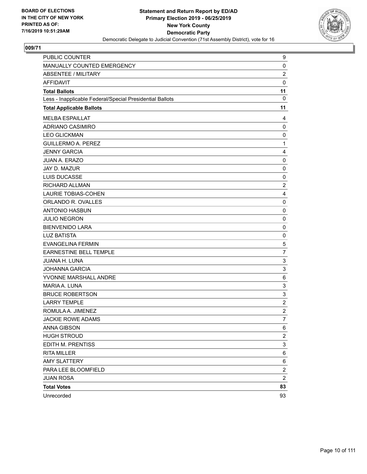

| PUBLIC COUNTER                                           | 9                         |
|----------------------------------------------------------|---------------------------|
| MANUALLY COUNTED EMERGENCY                               | 0                         |
| <b>ABSENTEE / MILITARY</b>                               | $\overline{c}$            |
| <b>AFFIDAVIT</b>                                         | 0                         |
| <b>Total Ballots</b>                                     | 11                        |
| Less - Inapplicable Federal/Special Presidential Ballots | $\Omega$                  |
| <b>Total Applicable Ballots</b>                          | 11                        |
| <b>MELBA ESPAILLAT</b>                                   | 4                         |
| ADRIANO CASIMIRO                                         | 0                         |
| <b>LEO GLICKMAN</b>                                      | 0                         |
| <b>GUILLERMO A. PEREZ</b>                                | $\mathbf{1}$              |
| <b>JENNY GARCIA</b>                                      | 4                         |
| JUAN A. ERAZO                                            | 0                         |
| JAY D. MAZUR                                             | 0                         |
| LUIS DUCASSE                                             | 0                         |
| RICHARD ALLMAN                                           | $\overline{c}$            |
| LAURIE TOBIAS-COHEN                                      | 4                         |
| ORLANDO R. OVALLES                                       | 0                         |
| <b>ANTONIO HASBUN</b>                                    | 0                         |
| <b>JULIO NEGRON</b>                                      | 0                         |
| <b>BIENVENIDO LARA</b>                                   | 0                         |
| <b>LUZ BATISTA</b>                                       | 0                         |
| <b>EVANGELINA FERMIN</b>                                 | 5                         |
| EARNESTINE BELL TEMPLE                                   | $\overline{7}$            |
| <b>JUANA H. LUNA</b>                                     | $\ensuremath{\mathsf{3}}$ |
| <b>JOHANNA GARCIA</b>                                    | 3                         |
| YVONNE MARSHALL ANDRE                                    | 6                         |
| MARIA A. LUNA                                            | 3                         |
| <b>BRUCE ROBERTSON</b>                                   | 3                         |
| <b>LARRY TEMPLE</b>                                      | $\overline{c}$            |
| ROMULA A. JIMENEZ                                        | $\overline{c}$            |
| <b>JACKIE ROWE ADAMS</b>                                 | 7                         |
| <b>ANNA GIBSON</b>                                       | 6                         |
| <b>HUGH STROUD</b>                                       | $\overline{c}$            |
| EDITH M. PRENTISS                                        | 3                         |
| <b>RITA MILLER</b>                                       | 6                         |
| <b>AMY SLATTERY</b>                                      | 6                         |
| PARA LEE BLOOMFIELD                                      | $\overline{\mathbf{c}}$   |
| <b>JUAN ROSA</b>                                         | $\overline{c}$            |
| <b>Total Votes</b>                                       | 83                        |
| Unrecorded                                               | 93                        |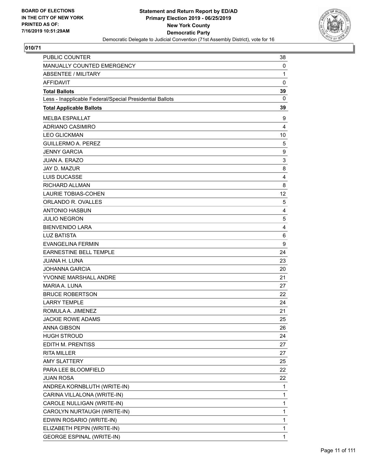

| <b>PUBLIC COUNTER</b>                                    | 38           |
|----------------------------------------------------------|--------------|
| MANUALLY COUNTED EMERGENCY                               | 0            |
| <b>ABSENTEE / MILITARY</b>                               | 1            |
| <b>AFFIDAVIT</b>                                         | $\mathbf 0$  |
| <b>Total Ballots</b>                                     | 39           |
| Less - Inapplicable Federal/Special Presidential Ballots | $\mathbf{0}$ |
| <b>Total Applicable Ballots</b>                          | 39           |
| <b>MELBA ESPAILLAT</b>                                   | 9            |
| ADRIANO CASIMIRO                                         | 4            |
| <b>LEO GLICKMAN</b>                                      | 10           |
| <b>GUILLERMO A. PEREZ</b>                                | 5            |
| <b>JENNY GARCIA</b>                                      | 9            |
| <b>JUAN A. ERAZO</b>                                     | 3            |
| JAY D. MAZUR                                             | 8            |
| <b>LUIS DUCASSE</b>                                      | 4            |
| RICHARD ALLMAN                                           | 8            |
| <b>LAURIE TOBIAS-COHEN</b>                               | 12           |
| ORLANDO R. OVALLES                                       | 5            |
| <b>ANTONIO HASBUN</b>                                    | 4            |
| <b>JULIO NEGRON</b>                                      | 5            |
| <b>BIENVENIDO LARA</b>                                   | 4            |
| <b>LUZ BATISTA</b>                                       | 6            |
| <b>EVANGELINA FERMIN</b>                                 | 9            |
| EARNESTINE BELL TEMPLE                                   | 24           |
| <b>JUANA H. LUNA</b>                                     | 23           |
| <b>JOHANNA GARCIA</b>                                    | 20           |
| YVONNE MARSHALL ANDRE                                    | 21           |
| MARIA A. LUNA                                            | 27           |
| <b>BRUCE ROBERTSON</b>                                   | 22           |
| <b>LARRY TEMPLE</b>                                      | 24           |
| ROMULA A. JIMENEZ                                        | 21           |
| <b>JACKIE ROWE ADAMS</b>                                 | 25           |
| <b>ANNA GIBSON</b>                                       | 26           |
| <b>HUGH STROUD</b>                                       | 24           |
| EDITH M. PRENTISS                                        | 27           |
| <b>RITA MILLER</b>                                       | 27           |
| <b>AMY SLATTERY</b>                                      | 25           |
| PARA LEE BLOOMFIELD                                      | 22           |
| <b>JUAN ROSA</b>                                         | 22           |
| ANDREA KORNBLUTH (WRITE-IN)                              | 1            |
| CARINA VILLALONA (WRITE-IN)                              | 1            |
| CAROLE NULLIGAN (WRITE-IN)                               | 1            |
| CAROLYN NURTAUGH (WRITE-IN)                              | 1            |
| EDWIN ROSARIO (WRITE-IN)                                 | 1            |
| ELIZABETH PEPIN (WRITE-IN)                               | 1            |
| <b>GEORGE ESPINAL (WRITE-IN)</b>                         | $\mathbf{1}$ |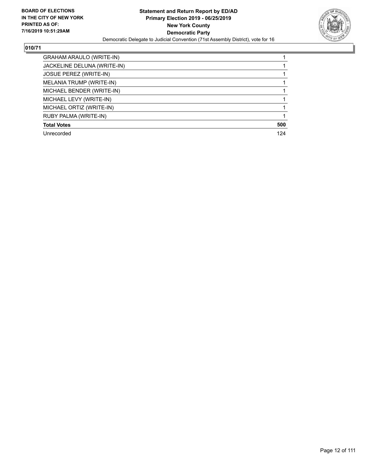

| <b>GRAHAM ARAULO (WRITE-IN)</b> |     |
|---------------------------------|-----|
| JACKELINE DELUNA (WRITE-IN)     |     |
| <b>JOSUE PEREZ (WRITE-IN)</b>   |     |
| MELANIA TRUMP (WRITE-IN)        |     |
| MICHAEL BENDER (WRITE-IN)       |     |
| MICHAEL LEVY (WRITE-IN)         |     |
| MICHAEL ORTIZ (WRITE-IN)        |     |
| RUBY PALMA (WRITE-IN)           |     |
| <b>Total Votes</b>              | 500 |
| Unrecorded                      | 124 |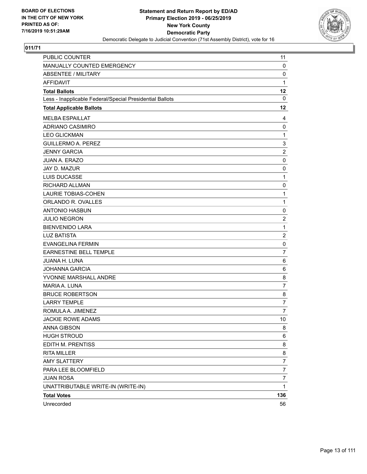

| PUBLIC COUNTER                                           | 11             |
|----------------------------------------------------------|----------------|
| MANUALLY COUNTED EMERGENCY                               | 0              |
| <b>ABSENTEE / MILITARY</b>                               | 0              |
| <b>AFFIDAVIT</b>                                         | $\mathbf{1}$   |
| <b>Total Ballots</b>                                     | 12             |
| Less - Inapplicable Federal/Special Presidential Ballots | 0              |
| <b>Total Applicable Ballots</b>                          | 12             |
| <b>MELBA ESPAILLAT</b>                                   | 4              |
| <b>ADRIANO CASIMIRO</b>                                  | 0              |
| <b>LEO GLICKMAN</b>                                      | 1              |
| <b>GUILLERMO A. PEREZ</b>                                | 3              |
| <b>JENNY GARCIA</b>                                      | $\overline{c}$ |
| JUAN A. ERAZO                                            | 0              |
| JAY D. MAZUR                                             | 0              |
| LUIS DUCASSE                                             | $\mathbf{1}$   |
| <b>RICHARD ALLMAN</b>                                    | 0              |
| <b>LAURIE TOBIAS-COHEN</b>                               | 1              |
| ORLANDO R. OVALLES                                       | $\mathbf{1}$   |
| <b>ANTONIO HASBUN</b>                                    | 0              |
| <b>JULIO NEGRON</b>                                      | $\overline{c}$ |
| <b>BIENVENIDO LARA</b>                                   | $\mathbf{1}$   |
| <b>LUZ BATISTA</b>                                       | $\overline{c}$ |
| <b>EVANGELINA FERMIN</b>                                 | 0              |
| <b>EARNESTINE BELL TEMPLE</b>                            | $\overline{7}$ |
| JUANA H. LUNA                                            | 6              |
| <b>JOHANNA GARCIA</b>                                    | 6              |
| YVONNE MARSHALL ANDRE                                    | 8              |
| MARIA A. LUNA                                            | 7              |
| <b>BRUCE ROBERTSON</b>                                   | 8              |
| <b>LARRY TEMPLE</b>                                      | $\overline{7}$ |
| ROMULA A. JIMENEZ                                        | $\overline{7}$ |
| JACKIE ROWE ADAMS                                        | 10             |
| <b>ANNA GIBSON</b>                                       | 8              |
| <b>HUGH STROUD</b>                                       | 6              |
| EDITH M. PRENTISS                                        | 8              |
| <b>RITA MILLER</b>                                       | 8              |
| <b>AMY SLATTERY</b>                                      | 7              |
| PARA LEE BLOOMFIELD                                      | $\overline{7}$ |
| <b>JUAN ROSA</b>                                         | $\overline{7}$ |
| UNATTRIBUTABLE WRITE-IN (WRITE-IN)                       | 1              |
| <b>Total Votes</b>                                       | 136            |
| Unrecorded                                               | 56             |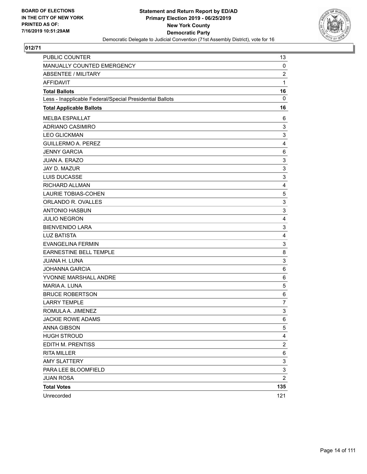

| PUBLIC COUNTER                                           | 13                      |
|----------------------------------------------------------|-------------------------|
| MANUALLY COUNTED EMERGENCY                               | 0                       |
| <b>ABSENTEE / MILITARY</b>                               | $\overline{c}$          |
| AFFIDAVIT                                                | 1                       |
| <b>Total Ballots</b>                                     | 16                      |
| Less - Inapplicable Federal/Special Presidential Ballots | $\mathbf 0$             |
| <b>Total Applicable Ballots</b>                          | 16                      |
| <b>MELBA ESPAILLAT</b>                                   | 6                       |
| <b>ADRIANO CASIMIRO</b>                                  | 3                       |
| <b>LEO GLICKMAN</b>                                      | 3                       |
| <b>GUILLERMO A. PEREZ</b>                                | 4                       |
| <b>JENNY GARCIA</b>                                      | 6                       |
| JUAN A. ERAZO                                            | 3                       |
| JAY D. MAZUR                                             | 3                       |
| LUIS DUCASSE                                             | 3                       |
| RICHARD ALLMAN                                           | $\overline{4}$          |
| <b>LAURIE TOBIAS-COHEN</b>                               | 5                       |
| ORLANDO R. OVALLES                                       | 3                       |
| <b>ANTONIO HASBUN</b>                                    | 3                       |
| <b>JULIO NEGRON</b>                                      | 4                       |
| <b>BIENVENIDO LARA</b>                                   | 3                       |
| <b>LUZ BATISTA</b>                                       | $\overline{4}$          |
| <b>EVANGELINA FERMIN</b>                                 | 3                       |
| <b>EARNESTINE BELL TEMPLE</b>                            | 8                       |
| JUANA H. LUNA                                            | 3                       |
| <b>JOHANNA GARCIA</b>                                    | 6                       |
| YVONNE MARSHALL ANDRE                                    | 6                       |
| MARIA A. LUNA                                            | 5                       |
| <b>BRUCE ROBERTSON</b>                                   | 6                       |
| <b>LARRY TEMPLE</b>                                      | $\overline{7}$          |
| ROMULA A. JIMENEZ                                        | 3                       |
| <b>JACKIE ROWE ADAMS</b>                                 | 6                       |
| ANNA GIBSON                                              | 5                       |
| <b>HUGH STROUD</b>                                       | 4                       |
| EDITH M. PRENTISS                                        | $\overline{\mathbf{c}}$ |
| <b>RITA MILLER</b>                                       | 6                       |
| <b>AMY SLATTERY</b>                                      | 3                       |
| PARA LEE BLOOMFIELD                                      | 3                       |
| <b>JUAN ROSA</b>                                         | $\overline{2}$          |
| <b>Total Votes</b>                                       | 135                     |
| Unrecorded                                               | 121                     |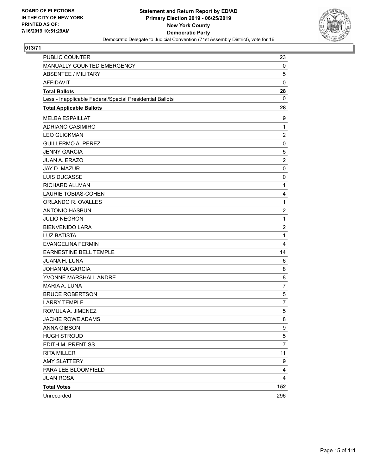

| PUBLIC COUNTER                                           | 23             |
|----------------------------------------------------------|----------------|
| MANUALLY COUNTED EMERGENCY                               | 0              |
| <b>ABSENTEE / MILITARY</b>                               | 5              |
| AFFIDAVIT                                                | 0              |
| <b>Total Ballots</b>                                     | 28             |
| Less - Inapplicable Federal/Special Presidential Ballots | 0              |
| <b>Total Applicable Ballots</b>                          | 28             |
| <b>MELBA ESPAILLAT</b>                                   | 9              |
| ADRIANO CASIMIRO                                         | 1              |
| <b>LEO GLICKMAN</b>                                      | $\overline{c}$ |
| <b>GUILLERMO A. PEREZ</b>                                | 0              |
| <b>JENNY GARCIA</b>                                      | 5              |
| JUAN A. ERAZO                                            | $\overline{c}$ |
| JAY D. MAZUR                                             | 0              |
| LUIS DUCASSE                                             | 0              |
| RICHARD ALLMAN                                           | 1              |
| <b>LAURIE TOBIAS-COHEN</b>                               | 4              |
| ORLANDO R. OVALLES                                       | 1              |
| <b>ANTONIO HASBUN</b>                                    | $\overline{c}$ |
| <b>JULIO NEGRON</b>                                      | 1              |
| <b>BIENVENIDO LARA</b>                                   | $\overline{2}$ |
| <b>LUZ BATISTA</b>                                       | 1              |
| <b>EVANGELINA FERMIN</b>                                 | 4              |
| <b>EARNESTINE BELL TEMPLE</b>                            | 14             |
| JUANA H. LUNA                                            | 6              |
| <b>JOHANNA GARCIA</b>                                    | 8              |
| YVONNE MARSHALL ANDRE                                    | 8              |
| MARIA A. LUNA                                            | $\overline{7}$ |
| <b>BRUCE ROBERTSON</b>                                   | 5              |
| <b>LARRY TEMPLE</b>                                      | $\overline{7}$ |
| ROMULA A. JIMENEZ                                        | 5              |
| <b>JACKIE ROWE ADAMS</b>                                 | 8              |
| ANNA GIBSON                                              | 9              |
| <b>HUGH STROUD</b>                                       | 5              |
| EDITH M. PRENTISS                                        | $\overline{7}$ |
| <b>RITA MILLER</b>                                       | 11             |
| <b>AMY SLATTERY</b>                                      | 9              |
| PARA LEE BLOOMFIELD                                      | 4              |
| <b>JUAN ROSA</b>                                         | 4              |
| <b>Total Votes</b>                                       | 152            |
| Unrecorded                                               | 296            |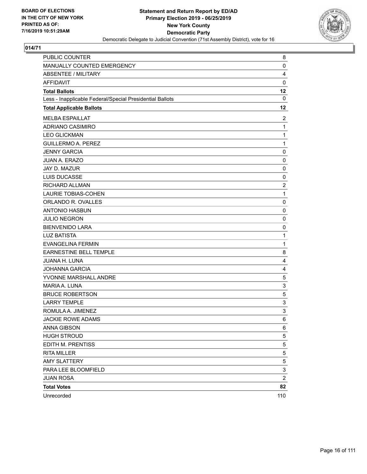

| PUBLIC COUNTER                                           | 8                       |
|----------------------------------------------------------|-------------------------|
| <b>MANUALLY COUNTED EMERGENCY</b>                        | $\mathbf 0$             |
| <b>ABSENTEE / MILITARY</b>                               | 4                       |
| <b>AFFIDAVIT</b>                                         | $\mathbf 0$             |
| <b>Total Ballots</b>                                     | 12                      |
| Less - Inapplicable Federal/Special Presidential Ballots | 0                       |
| <b>Total Applicable Ballots</b>                          | 12                      |
| <b>MELBA ESPAILLAT</b>                                   | 2                       |
| ADRIANO CASIMIRO                                         | $\mathbf{1}$            |
| <b>LEO GLICKMAN</b>                                      | $\mathbf{1}$            |
| <b>GUILLERMO A. PEREZ</b>                                | 1                       |
| <b>JENNY GARCIA</b>                                      | 0                       |
| <b>JUAN A. ERAZO</b>                                     | 0                       |
| JAY D. MAZUR                                             | 0                       |
| <b>LUIS DUCASSE</b>                                      | 0                       |
| RICHARD ALLMAN                                           | $\overline{2}$          |
| LAURIE TOBIAS-COHEN                                      | 1                       |
| ORLANDO R. OVALLES                                       | 0                       |
| <b>ANTONIO HASBUN</b>                                    | 0                       |
| <b>JULIO NEGRON</b>                                      | 0                       |
| <b>BIENVENIDO LARA</b>                                   | $\mathbf 0$             |
| <b>LUZ BATISTA</b>                                       | 1                       |
| <b>EVANGELINA FERMIN</b>                                 | 1                       |
| <b>EARNESTINE BELL TEMPLE</b>                            | 8                       |
| <b>JUANA H. LUNA</b>                                     | 4                       |
| <b>JOHANNA GARCIA</b>                                    | 4                       |
| YVONNE MARSHALL ANDRE                                    | 5                       |
| MARIA A. LUNA                                            | 3                       |
| <b>BRUCE ROBERTSON</b>                                   | 5                       |
| <b>LARRY TEMPLE</b>                                      | 3                       |
| ROMULA A. JIMENEZ                                        | 3                       |
| <b>JACKIE ROWE ADAMS</b>                                 | 6                       |
| ANNA GIBSON                                              | 6                       |
| <b>HUGH STROUD</b>                                       | 5                       |
| EDITH M. PRENTISS                                        | 5                       |
| <b>RITA MILLER</b>                                       | 5                       |
| <b>AMY SLATTERY</b>                                      | 5                       |
| PARA LEE BLOOMFIELD                                      | 3                       |
| <b>JUAN ROSA</b>                                         | $\overline{\mathbf{c}}$ |
| <b>Total Votes</b>                                       | 82                      |
| Unrecorded                                               | 110                     |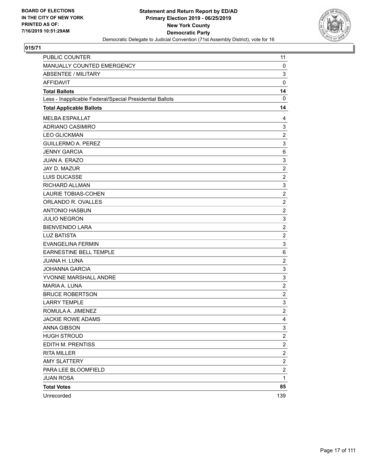

| PUBLIC COUNTER                                           | 11                      |
|----------------------------------------------------------|-------------------------|
| MANUALLY COUNTED EMERGENCY                               | 0                       |
| <b>ABSENTEE / MILITARY</b>                               | 3                       |
| <b>AFFIDAVIT</b>                                         | $\mathbf 0$             |
| <b>Total Ballots</b>                                     | 14                      |
| Less - Inapplicable Federal/Special Presidential Ballots | $\mathbf 0$             |
| <b>Total Applicable Ballots</b>                          | 14                      |
| <b>MELBA ESPAILLAT</b>                                   | 4                       |
| <b>ADRIANO CASIMIRO</b>                                  | 3                       |
| <b>LEO GLICKMAN</b>                                      | $\overline{c}$          |
| <b>GUILLERMO A. PEREZ</b>                                | 3                       |
| <b>JENNY GARCIA</b>                                      | 6                       |
| <b>JUAN A. ERAZO</b>                                     | 3                       |
| JAY D. MAZUR                                             | $\overline{2}$          |
| <b>LUIS DUCASSE</b>                                      | $\overline{c}$          |
| RICHARD ALLMAN                                           | 3                       |
| LAURIE TOBIAS-COHEN                                      | $\overline{c}$          |
| ORLANDO R. OVALLES                                       | $\overline{c}$          |
| <b>ANTONIO HASBUN</b>                                    | $\overline{c}$          |
| <b>JULIO NEGRON</b>                                      | 3                       |
| <b>BIENVENIDO LARA</b>                                   | $\overline{c}$          |
| <b>LUZ BATISTA</b>                                       | $\overline{c}$          |
| <b>EVANGELINA FERMIN</b>                                 | 3                       |
| EARNESTINE BELL TEMPLE                                   | 6                       |
| <b>JUANA H. LUNA</b>                                     | $\overline{c}$          |
| <b>JOHANNA GARCIA</b>                                    | 3                       |
| YVONNE MARSHALL ANDRE                                    | 3                       |
| MARIA A. LUNA                                            | $\overline{c}$          |
| <b>BRUCE ROBERTSON</b>                                   | $\overline{c}$          |
| <b>LARRY TEMPLE</b>                                      | 3                       |
| ROMULA A. JIMENEZ                                        | $\boldsymbol{2}$        |
| <b>JACKIE ROWE ADAMS</b>                                 | 4                       |
| ANNA GIBSON                                              | 3                       |
| <b>HUGH STROUD</b>                                       | $\overline{\mathbf{c}}$ |
| EDITH M. PRENTISS                                        | $\overline{\mathbf{c}}$ |
| <b>RITA MILLER</b>                                       | $\overline{\mathbf{c}}$ |
| <b>AMY SLATTERY</b>                                      | $\overline{\mathbf{c}}$ |
| PARA LEE BLOOMFIELD                                      | $\overline{c}$          |
| <b>JUAN ROSA</b>                                         | $\mathbf{1}$            |
| <b>Total Votes</b>                                       | 85                      |
| Unrecorded                                               | 139                     |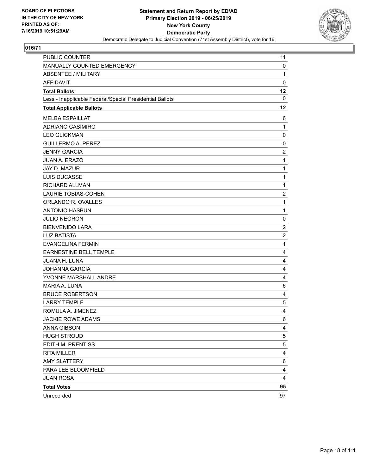

| PUBLIC COUNTER                                           | 11             |
|----------------------------------------------------------|----------------|
| MANUALLY COUNTED EMERGENCY                               | 0              |
| <b>ABSENTEE / MILITARY</b>                               | $\mathbf{1}$   |
| <b>AFFIDAVIT</b>                                         | $\mathbf 0$    |
| <b>Total Ballots</b>                                     | 12             |
| Less - Inapplicable Federal/Special Presidential Ballots | $\mathbf 0$    |
| <b>Total Applicable Ballots</b>                          | 12             |
| <b>MELBA ESPAILLAT</b>                                   | 6              |
| <b>ADRIANO CASIMIRO</b>                                  | 1              |
| <b>LEO GLICKMAN</b>                                      | $\mathbf 0$    |
| <b>GUILLERMO A. PEREZ</b>                                | 0              |
| <b>JENNY GARCIA</b>                                      | $\overline{2}$ |
| JUAN A. ERAZO                                            | 1              |
| JAY D. MAZUR                                             | 1              |
| LUIS DUCASSE                                             | 1              |
| RICHARD ALLMAN                                           | 1              |
| <b>LAURIE TOBIAS-COHEN</b>                               | $\overline{c}$ |
| ORLANDO R. OVALLES                                       | $\mathbf{1}$   |
| <b>ANTONIO HASBUN</b>                                    | $\mathbf{1}$   |
| <b>JULIO NEGRON</b>                                      | 0              |
| <b>BIENVENIDO LARA</b>                                   | $\overline{2}$ |
| <b>LUZ BATISTA</b>                                       | $\overline{c}$ |
| <b>EVANGELINA FERMIN</b>                                 | 1              |
| <b>EARNESTINE BELL TEMPLE</b>                            | $\overline{4}$ |
| JUANA H. LUNA                                            | 4              |
| <b>JOHANNA GARCIA</b>                                    | 4              |
| YVONNE MARSHALL ANDRE                                    | $\overline{4}$ |
| MARIA A. LUNA                                            | 6              |
| <b>BRUCE ROBERTSON</b>                                   | 4              |
| <b>LARRY TEMPLE</b>                                      | 5              |
| ROMULA A. JIMENEZ                                        | 4              |
| <b>JACKIE ROWE ADAMS</b>                                 | 6              |
| ANNA GIBSON                                              | 4              |
| <b>HUGH STROUD</b>                                       | 5              |
| EDITH M. PRENTISS                                        | 5              |
| <b>RITA MILLER</b>                                       | 4              |
| <b>AMY SLATTERY</b>                                      | 6              |
| PARA LEE BLOOMFIELD                                      | 4              |
| <b>JUAN ROSA</b>                                         | 4              |
| <b>Total Votes</b>                                       | 95             |
| Unrecorded                                               | 97             |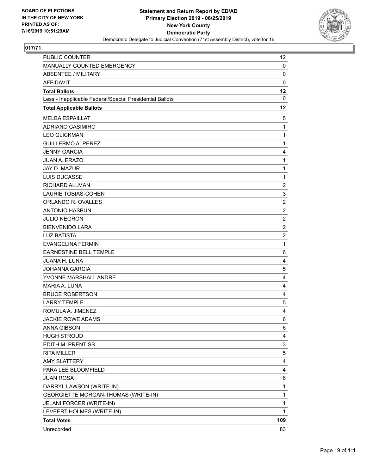

| PUBLIC COUNTER                                           | 12             |
|----------------------------------------------------------|----------------|
| MANUALLY COUNTED EMERGENCY                               | 0              |
| <b>ABSENTEE / MILITARY</b>                               | $\mathbf 0$    |
| AFFIDAVIT                                                | 0              |
| <b>Total Ballots</b>                                     | 12             |
| Less - Inapplicable Federal/Special Presidential Ballots | $\mathbf 0$    |
| <b>Total Applicable Ballots</b>                          | 12             |
| <b>MELBA ESPAILLAT</b>                                   | 5              |
| <b>ADRIANO CASIMIRO</b>                                  | $\mathbf{1}$   |
| <b>LEO GLICKMAN</b>                                      | 1              |
| <b>GUILLERMO A. PEREZ</b>                                | 1              |
| <b>JENNY GARCIA</b>                                      | 4              |
| JUAN A. ERAZO                                            | 1              |
| JAY D. MAZUR                                             | 1              |
| LUIS DUCASSE                                             | 1              |
| <b>RICHARD ALLMAN</b>                                    | $\overline{c}$ |
| <b>LAURIE TOBIAS-COHEN</b>                               | 3              |
| ORLANDO R. OVALLES                                       | $\overline{2}$ |
| <b>ANTONIO HASBUN</b>                                    | $\overline{c}$ |
| <b>JULIO NEGRON</b>                                      | $\overline{c}$ |
| <b>BIENVENIDO LARA</b>                                   | $\overline{2}$ |
| <b>LUZ BATISTA</b>                                       | $\overline{c}$ |
| <b>EVANGELINA FERMIN</b>                                 | 1              |
| <b>EARNESTINE BELL TEMPLE</b>                            | 6              |
| JUANA H. LUNA                                            | 4              |
| <b>JOHANNA GARCIA</b>                                    | 5              |
| YVONNE MARSHALL ANDRE                                    | 4              |
| MARIA A. LUNA                                            | 4              |
| <b>BRUCE ROBERTSON</b>                                   | 4              |
| <b>LARRY TEMPLE</b>                                      | 5              |
| ROMULA A. JIMENEZ                                        | 4              |
| <b>JACKIE ROWE ADAMS</b>                                 | 6              |
| <b>ANNA GIBSON</b>                                       | 6              |
| <b>HUGH STROUD</b>                                       | 4              |
| EDITH M. PRENTISS                                        | 3              |
| <b>RITA MILLER</b>                                       | 5              |
| <b>AMY SLATTERY</b>                                      | 4              |
| PARA LEE BLOOMFIELD                                      | 4              |
| <b>JUAN ROSA</b>                                         | 6              |
| DARRYL LAWSON (WRITE-IN)                                 | 1              |
| GEORGIETTE MORGAN-THOMAS (WRITE-IN)                      | 1              |
| JELANI FORCER (WRITE-IN)                                 | 1              |
| LEVEERT HOLMES (WRITE-IN)                                | $\mathbf{1}$   |
| <b>Total Votes</b>                                       | 109            |
| Unrecorded                                               | 83             |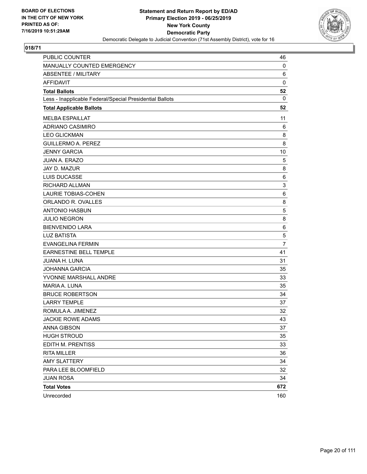

| PUBLIC COUNTER                                           | 46             |
|----------------------------------------------------------|----------------|
| MANUALLY COUNTED EMERGENCY                               | 0              |
| <b>ABSENTEE / MILITARY</b>                               | 6              |
| <b>AFFIDAVIT</b>                                         | $\mathbf 0$    |
| <b>Total Ballots</b>                                     | 52             |
| Less - Inapplicable Federal/Special Presidential Ballots | $\mathbf{0}$   |
| <b>Total Applicable Ballots</b>                          | 52             |
| <b>MELBA ESPAILLAT</b>                                   | 11             |
| <b>ADRIANO CASIMIRO</b>                                  | 6              |
| <b>LEO GLICKMAN</b>                                      | 8              |
| <b>GUILLERMO A. PEREZ</b>                                | 8              |
| <b>JENNY GARCIA</b>                                      | 10             |
| <b>JUAN A. ERAZO</b>                                     | 5              |
| JAY D. MAZUR                                             | 8              |
| <b>LUIS DUCASSE</b>                                      | 6              |
| RICHARD ALLMAN                                           | 3              |
| <b>LAURIE TOBIAS-COHEN</b>                               | 6              |
| ORLANDO R. OVALLES                                       | 8              |
| <b>ANTONIO HASBUN</b>                                    | 5              |
| <b>JULIO NEGRON</b>                                      | 8              |
| <b>BIENVENIDO LARA</b>                                   | 6              |
| <b>LUZ BATISTA</b>                                       | 5              |
| <b>EVANGELINA FERMIN</b>                                 | $\overline{7}$ |
| <b>EARNESTINE BELL TEMPLE</b>                            | 41             |
| JUANA H. LUNA                                            | 31             |
| <b>JOHANNA GARCIA</b>                                    | 35             |
| YVONNE MARSHALL ANDRE                                    | 33             |
| MARIA A. LUNA                                            | 35             |
| <b>BRUCE ROBERTSON</b>                                   | 34             |
| <b>LARRY TEMPLE</b>                                      | 37             |
| ROMULA A. JIMENEZ                                        | 32             |
| <b>JACKIE ROWE ADAMS</b>                                 | 43             |
| <b>ANNA GIBSON</b>                                       | 37             |
| <b>HUGH STROUD</b>                                       | 35             |
| EDITH M. PRENTISS                                        | 33             |
| <b>RITA MILLER</b>                                       | 36             |
| <b>AMY SLATTERY</b>                                      | 34             |
| PARA LEE BLOOMFIELD                                      | 32             |
| <b>JUAN ROSA</b>                                         | 34             |
| <b>Total Votes</b>                                       | 672            |
| Unrecorded                                               | 160            |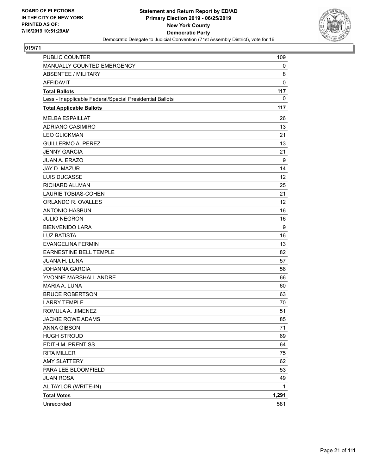

| <b>PUBLIC COUNTER</b>                                    | 109         |
|----------------------------------------------------------|-------------|
| MANUALLY COUNTED EMERGENCY                               | 0           |
| <b>ABSENTEE / MILITARY</b>                               | 8           |
| <b>AFFIDAVIT</b>                                         | $\mathbf 0$ |
| <b>Total Ballots</b>                                     | 117         |
| Less - Inapplicable Federal/Special Presidential Ballots | 0           |
| <b>Total Applicable Ballots</b>                          | 117         |
| <b>MELBA ESPAILLAT</b>                                   | 26          |
| ADRIANO CASIMIRO                                         | 13          |
| <b>LEO GLICKMAN</b>                                      | 21          |
| <b>GUILLERMO A. PEREZ</b>                                | 13          |
| <b>JENNY GARCIA</b>                                      | 21          |
| <b>JUAN A. ERAZO</b>                                     | 9           |
| JAY D. MAZUR                                             | 14          |
| <b>LUIS DUCASSE</b>                                      | 12          |
| <b>RICHARD ALLMAN</b>                                    | 25          |
| <b>LAURIE TOBIAS-COHEN</b>                               | 21          |
| ORLANDO R. OVALLES                                       | 12          |
| <b>ANTONIO HASBUN</b>                                    | 16          |
| <b>JULIO NEGRON</b>                                      | 16          |
| <b>BIENVENIDO LARA</b>                                   | 9           |
| <b>LUZ BATISTA</b>                                       | 16          |
| <b>EVANGELINA FERMIN</b>                                 | 13          |
| EARNESTINE BELL TEMPLE                                   | 82          |
| <b>JUANA H. LUNA</b>                                     | 57          |
| <b>JOHANNA GARCIA</b>                                    | 56          |
| YVONNE MARSHALL ANDRE                                    | 66          |
| MARIA A. LUNA                                            | 60          |
| <b>BRUCE ROBERTSON</b>                                   | 63          |
| <b>LARRY TEMPLE</b>                                      | 70          |
| ROMULA A. JIMENEZ                                        | 51          |
| <b>JACKIE ROWE ADAMS</b>                                 | 85          |
| <b>ANNA GIBSON</b>                                       | 71          |
| <b>HUGH STROUD</b>                                       | 69          |
| EDITH M. PRENTISS                                        | 64          |
| <b>RITA MILLER</b>                                       | 75          |
| <b>AMY SLATTERY</b>                                      | 62          |
| PARA LEE BLOOMFIELD                                      | 53          |
| <b>JUAN ROSA</b>                                         | 49          |
| AL TAYLOR (WRITE-IN)                                     | 1           |
| <b>Total Votes</b>                                       | 1,291       |
| Unrecorded                                               | 581         |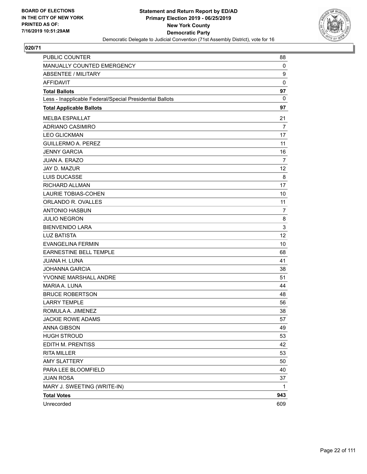

| <b>PUBLIC COUNTER</b>                                    | 88             |
|----------------------------------------------------------|----------------|
| MANUALLY COUNTED EMERGENCY                               | 0              |
| <b>ABSENTEE / MILITARY</b>                               | 9              |
| <b>AFFIDAVIT</b>                                         | $\mathbf 0$    |
| <b>Total Ballots</b>                                     | 97             |
| Less - Inapplicable Federal/Special Presidential Ballots | 0              |
| <b>Total Applicable Ballots</b>                          | 97             |
| <b>MELBA ESPAILLAT</b>                                   | 21             |
| ADRIANO CASIMIRO                                         | $\overline{7}$ |
| <b>LEO GLICKMAN</b>                                      | 17             |
| <b>GUILLERMO A. PEREZ</b>                                | 11             |
| <b>JENNY GARCIA</b>                                      | 16             |
| <b>JUAN A. ERAZO</b>                                     | $\overline{7}$ |
| JAY D. MAZUR                                             | 12             |
| LUIS DUCASSE                                             | 8              |
| <b>RICHARD ALLMAN</b>                                    | 17             |
| <b>LAURIE TOBIAS-COHEN</b>                               | 10             |
| ORLANDO R. OVALLES                                       | 11             |
| <b>ANTONIO HASBUN</b>                                    | 7              |
| <b>JULIO NEGRON</b>                                      | 8              |
| <b>BIENVENIDO LARA</b>                                   | $\mathsf 3$    |
| <b>LUZ BATISTA</b>                                       | 12             |
| <b>EVANGELINA FERMIN</b>                                 | 10             |
| EARNESTINE BELL TEMPLE                                   | 68             |
| <b>JUANA H. LUNA</b>                                     | 41             |
| <b>JOHANNA GARCIA</b>                                    | 38             |
| YVONNE MARSHALL ANDRE                                    | 51             |
| MARIA A. LUNA                                            | 44             |
| <b>BRUCE ROBERTSON</b>                                   | 48             |
| <b>LARRY TEMPLE</b>                                      | 56             |
| ROMULA A. JIMENEZ                                        | 38             |
| JACKIE ROWE ADAMS                                        | 57             |
| ANNA GIBSON                                              | 49             |
| <b>HUGH STROUD</b>                                       | 53             |
| EDITH M. PRENTISS                                        | 42             |
| <b>RITA MILLER</b>                                       | 53             |
| <b>AMY SLATTERY</b>                                      | 50             |
| PARA LEE BLOOMFIELD                                      | 40             |
| <b>JUAN ROSA</b>                                         | 37             |
| MARY J. SWEETING (WRITE-IN)                              | 1              |
| <b>Total Votes</b>                                       | 943            |
| Unrecorded                                               | 609            |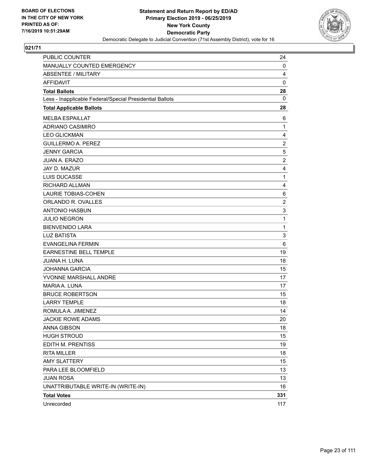

| PUBLIC COUNTER                                           | 24             |
|----------------------------------------------------------|----------------|
| MANUALLY COUNTED EMERGENCY                               | 0              |
| <b>ABSENTEE / MILITARY</b>                               | $\overline{4}$ |
| AFFIDAVIT                                                | $\mathbf 0$    |
| <b>Total Ballots</b>                                     | 28             |
| Less - Inapplicable Federal/Special Presidential Ballots | 0              |
| <b>Total Applicable Ballots</b>                          | 28             |
| <b>MELBA ESPAILLAT</b>                                   | 6              |
| ADRIANO CASIMIRO                                         | 1              |
| <b>LEO GLICKMAN</b>                                      | 4              |
| <b>GUILLERMO A. PEREZ</b>                                | $\overline{c}$ |
| <b>JENNY GARCIA</b>                                      | 5              |
| JUAN A. ERAZO                                            | $\overline{c}$ |
| JAY D. MAZUR                                             | 4              |
| LUIS DUCASSE                                             | 1              |
| <b>RICHARD ALLMAN</b>                                    | 4              |
| <b>LAURIE TOBIAS-COHEN</b>                               | 6              |
| ORLANDO R. OVALLES                                       | $\overline{2}$ |
| <b>ANTONIO HASBUN</b>                                    | 3              |
| <b>JULIO NEGRON</b>                                      | 1              |
| <b>BIENVENIDO LARA</b>                                   | 1              |
| <b>LUZ BATISTA</b>                                       | 3              |
| <b>EVANGELINA FERMIN</b>                                 | 6              |
| <b>EARNESTINE BELL TEMPLE</b>                            | 19             |
| JUANA H. LUNA                                            | 18             |
| <b>JOHANNA GARCIA</b>                                    | 15             |
| YVONNE MARSHALL ANDRE                                    | 17             |
| MARIA A. LUNA                                            | 17             |
| <b>BRUCE ROBERTSON</b>                                   | 15             |
| <b>LARRY TEMPLE</b>                                      | 18             |
| ROMULA A. JIMENEZ                                        | 14             |
| <b>JACKIE ROWE ADAMS</b>                                 | 20             |
| ANNA GIBSON                                              | 18             |
| <b>HUGH STROUD</b>                                       | 15             |
| EDITH M. PRENTISS                                        | 19             |
| <b>RITA MILLER</b>                                       | 18             |
| <b>AMY SLATTERY</b>                                      | 15             |
| PARA LEE BLOOMFIELD                                      | 13             |
| <b>JUAN ROSA</b>                                         | 13             |
| UNATTRIBUTABLE WRITE-IN (WRITE-IN)                       | 16             |
| <b>Total Votes</b>                                       | 331            |
| Unrecorded                                               | 117            |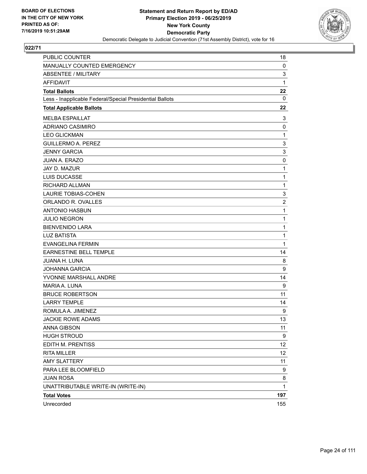

| PUBLIC COUNTER                                           | 18                      |
|----------------------------------------------------------|-------------------------|
| MANUALLY COUNTED EMERGENCY                               | 0                       |
| <b>ABSENTEE / MILITARY</b>                               | 3                       |
| <b>AFFIDAVIT</b>                                         | 1                       |
| <b>Total Ballots</b>                                     | 22                      |
| Less - Inapplicable Federal/Special Presidential Ballots | 0                       |
| <b>Total Applicable Ballots</b>                          | 22                      |
| <b>MELBA ESPAILLAT</b>                                   | 3                       |
| ADRIANO CASIMIRO                                         | 0                       |
| <b>LEO GLICKMAN</b>                                      | $\mathbf{1}$            |
| <b>GUILLERMO A. PEREZ</b>                                | 3                       |
| <b>JENNY GARCIA</b>                                      | 3                       |
| <b>JUAN A. ERAZO</b>                                     | $\mathbf 0$             |
| JAY D. MAZUR                                             | 1                       |
| <b>LUIS DUCASSE</b>                                      | 1                       |
| RICHARD ALLMAN                                           | $\mathbf{1}$            |
| <b>LAURIE TOBIAS-COHEN</b>                               | 3                       |
| ORLANDO R. OVALLES                                       | $\overline{\mathbf{c}}$ |
| <b>ANTONIO HASBUN</b>                                    | 1                       |
| <b>JULIO NEGRON</b>                                      | 1                       |
| <b>BIENVENIDO LARA</b>                                   | 1                       |
| <b>LUZ BATISTA</b>                                       | 1                       |
| <b>EVANGELINA FERMIN</b>                                 | 1                       |
| EARNESTINE BELL TEMPLE                                   | 14                      |
| JUANA H. LUNA                                            | 8                       |
| <b>JOHANNA GARCIA</b>                                    | 9                       |
| YVONNE MARSHALL ANDRE                                    | 14                      |
| MARIA A. LUNA                                            | 9                       |
| <b>BRUCE ROBERTSON</b>                                   | 11                      |
| <b>LARRY TEMPLE</b>                                      | 14                      |
| ROMULA A. JIMENEZ                                        | 9                       |
| <b>JACKIE ROWE ADAMS</b>                                 | 13                      |
| ANNA GIBSON                                              | 11                      |
| <b>HUGH STROUD</b>                                       | 9                       |
| EDITH M. PRENTISS                                        | 12                      |
| <b>RITA MILLER</b>                                       | 12                      |
| <b>AMY SLATTERY</b>                                      | 11                      |
| PARA LEE BLOOMFIELD                                      | 9                       |
| <b>JUAN ROSA</b>                                         | 8                       |
| UNATTRIBUTABLE WRITE-IN (WRITE-IN)                       | $\mathbf{1}$            |
| <b>Total Votes</b>                                       | 197                     |
| Unrecorded                                               | 155                     |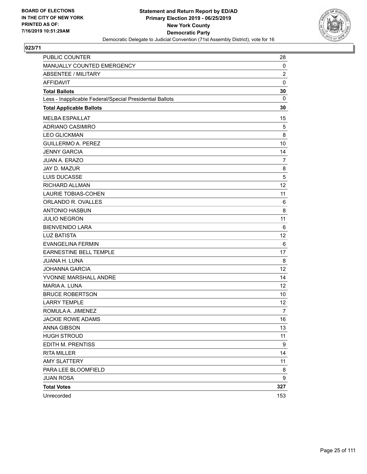

| <b>PUBLIC COUNTER</b>                                    | 28             |
|----------------------------------------------------------|----------------|
| MANUALLY COUNTED EMERGENCY                               | 0              |
| <b>ABSENTEE / MILITARY</b>                               | $\overline{c}$ |
| <b>AFFIDAVIT</b>                                         | $\mathbf 0$    |
| <b>Total Ballots</b>                                     | 30             |
| Less - Inapplicable Federal/Special Presidential Ballots | $\mathbf{0}$   |
| <b>Total Applicable Ballots</b>                          | 30             |
| <b>MELBA ESPAILLAT</b>                                   | 15             |
| ADRIANO CASIMIRO                                         | 5              |
| <b>LEO GLICKMAN</b>                                      | 8              |
| <b>GUILLERMO A. PEREZ</b>                                | 10             |
| <b>JENNY GARCIA</b>                                      | 14             |
| <b>JUAN A. ERAZO</b>                                     | $\overline{7}$ |
| JAY D. MAZUR                                             | 8              |
| <b>LUIS DUCASSE</b>                                      | 5              |
| RICHARD ALLMAN                                           | 12             |
| <b>LAURIE TOBIAS-COHEN</b>                               | 11             |
| ORLANDO R. OVALLES                                       | 6              |
| <b>ANTONIO HASBUN</b>                                    | 8              |
| <b>JULIO NEGRON</b>                                      | 11             |
| <b>BIENVENIDO LARA</b>                                   | 6              |
| <b>LUZ BATISTA</b>                                       | 12             |
| <b>EVANGELINA FERMIN</b>                                 | 6              |
| EARNESTINE BELL TEMPLE                                   | 17             |
| JUANA H. LUNA                                            | 8              |
| <b>JOHANNA GARCIA</b>                                    | 12             |
| YVONNE MARSHALL ANDRE                                    | 14             |
| MARIA A. LUNA                                            | 12             |
| <b>BRUCE ROBERTSON</b>                                   | 10             |
| <b>LARRY TEMPLE</b>                                      | 12             |
| ROMULA A. JIMENEZ                                        | $\overline{7}$ |
| <b>JACKIE ROWE ADAMS</b>                                 | 16             |
| ANNA GIBSON                                              | 13             |
| <b>HUGH STROUD</b>                                       | 11             |
| EDITH M. PRENTISS                                        | 9              |
| <b>RITA MILLER</b>                                       | 14             |
| <b>AMY SLATTERY</b>                                      | 11             |
| PARA LEE BLOOMFIELD                                      | 8              |
| <b>JUAN ROSA</b>                                         | 9              |
| <b>Total Votes</b>                                       | 327            |
| Unrecorded                                               | 153            |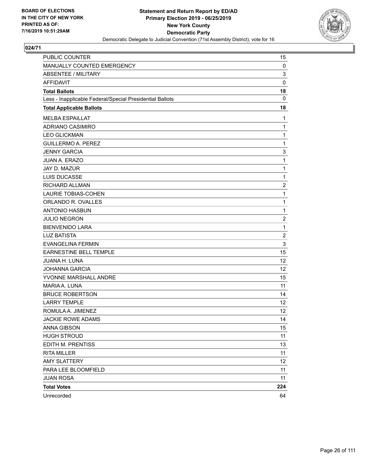

| PUBLIC COUNTER                                           | 15             |
|----------------------------------------------------------|----------------|
| MANUALLY COUNTED EMERGENCY                               | 0              |
| <b>ABSENTEE / MILITARY</b>                               | 3              |
| <b>AFFIDAVIT</b>                                         | $\mathbf 0$    |
| <b>Total Ballots</b>                                     | 18             |
| Less - Inapplicable Federal/Special Presidential Ballots | $\mathbf{0}$   |
| <b>Total Applicable Ballots</b>                          | 18             |
| <b>MELBA ESPAILLAT</b>                                   | 1              |
| <b>ADRIANO CASIMIRO</b>                                  | $\mathbf{1}$   |
| <b>LEO GLICKMAN</b>                                      | 1              |
| <b>GUILLERMO A. PEREZ</b>                                | $\mathbf{1}$   |
| <b>JENNY GARCIA</b>                                      | 3              |
| <b>JUAN A. ERAZO</b>                                     | 1              |
| JAY D. MAZUR                                             | 1              |
| <b>LUIS DUCASSE</b>                                      | 1              |
| RICHARD ALLMAN                                           | $\overline{c}$ |
| <b>LAURIE TOBIAS-COHEN</b>                               | 1              |
| ORLANDO R. OVALLES                                       | $\mathbf{1}$   |
| <b>ANTONIO HASBUN</b>                                    | 1              |
| <b>JULIO NEGRON</b>                                      | $\overline{c}$ |
| <b>BIENVENIDO LARA</b>                                   | 1              |
| <b>LUZ BATISTA</b>                                       | $\overline{2}$ |
| <b>EVANGELINA FERMIN</b>                                 | 3              |
| EARNESTINE BELL TEMPLE                                   | 15             |
| JUANA H. LUNA                                            | 12             |
| <b>JOHANNA GARCIA</b>                                    | 12             |
| YVONNE MARSHALL ANDRE                                    | 15             |
| MARIA A. LUNA                                            | 11             |
| <b>BRUCE ROBERTSON</b>                                   | 14             |
| <b>LARRY TEMPLE</b>                                      | 12             |
| ROMULA A. JIMENEZ                                        | 12             |
| <b>JACKIE ROWE ADAMS</b>                                 | 14             |
| ANNA GIBSON                                              | 15             |
| <b>HUGH STROUD</b>                                       | 11             |
| EDITH M. PRENTISS                                        | 13             |
| <b>RITA MILLER</b>                                       | 11             |
| <b>AMY SLATTERY</b>                                      | 12             |
| PARA LEE BLOOMFIELD                                      | 11             |
| <b>JUAN ROSA</b>                                         | 11             |
| <b>Total Votes</b>                                       | 224            |
| Unrecorded                                               | 64             |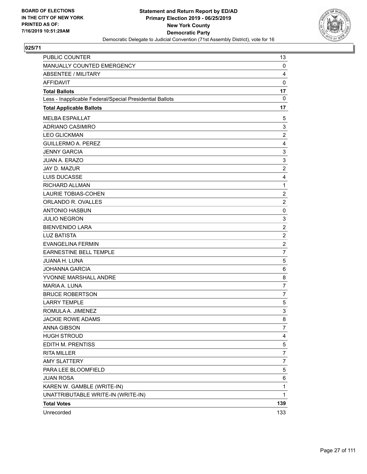

| PUBLIC COUNTER                                           | 13             |
|----------------------------------------------------------|----------------|
| MANUALLY COUNTED EMERGENCY                               | 0              |
| <b>ABSENTEE / MILITARY</b>                               | 4              |
| <b>AFFIDAVIT</b>                                         | $\mathbf 0$    |
| <b>Total Ballots</b>                                     | 17             |
| Less - Inapplicable Federal/Special Presidential Ballots | 0              |
| <b>Total Applicable Ballots</b>                          | 17             |
| <b>MELBA ESPAILLAT</b>                                   | 5              |
| <b>ADRIANO CASIMIRO</b>                                  | 3              |
| <b>LEO GLICKMAN</b>                                      | $\overline{c}$ |
| <b>GUILLERMO A. PEREZ</b>                                | 4              |
| <b>JENNY GARCIA</b>                                      | 3              |
| <b>JUAN A. ERAZO</b>                                     | 3              |
| JAY D. MAZUR                                             | $\overline{2}$ |
| LUIS DUCASSE                                             | 4              |
| RICHARD ALLMAN                                           | 1              |
| <b>LAURIE TOBIAS-COHEN</b>                               | $\overline{2}$ |
| ORLANDO R. OVALLES                                       | $\overline{c}$ |
| <b>ANTONIO HASBUN</b>                                    | $\mathbf 0$    |
| <b>JULIO NEGRON</b>                                      | 3              |
| <b>BIENVENIDO LARA</b>                                   | $\overline{c}$ |
| <b>LUZ BATISTA</b>                                       | $\overline{c}$ |
| <b>EVANGELINA FERMIN</b>                                 | $\overline{2}$ |
| EARNESTINE BELL TEMPLE                                   | $\overline{7}$ |
| JUANA H. LUNA                                            | $\sqrt{5}$     |
| <b>JOHANNA GARCIA</b>                                    | 6              |
| YVONNE MARSHALL ANDRE                                    | 8              |
| MARIA A. LUNA                                            | $\overline{7}$ |
| <b>BRUCE ROBERTSON</b>                                   | $\overline{7}$ |
| <b>LARRY TEMPLE</b>                                      | $\,$ 5 $\,$    |
| ROMULA A. JIMENEZ                                        | 3              |
| <b>JACKIE ROWE ADAMS</b>                                 | 8              |
| ANNA GIBSON                                              | 7              |
| <b>HUGH STROUD</b>                                       | 4              |
| EDITH M. PRENTISS                                        | 5              |
| <b>RITA MILLER</b>                                       | 7              |
| <b>AMY SLATTERY</b>                                      | $\overline{7}$ |
| PARA LEE BLOOMFIELD                                      | 5              |
| <b>JUAN ROSA</b>                                         | 6              |
| KAREN W. GAMBLE (WRITE-IN)                               | $\mathbf{1}$   |
| UNATTRIBUTABLE WRITE-IN (WRITE-IN)                       | 1              |
| <b>Total Votes</b>                                       | 139            |
| Unrecorded                                               | 133            |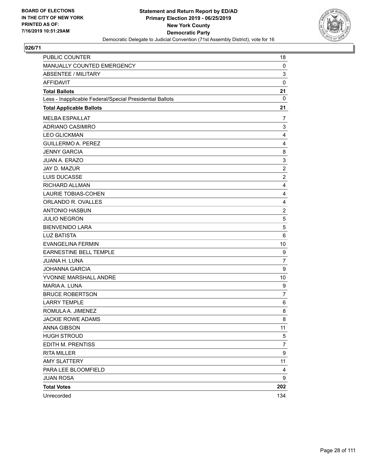

| PUBLIC COUNTER                                           | 18               |
|----------------------------------------------------------|------------------|
| MANUALLY COUNTED EMERGENCY                               | 0                |
| <b>ABSENTEE / MILITARY</b>                               | 3                |
| <b>AFFIDAVIT</b>                                         | $\mathbf 0$      |
| <b>Total Ballots</b>                                     | 21               |
| Less - Inapplicable Federal/Special Presidential Ballots | 0                |
| <b>Total Applicable Ballots</b>                          | 21               |
| <b>MELBA ESPAILLAT</b>                                   | 7                |
| ADRIANO CASIMIRO                                         | 3                |
| <b>LEO GLICKMAN</b>                                      | 4                |
| <b>GUILLERMO A. PEREZ</b>                                | 4                |
| <b>JENNY GARCIA</b>                                      | 8                |
| <b>JUAN A. ERAZO</b>                                     | 3                |
| JAY D. MAZUR                                             | $\overline{2}$   |
| LUIS DUCASSE                                             | $\overline{c}$   |
| RICHARD ALLMAN                                           | 4                |
| <b>LAURIE TOBIAS-COHEN</b>                               | 4                |
| ORLANDO R. OVALLES                                       | 4                |
| <b>ANTONIO HASBUN</b>                                    | $\boldsymbol{2}$ |
| <b>JULIO NEGRON</b>                                      | 5                |
| <b>BIENVENIDO LARA</b>                                   | $\mathbf 5$      |
| <b>LUZ BATISTA</b>                                       | 6                |
| <b>EVANGELINA FERMIN</b>                                 | 10               |
| EARNESTINE BELL TEMPLE                                   | 9                |
| JUANA H. LUNA                                            | $\overline{7}$   |
| <b>JOHANNA GARCIA</b>                                    | 9                |
| YVONNE MARSHALL ANDRE                                    | 10               |
| MARIA A. LUNA                                            | $\boldsymbol{9}$ |
| <b>BRUCE ROBERTSON</b>                                   | $\overline{7}$   |
| <b>LARRY TEMPLE</b>                                      | 6                |
| ROMULA A. JIMENEZ                                        | 8                |
| <b>JACKIE ROWE ADAMS</b>                                 | 8                |
| ANNA GIBSON                                              | 11               |
| <b>HUGH STROUD</b>                                       | 5                |
| EDITH M. PRENTISS                                        | $\overline{7}$   |
| <b>RITA MILLER</b>                                       | 9                |
| <b>AMY SLATTERY</b>                                      | 11               |
| PARA LEE BLOOMFIELD                                      | 4                |
| <b>JUAN ROSA</b>                                         | 9                |
| <b>Total Votes</b>                                       | 202              |
| Unrecorded                                               | 134              |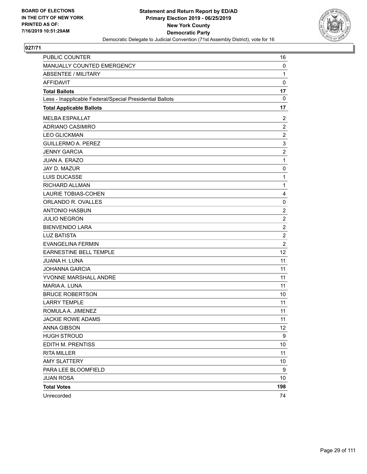

| PUBLIC COUNTER                                           | 16                      |
|----------------------------------------------------------|-------------------------|
| MANUALLY COUNTED EMERGENCY                               | 0                       |
| <b>ABSENTEE / MILITARY</b>                               | $\mathbf{1}$            |
| <b>AFFIDAVIT</b>                                         | $\mathbf 0$             |
| <b>Total Ballots</b>                                     | 17                      |
| Less - Inapplicable Federal/Special Presidential Ballots | $\mathbf{0}$            |
| <b>Total Applicable Ballots</b>                          | 17                      |
| <b>MELBA ESPAILLAT</b>                                   | 2                       |
| <b>ADRIANO CASIMIRO</b>                                  | $\overline{c}$          |
| <b>LEO GLICKMAN</b>                                      | $\overline{c}$          |
| <b>GUILLERMO A. PEREZ</b>                                | 3                       |
| <b>JENNY GARCIA</b>                                      | $\overline{\mathbf{c}}$ |
| <b>JUAN A. ERAZO</b>                                     | 1                       |
| JAY D. MAZUR                                             | 0                       |
| <b>LUIS DUCASSE</b>                                      | 1                       |
| <b>RICHARD ALLMAN</b>                                    | $\mathbf{1}$            |
| <b>LAURIE TOBIAS-COHEN</b>                               | 4                       |
| ORLANDO R. OVALLES                                       | 0                       |
| <b>ANTONIO HASBUN</b>                                    | $\overline{c}$          |
| <b>JULIO NEGRON</b>                                      | $\overline{2}$          |
| <b>BIENVENIDO LARA</b>                                   | $\overline{c}$          |
| <b>LUZ BATISTA</b>                                       | $\overline{c}$          |
| <b>EVANGELINA FERMIN</b>                                 | $\overline{2}$          |
| EARNESTINE BELL TEMPLE                                   | 12                      |
| JUANA H. LUNA                                            | 11                      |
| <b>JOHANNA GARCIA</b>                                    | 11                      |
| YVONNE MARSHALL ANDRE                                    | 11                      |
| MARIA A. LUNA                                            | 11                      |
| <b>BRUCE ROBERTSON</b>                                   | 10                      |
| <b>LARRY TEMPLE</b>                                      | 11                      |
| ROMULA A. JIMENEZ                                        | 11                      |
| <b>JACKIE ROWE ADAMS</b>                                 | 11                      |
| <b>ANNA GIBSON</b>                                       | 12                      |
| <b>HUGH STROUD</b>                                       | 9                       |
| EDITH M. PRENTISS                                        | 10                      |
| <b>RITA MILLER</b>                                       | 11                      |
| <b>AMY SLATTERY</b>                                      | 10                      |
| PARA LEE BLOOMFIELD                                      | 9                       |
| <b>JUAN ROSA</b>                                         | 10                      |
| <b>Total Votes</b>                                       | 198                     |
| Unrecorded                                               | 74                      |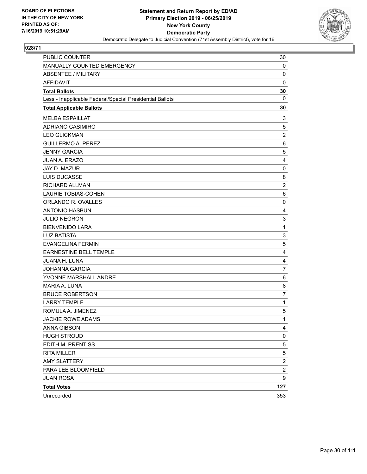

| <b>PUBLIC COUNTER</b>                                    | 30                      |
|----------------------------------------------------------|-------------------------|
| MANUALLY COUNTED EMERGENCY                               | 0                       |
| <b>ABSENTEE / MILITARY</b>                               | $\mathbf 0$             |
| <b>AFFIDAVIT</b>                                         | $\mathbf 0$             |
| <b>Total Ballots</b>                                     | 30                      |
| Less - Inapplicable Federal/Special Presidential Ballots | 0                       |
| <b>Total Applicable Ballots</b>                          | 30                      |
| <b>MELBA ESPAILLAT</b>                                   | 3                       |
| ADRIANO CASIMIRO                                         | 5                       |
| <b>LEO GLICKMAN</b>                                      | $\overline{c}$          |
| <b>GUILLERMO A. PEREZ</b>                                | 6                       |
| <b>JENNY GARCIA</b>                                      | $\mathbf 5$             |
| <b>JUAN A. ERAZO</b>                                     | 4                       |
| JAY D. MAZUR                                             | 0                       |
| LUIS DUCASSE                                             | 8                       |
| RICHARD ALLMAN                                           | $\overline{c}$          |
| <b>LAURIE TOBIAS-COHEN</b>                               | 6                       |
| ORLANDO R. OVALLES                                       | 0                       |
| <b>ANTONIO HASBUN</b>                                    | 4                       |
| <b>JULIO NEGRON</b>                                      | 3                       |
| <b>BIENVENIDO LARA</b>                                   | $\mathbf{1}$            |
| <b>LUZ BATISTA</b>                                       | 3                       |
| <b>EVANGELINA FERMIN</b>                                 | 5                       |
| EARNESTINE BELL TEMPLE                                   | 4                       |
| JUANA H. LUNA                                            | 4                       |
| <b>JOHANNA GARCIA</b>                                    | $\overline{7}$          |
| YVONNE MARSHALL ANDRE                                    | 6                       |
| MARIA A. LUNA                                            | 8                       |
| <b>BRUCE ROBERTSON</b>                                   | $\overline{7}$          |
| <b>LARRY TEMPLE</b>                                      | $\mathbf{1}$            |
| ROMULA A. JIMENEZ                                        | $\mathbf 5$             |
| <b>JACKIE ROWE ADAMS</b>                                 | 1                       |
| <b>ANNA GIBSON</b>                                       | 4                       |
| <b>HUGH STROUD</b>                                       | 0                       |
| EDITH M. PRENTISS                                        | 5                       |
| <b>RITA MILLER</b>                                       | 5                       |
| <b>AMY SLATTERY</b>                                      | $\overline{\mathbf{c}}$ |
| PARA LEE BLOOMFIELD                                      | $\overline{c}$          |
| <b>JUAN ROSA</b>                                         | 9                       |
| <b>Total Votes</b>                                       | 127                     |
| Unrecorded                                               | 353                     |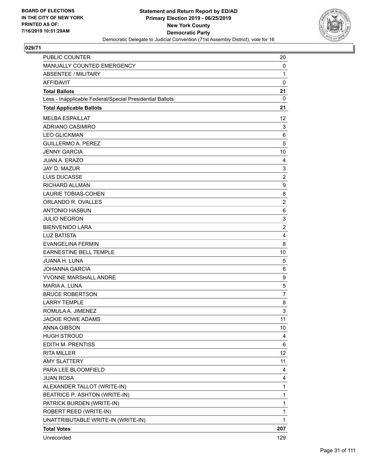

| PUBLIC COUNTER                                           | 20             |
|----------------------------------------------------------|----------------|
| MANUALLY COUNTED EMERGENCY                               | 0              |
| <b>ABSENTEE / MILITARY</b>                               | 1              |
| <b>AFFIDAVIT</b>                                         | $\mathbf 0$    |
| <b>Total Ballots</b>                                     | 21             |
| Less - Inapplicable Federal/Special Presidential Ballots | 0              |
| <b>Total Applicable Ballots</b>                          | 21             |
| <b>MELBA ESPAILLAT</b>                                   | 12             |
| ADRIANO CASIMIRO                                         | 3              |
| <b>LEO GLICKMAN</b>                                      | 6              |
| <b>GUILLERMO A. PEREZ</b>                                | 5              |
| <b>JENNY GARCIA</b>                                      | 10             |
| JUAN A. ERAZO                                            | 4              |
| <b>JAY D. MAZUR</b>                                      | 3              |
| <b>LUIS DUCASSE</b>                                      | $\overline{c}$ |
| RICHARD ALLMAN                                           | 9              |
| LAURIE TOBIAS-COHEN                                      | 8              |
| ORLANDO R. OVALLES                                       | $\overline{c}$ |
| <b>ANTONIO HASBUN</b>                                    | 6              |
| <b>JULIO NEGRON</b>                                      | 3              |
| <b>BIENVENIDO LARA</b>                                   | $\overline{c}$ |
| <b>LUZ BATISTA</b>                                       | 4              |
| <b>EVANGELINA FERMIN</b>                                 | 8              |
| EARNESTINE BELL TEMPLE                                   | 10             |
| <b>JUANA H. LUNA</b>                                     | 5              |
| <b>JOHANNA GARCIA</b>                                    | 6              |
| YVONNE MARSHALL ANDRE                                    | 9              |
| <b>MARIA A. LUNA</b>                                     | 5              |
| <b>BRUCE ROBERTSON</b>                                   | $\overline{7}$ |
| <b>LARRY TEMPLE</b>                                      | 8              |
| ROMULA A. JIMENEZ                                        | 3              |
| <b>JACKIE ROWE ADAMS</b>                                 | 11             |
| <b>ANNA GIBSON</b>                                       | 10             |
| <b>HUGH STROUD</b>                                       | 4              |
| EDITH M. PRENTISS                                        | 6              |
| <b>RITA MILLER</b>                                       | 12             |
| <b>AMY SLATTERY</b>                                      | 11             |
| PARA LEE BLOOMFIELD                                      | 4              |
| <b>JUAN ROSA</b>                                         | 4              |
| ALEXANDER TALLOT (WRITE-IN)                              | 1              |
| BEATRICE P. ASHTON (WRITE-IN)                            | 1              |
| PATRICK BURDEN (WRITE-IN)                                | $\mathbf 1$    |
| ROBERT REED (WRITE-IN)                                   | 1              |
| UNATTRIBUTABLE WRITE-IN (WRITE-IN)                       | 1              |
| <b>Total Votes</b>                                       | 207            |
| Unrecorded                                               | 129            |
|                                                          |                |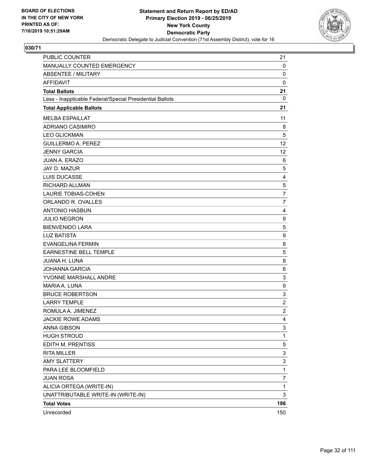

| PUBLIC COUNTER                                           | 21             |
|----------------------------------------------------------|----------------|
| MANUALLY COUNTED EMERGENCY                               | 0              |
| <b>ABSENTEE / MILITARY</b>                               | 0              |
| <b>AFFIDAVIT</b>                                         | $\mathbf 0$    |
| <b>Total Ballots</b>                                     | 21             |
| Less - Inapplicable Federal/Special Presidential Ballots | $\mathbf{0}$   |
| <b>Total Applicable Ballots</b>                          | 21             |
| <b>MELBA ESPAILLAT</b>                                   | 11             |
| <b>ADRIANO CASIMIRO</b>                                  | 8              |
| <b>LEO GLICKMAN</b>                                      | 5              |
| <b>GUILLERMO A. PEREZ</b>                                | 12             |
| <b>JENNY GARCIA</b>                                      | 12             |
| <b>JUAN A. ERAZO</b>                                     | 6              |
| JAY D. MAZUR                                             | 5              |
| <b>LUIS DUCASSE</b>                                      | 4              |
| RICHARD ALLMAN                                           | 5              |
| <b>LAURIE TOBIAS-COHEN</b>                               | 7              |
| ORLANDO R. OVALLES                                       | 7              |
| <b>ANTONIO HASBUN</b>                                    | $\overline{4}$ |
| <b>JULIO NEGRON</b>                                      | 9              |
| <b>BIENVENIDO LARA</b>                                   | 5              |
| <b>LUZ BATISTA</b>                                       | 9              |
| <b>EVANGELINA FERMIN</b>                                 | 8              |
| <b>EARNESTINE BELL TEMPLE</b>                            | 5              |
| <b>JUANA H. LUNA</b>                                     | 8              |
| <b>JOHANNA GARCIA</b>                                    | 6              |
| YVONNE MARSHALL ANDRE                                    | 3              |
| MARIA A. LUNA                                            | 9              |
| <b>BRUCE ROBERTSON</b>                                   | 3              |
| <b>LARRY TEMPLE</b>                                      | $\overline{2}$ |
| ROMULA A. JIMENEZ                                        | $\overline{2}$ |
| <b>JACKIE ROWE ADAMS</b>                                 | 4              |
| <b>ANNA GIBSON</b>                                       | 3              |
| <b>HUGH STROUD</b>                                       | 1              |
| EDITH M. PRENTISS                                        | 5              |
| <b>RITA MILLER</b>                                       | 3              |
| <b>AMY SLATTERY</b>                                      | 3              |
| PARA LEE BLOOMFIELD                                      | 1              |
| <b>JUAN ROSA</b>                                         | 7              |
| ALICIA ORTEGA (WRITE-IN)                                 | 1              |
| UNATTRIBUTABLE WRITE-IN (WRITE-IN)                       | 3              |
| <b>Total Votes</b>                                       | 186            |
| Unrecorded                                               | 150            |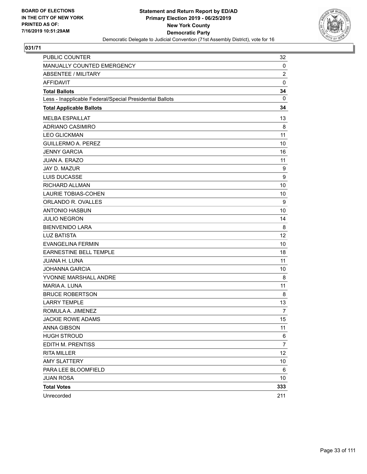

| PUBLIC COUNTER                                           | 32             |
|----------------------------------------------------------|----------------|
| MANUALLY COUNTED EMERGENCY                               | 0              |
| <b>ABSENTEE / MILITARY</b>                               | $\overline{c}$ |
| <b>AFFIDAVIT</b>                                         | $\mathbf 0$    |
| <b>Total Ballots</b>                                     | 34             |
| Less - Inapplicable Federal/Special Presidential Ballots | $\mathbf{0}$   |
| <b>Total Applicable Ballots</b>                          | 34             |
| <b>MELBA ESPAILLAT</b>                                   | 13             |
| ADRIANO CASIMIRO                                         | 8              |
| <b>LEO GLICKMAN</b>                                      | 11             |
| <b>GUILLERMO A. PEREZ</b>                                | 10             |
| <b>JENNY GARCIA</b>                                      | 16             |
| <b>JUAN A. ERAZO</b>                                     | 11             |
| JAY D. MAZUR                                             | 9              |
| <b>LUIS DUCASSE</b>                                      | 9              |
| RICHARD ALLMAN                                           | 10             |
| <b>LAURIE TOBIAS-COHEN</b>                               | 10             |
| ORLANDO R. OVALLES                                       | 9              |
| <b>ANTONIO HASBUN</b>                                    | 10             |
| <b>JULIO NEGRON</b>                                      | 14             |
| <b>BIENVENIDO LARA</b>                                   | 8              |
| <b>LUZ BATISTA</b>                                       | 12             |
| <b>EVANGELINA FERMIN</b>                                 | 10             |
| EARNESTINE BELL TEMPLE                                   | 18             |
| JUANA H. LUNA                                            | 11             |
| <b>JOHANNA GARCIA</b>                                    | 10             |
| YVONNE MARSHALL ANDRE                                    | 8              |
| MARIA A. LUNA                                            | 11             |
| <b>BRUCE ROBERTSON</b>                                   | 8              |
| <b>LARRY TEMPLE</b>                                      | 13             |
| ROMULA A. JIMENEZ                                        | $\overline{7}$ |
| <b>JACKIE ROWE ADAMS</b>                                 | 15             |
| <b>ANNA GIBSON</b>                                       | 11             |
| <b>HUGH STROUD</b>                                       | 6              |
| EDITH M. PRENTISS                                        | $\overline{7}$ |
| <b>RITA MILLER</b>                                       | 12             |
| <b>AMY SLATTERY</b>                                      | 10             |
| PARA LEE BLOOMFIELD                                      | 6              |
| <b>JUAN ROSA</b>                                         | 10             |
| <b>Total Votes</b>                                       | 333            |
| Unrecorded                                               | 211            |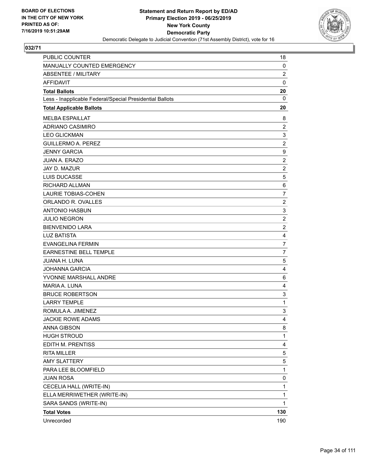

| <b>PUBLIC COUNTER</b>                                    | 18             |
|----------------------------------------------------------|----------------|
| MANUALLY COUNTED EMERGENCY                               | 0              |
| <b>ABSENTEE / MILITARY</b>                               | $\overline{2}$ |
| <b>AFFIDAVIT</b>                                         | $\mathbf 0$    |
| <b>Total Ballots</b>                                     | 20             |
| Less - Inapplicable Federal/Special Presidential Ballots | 0              |
| <b>Total Applicable Ballots</b>                          | 20             |
| <b>MELBA ESPAILLAT</b>                                   | 8              |
| ADRIANO CASIMIRO                                         | $\overline{c}$ |
| <b>LEO GLICKMAN</b>                                      | 3              |
| <b>GUILLERMO A. PEREZ</b>                                | $\overline{2}$ |
| <b>JENNY GARCIA</b>                                      | 9              |
| <b>JUAN A. ERAZO</b>                                     | $\overline{c}$ |
| JAY D. MAZUR                                             | $\overline{2}$ |
| <b>LUIS DUCASSE</b>                                      | 5              |
| RICHARD ALLMAN                                           | 6              |
| <b>LAURIE TOBIAS-COHEN</b>                               | $\overline{7}$ |
| ORLANDO R. OVALLES                                       | $\overline{c}$ |
| <b>ANTONIO HASBUN</b>                                    | 3              |
| <b>JULIO NEGRON</b>                                      | $\overline{2}$ |
| <b>BIENVENIDO LARA</b>                                   | $\overline{c}$ |
| <b>LUZ BATISTA</b>                                       | 4              |
| <b>EVANGELINA FERMIN</b>                                 | $\overline{7}$ |
| <b>EARNESTINE BELL TEMPLE</b>                            | $\overline{7}$ |
| JUANA H. LUNA                                            | 5              |
| <b>JOHANNA GARCIA</b>                                    | 4              |
| YVONNE MARSHALL ANDRE                                    | 6              |
| MARIA A. LUNA                                            | 4              |
| <b>BRUCE ROBERTSON</b>                                   | 3              |
| <b>LARRY TEMPLE</b>                                      | 1              |
| ROMULA A. JIMENEZ                                        | 3              |
| <b>JACKIE ROWE ADAMS</b>                                 | 4              |
| ANNA GIBSON                                              | 8              |
| <b>HUGH STROUD</b>                                       | $\mathbf{1}$   |
| EDITH M. PRENTISS                                        | 4              |
| <b>RITA MILLER</b>                                       | 5              |
| <b>AMY SLATTERY</b>                                      | 5              |
| PARA LEE BLOOMFIELD                                      | 1              |
| <b>JUAN ROSA</b>                                         | 0              |
| CECELIA HALL (WRITE-IN)                                  | $\mathbf{1}$   |
| ELLA MERRIWETHER (WRITE-IN)                              | 1              |
| SARA SANDS (WRITE-IN)                                    | 1              |
| <b>Total Votes</b>                                       | 130            |
| Unrecorded                                               | 190            |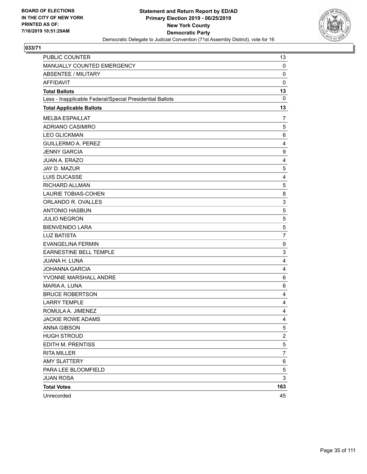

| <b>PUBLIC COUNTER</b>                                    | 13             |
|----------------------------------------------------------|----------------|
| MANUALLY COUNTED EMERGENCY                               | 0              |
| <b>ABSENTEE / MILITARY</b>                               | $\mathbf 0$    |
| <b>AFFIDAVIT</b>                                         | $\mathbf 0$    |
| <b>Total Ballots</b>                                     | 13             |
| Less - Inapplicable Federal/Special Presidential Ballots | 0              |
| <b>Total Applicable Ballots</b>                          | 13             |
| <b>MELBA ESPAILLAT</b>                                   | 7              |
| ADRIANO CASIMIRO                                         | 5              |
| <b>LEO GLICKMAN</b>                                      | 6              |
| <b>GUILLERMO A. PEREZ</b>                                | $\overline{4}$ |
| <b>JENNY GARCIA</b>                                      | 9              |
| <b>JUAN A. ERAZO</b>                                     | 4              |
| JAY D. MAZUR                                             | 5              |
| LUIS DUCASSE                                             | 4              |
| RICHARD ALLMAN                                           | 5              |
| <b>LAURIE TOBIAS-COHEN</b>                               | 8              |
| ORLANDO R. OVALLES                                       | 3              |
| <b>ANTONIO HASBUN</b>                                    | $\sqrt{5}$     |
| <b>JULIO NEGRON</b>                                      | 5              |
| <b>BIENVENIDO LARA</b>                                   | $\mathbf 5$    |
| <b>LUZ BATISTA</b>                                       | $\overline{7}$ |
| <b>EVANGELINA FERMIN</b>                                 | 9              |
| <b>EARNESTINE BELL TEMPLE</b>                            | 3              |
| JUANA H. LUNA                                            | 4              |
| <b>JOHANNA GARCIA</b>                                    | $\overline{4}$ |
| YVONNE MARSHALL ANDRE                                    | 6              |
| MARIA A. LUNA                                            | 6              |
| <b>BRUCE ROBERTSON</b>                                   | 4              |
| <b>LARRY TEMPLE</b>                                      | 4              |
| ROMULA A. JIMENEZ                                        | 4              |
| <b>JACKIE ROWE ADAMS</b>                                 | $\overline{4}$ |
| <b>ANNA GIBSON</b>                                       | $\,$ 5 $\,$    |
| <b>HUGH STROUD</b>                                       | $\overline{c}$ |
| EDITH M. PRENTISS                                        | 5              |
| <b>RITA MILLER</b>                                       | 7              |
| <b>AMY SLATTERY</b>                                      | 6              |
| PARA LEE BLOOMFIELD                                      | 5              |
| <b>JUAN ROSA</b>                                         | 3              |
| <b>Total Votes</b>                                       | 163            |
| Unrecorded                                               | 45             |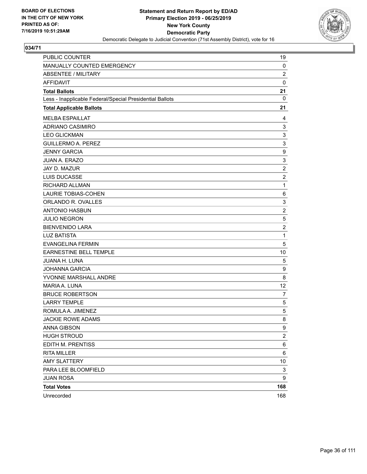

| PUBLIC COUNTER                                           | 19             |
|----------------------------------------------------------|----------------|
| MANUALLY COUNTED EMERGENCY                               | 0              |
| <b>ABSENTEE / MILITARY</b>                               | $\overline{c}$ |
| AFFIDAVIT                                                | 0              |
| <b>Total Ballots</b>                                     | 21             |
| Less - Inapplicable Federal/Special Presidential Ballots | $\mathbf 0$    |
| <b>Total Applicable Ballots</b>                          | 21             |
| <b>MELBA ESPAILLAT</b>                                   | 4              |
| ADRIANO CASIMIRO                                         | 3              |
| <b>LEO GLICKMAN</b>                                      | 3              |
| <b>GUILLERMO A. PEREZ</b>                                | 3              |
| <b>JENNY GARCIA</b>                                      | 9              |
| JUAN A. ERAZO                                            | 3              |
| JAY D. MAZUR                                             | $\overline{c}$ |
| LUIS DUCASSE                                             | $\overline{2}$ |
| RICHARD ALLMAN                                           | 1              |
| <b>LAURIE TOBIAS-COHEN</b>                               | 6              |
| ORLANDO R. OVALLES                                       | 3              |
| <b>ANTONIO HASBUN</b>                                    | $\overline{c}$ |
| <b>JULIO NEGRON</b>                                      | 5              |
| <b>BIENVENIDO LARA</b>                                   | $\overline{2}$ |
| <b>LUZ BATISTA</b>                                       | 1              |
| <b>EVANGELINA FERMIN</b>                                 | 5              |
| <b>EARNESTINE BELL TEMPLE</b>                            | 10             |
| JUANA H. LUNA                                            | 5              |
| <b>JOHANNA GARCIA</b>                                    | 9              |
| YVONNE MARSHALL ANDRE                                    | 8              |
| MARIA A. LUNA                                            | 12             |
| <b>BRUCE ROBERTSON</b>                                   | 7              |
| <b>LARRY TEMPLE</b>                                      | 5              |
| ROMULA A. JIMENEZ                                        | 5              |
| <b>JACKIE ROWE ADAMS</b>                                 | 8              |
| <b>ANNA GIBSON</b>                                       | 9              |
| <b>HUGH STROUD</b>                                       | $\overline{c}$ |
| EDITH M. PRENTISS                                        | 6              |
| <b>RITA MILLER</b>                                       | 6              |
| <b>AMY SLATTERY</b>                                      | 10             |
| PARA LEE BLOOMFIELD                                      | 3              |
| <b>JUAN ROSA</b>                                         | 9              |
| <b>Total Votes</b>                                       | 168            |
| Unrecorded                                               | 168            |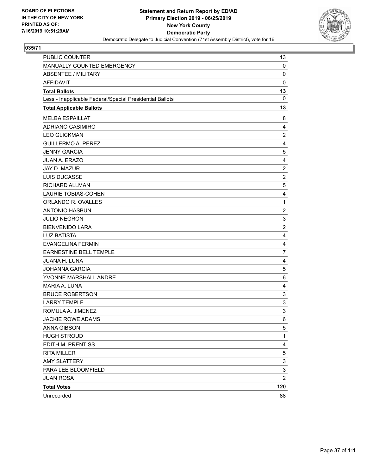

| PUBLIC COUNTER                                           | 13                        |
|----------------------------------------------------------|---------------------------|
| MANUALLY COUNTED EMERGENCY                               | 0                         |
| <b>ABSENTEE / MILITARY</b>                               | $\mathbf 0$               |
| <b>AFFIDAVIT</b>                                         | $\mathbf 0$               |
| <b>Total Ballots</b>                                     | 13                        |
| Less - Inapplicable Federal/Special Presidential Ballots | 0                         |
| <b>Total Applicable Ballots</b>                          | 13                        |
| <b>MELBA ESPAILLAT</b>                                   | 8                         |
| ADRIANO CASIMIRO                                         | 4                         |
| <b>LEO GLICKMAN</b>                                      | $\boldsymbol{2}$          |
| <b>GUILLERMO A. PEREZ</b>                                | 4                         |
| <b>JENNY GARCIA</b>                                      | 5                         |
| <b>JUAN A. ERAZO</b>                                     | 4                         |
| JAY D. MAZUR                                             | $\overline{2}$            |
| LUIS DUCASSE                                             | $\overline{c}$            |
| RICHARD ALLMAN                                           | 5                         |
| <b>LAURIE TOBIAS-COHEN</b>                               | 4                         |
| ORLANDO R. OVALLES                                       | $\mathbf{1}$              |
| <b>ANTONIO HASBUN</b>                                    | $\boldsymbol{2}$          |
| <b>JULIO NEGRON</b>                                      | 3                         |
| <b>BIENVENIDO LARA</b>                                   | $\overline{c}$            |
| <b>LUZ BATISTA</b>                                       | 4                         |
| <b>EVANGELINA FERMIN</b>                                 | 4                         |
| EARNESTINE BELL TEMPLE                                   | $\overline{7}$            |
| JUANA H. LUNA                                            | 4                         |
| <b>JOHANNA GARCIA</b>                                    | 5                         |
| YVONNE MARSHALL ANDRE                                    | 6                         |
| MARIA A. LUNA                                            | 4                         |
| <b>BRUCE ROBERTSON</b>                                   | 3                         |
| <b>LARRY TEMPLE</b>                                      | $\ensuremath{\mathsf{3}}$ |
| ROMULA A. JIMENEZ                                        | 3                         |
| <b>JACKIE ROWE ADAMS</b>                                 | 6                         |
| <b>ANNA GIBSON</b>                                       | 5                         |
| <b>HUGH STROUD</b>                                       | $\mathbf{1}$              |
| EDITH M. PRENTISS                                        | 4                         |
| <b>RITA MILLER</b>                                       | 5                         |
| <b>AMY SLATTERY</b>                                      | 3                         |
| PARA LEE BLOOMFIELD                                      | 3                         |
| <b>JUAN ROSA</b>                                         | $\overline{\mathbf{c}}$   |
| <b>Total Votes</b>                                       | 120                       |
| Unrecorded                                               | 88                        |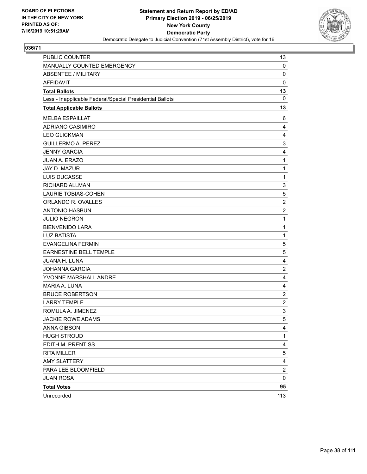

| PUBLIC COUNTER                                           | 13                      |
|----------------------------------------------------------|-------------------------|
| MANUALLY COUNTED EMERGENCY                               | 0                       |
| <b>ABSENTEE / MILITARY</b>                               | $\mathbf 0$             |
| <b>AFFIDAVIT</b>                                         | $\mathbf 0$             |
| <b>Total Ballots</b>                                     | 13                      |
| Less - Inapplicable Federal/Special Presidential Ballots | 0                       |
| <b>Total Applicable Ballots</b>                          | 13                      |
| <b>MELBA ESPAILLAT</b>                                   | 6                       |
| ADRIANO CASIMIRO                                         | 4                       |
| <b>LEO GLICKMAN</b>                                      | 4                       |
| <b>GUILLERMO A. PEREZ</b>                                | 3                       |
| <b>JENNY GARCIA</b>                                      | 4                       |
| <b>JUAN A. ERAZO</b>                                     | 1                       |
| JAY D. MAZUR                                             | 1                       |
| LUIS DUCASSE                                             | 1                       |
| RICHARD ALLMAN                                           | 3                       |
| <b>LAURIE TOBIAS-COHEN</b>                               | 5                       |
| ORLANDO R. OVALLES                                       | $\overline{c}$          |
| <b>ANTONIO HASBUN</b>                                    | $\boldsymbol{2}$        |
| <b>JULIO NEGRON</b>                                      | 1                       |
| <b>BIENVENIDO LARA</b>                                   | 1                       |
| <b>LUZ BATISTA</b>                                       | $\mathbf{1}$            |
| <b>EVANGELINA FERMIN</b>                                 | 5                       |
| <b>EARNESTINE BELL TEMPLE</b>                            | 5                       |
| JUANA H. LUNA                                            | $\overline{4}$          |
| <b>JOHANNA GARCIA</b>                                    | $\overline{2}$          |
| YVONNE MARSHALL ANDRE                                    | 4                       |
| MARIA A. LUNA                                            | $\overline{4}$          |
| <b>BRUCE ROBERTSON</b>                                   | $\overline{2}$          |
| <b>LARRY TEMPLE</b>                                      | $\overline{c}$          |
| ROMULA A. JIMENEZ                                        | 3                       |
| <b>JACKIE ROWE ADAMS</b>                                 | 5                       |
| ANNA GIBSON                                              | 4                       |
| <b>HUGH STROUD</b>                                       | $\mathbf{1}$            |
| EDITH M. PRENTISS                                        | 4                       |
| <b>RITA MILLER</b>                                       | $\,$ 5 $\,$             |
| <b>AMY SLATTERY</b>                                      | $\overline{\mathbf{4}}$ |
| PARA LEE BLOOMFIELD                                      | $\overline{c}$          |
| <b>JUAN ROSA</b>                                         | 0                       |
| <b>Total Votes</b>                                       | 95                      |
| Unrecorded                                               | 113                     |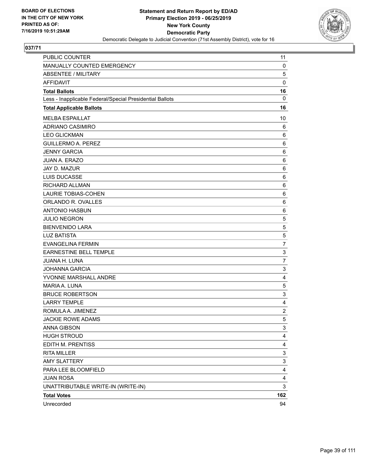

| PUBLIC COUNTER                                           | 11               |
|----------------------------------------------------------|------------------|
| MANUALLY COUNTED EMERGENCY                               | 0                |
| <b>ABSENTEE / MILITARY</b>                               | 5                |
| <b>AFFIDAVIT</b>                                         | $\mathbf 0$      |
| <b>Total Ballots</b>                                     | 16               |
| Less - Inapplicable Federal/Special Presidential Ballots | 0                |
| <b>Total Applicable Ballots</b>                          | 16               |
| <b>MELBA ESPAILLAT</b>                                   | 10               |
| ADRIANO CASIMIRO                                         | 6                |
| <b>LEO GLICKMAN</b>                                      | 6                |
| <b>GUILLERMO A. PEREZ</b>                                | 6                |
| <b>JENNY GARCIA</b>                                      | 6                |
| <b>JUAN A. ERAZO</b>                                     | $\,6$            |
| JAY D. MAZUR                                             | 6                |
| <b>LUIS DUCASSE</b>                                      | 6                |
| RICHARD ALLMAN                                           | 6                |
| <b>LAURIE TOBIAS-COHEN</b>                               | 6                |
| ORLANDO R. OVALLES                                       | 6                |
| <b>ANTONIO HASBUN</b>                                    | $\,6$            |
| <b>JULIO NEGRON</b>                                      | 5                |
| <b>BIENVENIDO LARA</b>                                   | 5                |
| <b>LUZ BATISTA</b>                                       | 5                |
| <b>EVANGELINA FERMIN</b>                                 | $\overline{7}$   |
| EARNESTINE BELL TEMPLE                                   | 3                |
| JUANA H. LUNA                                            | $\overline{7}$   |
| <b>JOHANNA GARCIA</b>                                    | 3                |
| YVONNE MARSHALL ANDRE                                    | 4                |
| MARIA A. LUNA                                            | $\mathbf 5$      |
| <b>BRUCE ROBERTSON</b>                                   | 3                |
| <b>LARRY TEMPLE</b>                                      | 4                |
| ROMULA A. JIMENEZ                                        | $\boldsymbol{2}$ |
| <b>JACKIE ROWE ADAMS</b>                                 | 5                |
| ANNA GIBSON                                              | 3                |
| <b>HUGH STROUD</b>                                       | 4                |
| EDITH M. PRENTISS                                        | 4                |
| <b>RITA MILLER</b>                                       | 3                |
| <b>AMY SLATTERY</b>                                      | 3                |
| PARA LEE BLOOMFIELD                                      | 4                |
| <b>JUAN ROSA</b>                                         | 4                |
| UNATTRIBUTABLE WRITE-IN (WRITE-IN)                       | 3                |
| <b>Total Votes</b>                                       | 162              |
| Unrecorded                                               | 94               |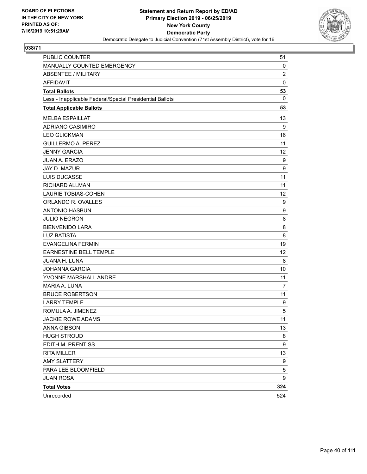

| PUBLIC COUNTER                                           | 51             |
|----------------------------------------------------------|----------------|
| MANUALLY COUNTED EMERGENCY                               | 0              |
| <b>ABSENTEE / MILITARY</b>                               | $\overline{c}$ |
| <b>AFFIDAVIT</b>                                         | $\mathbf 0$    |
| <b>Total Ballots</b>                                     | 53             |
| Less - Inapplicable Federal/Special Presidential Ballots | $\mathbf{0}$   |
| <b>Total Applicable Ballots</b>                          | 53             |
| <b>MELBA ESPAILLAT</b>                                   | 13             |
| <b>ADRIANO CASIMIRO</b>                                  | 9              |
| <b>LEO GLICKMAN</b>                                      | 16             |
| <b>GUILLERMO A. PEREZ</b>                                | 11             |
| <b>JENNY GARCIA</b>                                      | 12             |
| <b>JUAN A. ERAZO</b>                                     | 9              |
| JAY D. MAZUR                                             | 9              |
| LUIS DUCASSE                                             | 11             |
| RICHARD ALLMAN                                           | 11             |
| <b>LAURIE TOBIAS-COHEN</b>                               | 12             |
| ORLANDO R. OVALLES                                       | 9              |
| <b>ANTONIO HASBUN</b>                                    | 9              |
| <b>JULIO NEGRON</b>                                      | 8              |
| <b>BIENVENIDO LARA</b>                                   | 8              |
| <b>LUZ BATISTA</b>                                       | 8              |
| <b>EVANGELINA FERMIN</b>                                 | 19             |
| <b>EARNESTINE BELL TEMPLE</b>                            | 12             |
| JUANA H. LUNA                                            | 8              |
| <b>JOHANNA GARCIA</b>                                    | 10             |
| YVONNE MARSHALL ANDRE                                    | 11             |
| MARIA A. LUNA                                            | 7              |
| <b>BRUCE ROBERTSON</b>                                   | 11             |
| <b>LARRY TEMPLE</b>                                      | 9              |
| ROMULA A. JIMENEZ                                        | 5              |
| <b>JACKIE ROWE ADAMS</b>                                 | 11             |
| <b>ANNA GIBSON</b>                                       | 13             |
| <b>HUGH STROUD</b>                                       | 8              |
| EDITH M. PRENTISS                                        | 9              |
| <b>RITA MILLER</b>                                       | 13             |
| <b>AMY SLATTERY</b>                                      | 9              |
| PARA LEE BLOOMFIELD                                      | 5              |
| <b>JUAN ROSA</b>                                         | 9              |
| <b>Total Votes</b>                                       | 324            |
| Unrecorded                                               | 524            |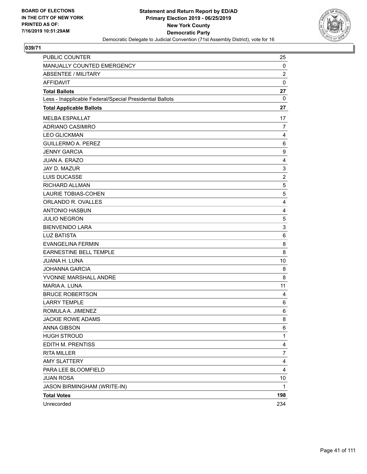

| PUBLIC COUNTER                                           | 25             |
|----------------------------------------------------------|----------------|
| MANUALLY COUNTED EMERGENCY                               | 0              |
| <b>ABSENTEE / MILITARY</b>                               | $\overline{2}$ |
| <b>AFFIDAVIT</b>                                         | 0              |
| <b>Total Ballots</b>                                     | 27             |
| Less - Inapplicable Federal/Special Presidential Ballots | 0              |
| <b>Total Applicable Ballots</b>                          | 27             |
| <b>MELBA ESPAILLAT</b>                                   | 17             |
| ADRIANO CASIMIRO                                         | $\overline{7}$ |
| <b>LEO GLICKMAN</b>                                      | 4              |
| <b>GUILLERMO A. PEREZ</b>                                | 6              |
| <b>JENNY GARCIA</b>                                      | 9              |
| <b>JUAN A. ERAZO</b>                                     | 4              |
| JAY D. MAZUR                                             | 3              |
| <b>LUIS DUCASSE</b>                                      | $\overline{c}$ |
| <b>RICHARD ALLMAN</b>                                    | 5              |
| LAURIE TOBIAS-COHEN                                      | 5              |
| ORLANDO R. OVALLES                                       | 4              |
| <b>ANTONIO HASBUN</b>                                    | 4              |
| <b>JULIO NEGRON</b>                                      | 5              |
| <b>BIENVENIDO LARA</b>                                   | 3              |
| <b>LUZ BATISTA</b>                                       | 6              |
| <b>EVANGELINA FERMIN</b>                                 | 8              |
| EARNESTINE BELL TEMPLE                                   | 8              |
| <b>JUANA H. LUNA</b>                                     | 10             |
| <b>JOHANNA GARCIA</b>                                    | 8              |
| YVONNE MARSHALL ANDRE                                    | 8              |
| MARIA A. LUNA                                            | 11             |
| <b>BRUCE ROBERTSON</b>                                   | 4              |
| <b>LARRY TEMPLE</b>                                      | 6              |
| ROMULA A. JIMENEZ                                        | 6              |
| <b>JACKIE ROWE ADAMS</b>                                 | 8              |
| <b>ANNA GIBSON</b>                                       | 6              |
| <b>HUGH STROUD</b>                                       | 1              |
| EDITH M. PRENTISS                                        | 4              |
| <b>RITA MILLER</b>                                       | 7              |
| <b>AMY SLATTERY</b>                                      | 4              |
| PARA LEE BLOOMFIELD                                      | 4              |
| <b>JUAN ROSA</b>                                         | 10             |
| JASON BIRMINGHAM (WRITE-IN)                              | 1              |
| <b>Total Votes</b>                                       | 198            |
| Unrecorded                                               | 234            |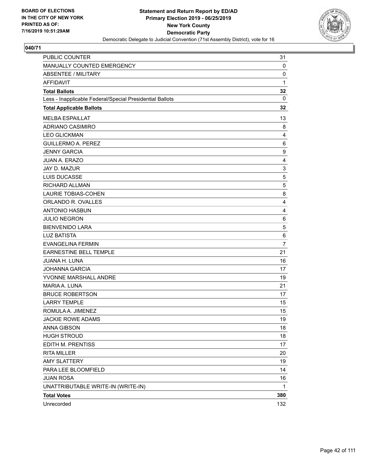

| PUBLIC COUNTER                                           | 31             |
|----------------------------------------------------------|----------------|
| MANUALLY COUNTED EMERGENCY                               | 0              |
| <b>ABSENTEE / MILITARY</b>                               | 0              |
| <b>AFFIDAVIT</b>                                         | $\mathbf{1}$   |
| <b>Total Ballots</b>                                     | 32             |
| Less - Inapplicable Federal/Special Presidential Ballots | $\mathbf{0}$   |
| <b>Total Applicable Ballots</b>                          | 32             |
| <b>MELBA ESPAILLAT</b>                                   | 13             |
| ADRIANO CASIMIRO                                         | 8              |
| <b>LEO GLICKMAN</b>                                      | 4              |
| <b>GUILLERMO A. PEREZ</b>                                | 6              |
| <b>JENNY GARCIA</b>                                      | 9              |
| <b>JUAN A. ERAZO</b>                                     | 4              |
| JAY D. MAZUR                                             | 3              |
| LUIS DUCASSE                                             | 5              |
| RICHARD ALLMAN                                           | 5              |
| <b>LAURIE TOBIAS-COHEN</b>                               | 8              |
| ORLANDO R. OVALLES                                       | 4              |
| <b>ANTONIO HASBUN</b>                                    | 4              |
| <b>JULIO NEGRON</b>                                      | 6              |
| <b>BIENVENIDO LARA</b>                                   | 5              |
| <b>LUZ BATISTA</b>                                       | 6              |
| <b>EVANGELINA FERMIN</b>                                 | $\overline{7}$ |
| EARNESTINE BELL TEMPLE                                   | 21             |
| <b>JUANA H. LUNA</b>                                     | 16             |
| <b>JOHANNA GARCIA</b>                                    | 17             |
| YVONNE MARSHALL ANDRE                                    | 19             |
| MARIA A. LUNA                                            | 21             |
| <b>BRUCE ROBERTSON</b>                                   | 17             |
| <b>LARRY TEMPLE</b>                                      | 15             |
| ROMULA A. JIMENEZ                                        | 15             |
| <b>JACKIE ROWE ADAMS</b>                                 | 19             |
| <b>ANNA GIBSON</b>                                       | 18             |
| <b>HUGH STROUD</b>                                       | 18             |
| EDITH M. PRENTISS                                        | 17             |
| <b>RITA MILLER</b>                                       | 20             |
| <b>AMY SLATTERY</b>                                      | 19             |
| PARA LEE BLOOMFIELD                                      | 14             |
| <b>JUAN ROSA</b>                                         | 16             |
| UNATTRIBUTABLE WRITE-IN (WRITE-IN)                       | 1              |
| <b>Total Votes</b>                                       | 380            |
| Unrecorded                                               | 132            |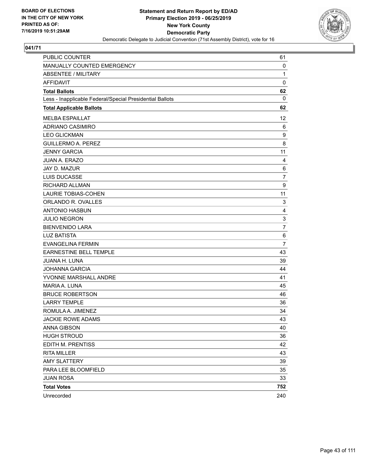

| PUBLIC COUNTER                                           | 61             |
|----------------------------------------------------------|----------------|
| MANUALLY COUNTED EMERGENCY                               | 0              |
| <b>ABSENTEE / MILITARY</b>                               | $\mathbf{1}$   |
| <b>AFFIDAVIT</b>                                         | $\mathbf 0$    |
| <b>Total Ballots</b>                                     | 62             |
| Less - Inapplicable Federal/Special Presidential Ballots | $\mathbf{0}$   |
| <b>Total Applicable Ballots</b>                          | 62             |
| <b>MELBA ESPAILLAT</b>                                   | 12             |
| ADRIANO CASIMIRO                                         | 6              |
| <b>LEO GLICKMAN</b>                                      | 9              |
| <b>GUILLERMO A. PEREZ</b>                                | 8              |
| <b>JENNY GARCIA</b>                                      | 11             |
| <b>JUAN A. ERAZO</b>                                     | $\overline{4}$ |
| JAY D. MAZUR                                             | 6              |
| <b>LUIS DUCASSE</b>                                      | 7              |
| RICHARD ALLMAN                                           | 9              |
| <b>LAURIE TOBIAS-COHEN</b>                               | 11             |
| ORLANDO R. OVALLES                                       | 3              |
| <b>ANTONIO HASBUN</b>                                    | 4              |
| <b>JULIO NEGRON</b>                                      | 3              |
| <b>BIENVENIDO LARA</b>                                   | 7              |
| <b>LUZ BATISTA</b>                                       | 6              |
| <b>EVANGELINA FERMIN</b>                                 | 7              |
| <b>EARNESTINE BELL TEMPLE</b>                            | 43             |
| JUANA H. LUNA                                            | 39             |
| <b>JOHANNA GARCIA</b>                                    | 44             |
| YVONNE MARSHALL ANDRE                                    | 41             |
| MARIA A. LUNA                                            | 45             |
| <b>BRUCE ROBERTSON</b>                                   | 46             |
| <b>LARRY TEMPLE</b>                                      | 36             |
| ROMULA A. JIMENEZ                                        | 34             |
| <b>JACKIE ROWE ADAMS</b>                                 | 43             |
| <b>ANNA GIBSON</b>                                       | 40             |
| <b>HUGH STROUD</b>                                       | 36             |
| EDITH M. PRENTISS                                        | 42             |
| <b>RITA MILLER</b>                                       | 43             |
| <b>AMY SLATTERY</b>                                      | 39             |
| PARA LEE BLOOMFIELD                                      | 35             |
| <b>JUAN ROSA</b>                                         | 33             |
| <b>Total Votes</b>                                       | 752            |
| Unrecorded                                               | 240            |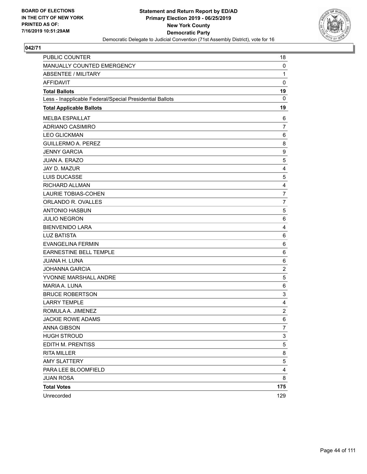

| <b>PUBLIC COUNTER</b>                                    | 18               |
|----------------------------------------------------------|------------------|
| MANUALLY COUNTED EMERGENCY                               | 0                |
| <b>ABSENTEE / MILITARY</b>                               | $\mathbf{1}$     |
| <b>AFFIDAVIT</b>                                         | $\mathbf 0$      |
| <b>Total Ballots</b>                                     | 19               |
| Less - Inapplicable Federal/Special Presidential Ballots | 0                |
| <b>Total Applicable Ballots</b>                          | 19               |
| <b>MELBA ESPAILLAT</b>                                   | 6                |
| ADRIANO CASIMIRO                                         | $\overline{7}$   |
| <b>LEO GLICKMAN</b>                                      | 6                |
| <b>GUILLERMO A. PEREZ</b>                                | 8                |
| <b>JENNY GARCIA</b>                                      | 9                |
| <b>JUAN A. ERAZO</b>                                     | $\sqrt{5}$       |
| JAY D. MAZUR                                             | $\overline{4}$   |
| LUIS DUCASSE                                             | 5                |
| RICHARD ALLMAN                                           | 4                |
| <b>LAURIE TOBIAS-COHEN</b>                               | $\overline{7}$   |
| ORLANDO R. OVALLES                                       | 7                |
| <b>ANTONIO HASBUN</b>                                    | $\sqrt{5}$       |
| <b>JULIO NEGRON</b>                                      | 6                |
| <b>BIENVENIDO LARA</b>                                   | 4                |
| <b>LUZ BATISTA</b>                                       | 6                |
| <b>EVANGELINA FERMIN</b>                                 | 6                |
| <b>EARNESTINE BELL TEMPLE</b>                            | 6                |
| JUANA H. LUNA                                            | 6                |
| <b>JOHANNA GARCIA</b>                                    | $\overline{2}$   |
| YVONNE MARSHALL ANDRE                                    | $\,$ 5 $\,$      |
| MARIA A. LUNA                                            | $\,6$            |
| <b>BRUCE ROBERTSON</b>                                   | 3                |
| <b>LARRY TEMPLE</b>                                      | $\overline{4}$   |
| ROMULA A. JIMENEZ                                        | $\boldsymbol{2}$ |
| <b>JACKIE ROWE ADAMS</b>                                 | 6                |
| <b>ANNA GIBSON</b>                                       | 7                |
| <b>HUGH STROUD</b>                                       | 3                |
| EDITH M. PRENTISS                                        | 5                |
| <b>RITA MILLER</b>                                       | 8                |
| <b>AMY SLATTERY</b>                                      | 5                |
| PARA LEE BLOOMFIELD                                      | 4                |
| <b>JUAN ROSA</b>                                         | 8                |
| <b>Total Votes</b>                                       | 175              |
| Unrecorded                                               | 129              |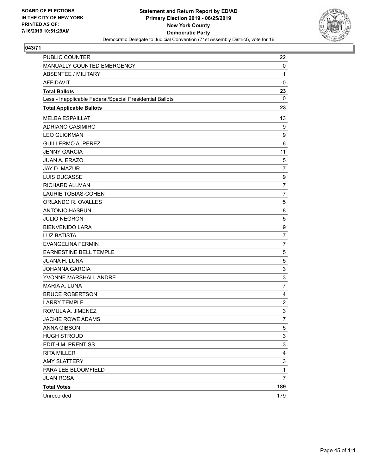

| PUBLIC COUNTER                                           | 22               |
|----------------------------------------------------------|------------------|
| MANUALLY COUNTED EMERGENCY                               | 0                |
| <b>ABSENTEE / MILITARY</b>                               | 1                |
| <b>AFFIDAVIT</b>                                         | $\mathbf 0$      |
| <b>Total Ballots</b>                                     | 23               |
| Less - Inapplicable Federal/Special Presidential Ballots | $\mathbf{0}$     |
| <b>Total Applicable Ballots</b>                          | 23               |
| <b>MELBA ESPAILLAT</b>                                   | 13               |
| <b>ADRIANO CASIMIRO</b>                                  | 9                |
| <b>LEO GLICKMAN</b>                                      | 9                |
| <b>GUILLERMO A. PEREZ</b>                                | 6                |
| <b>JENNY GARCIA</b>                                      | 11               |
| <b>JUAN A. ERAZO</b>                                     | 5                |
| JAY D. MAZUR                                             | $\overline{7}$   |
| LUIS DUCASSE                                             | 9                |
| RICHARD ALLMAN                                           | $\overline{7}$   |
| <b>LAURIE TOBIAS-COHEN</b>                               | 7                |
| ORLANDO R. OVALLES                                       | 5                |
| <b>ANTONIO HASBUN</b>                                    | 8                |
| <b>JULIO NEGRON</b>                                      | 5                |
| <b>BIENVENIDO LARA</b>                                   | $\boldsymbol{9}$ |
| <b>LUZ BATISTA</b>                                       | $\overline{7}$   |
| <b>EVANGELINA FERMIN</b>                                 | 7                |
| <b>EARNESTINE BELL TEMPLE</b>                            | 5                |
| JUANA H. LUNA                                            | 5                |
| <b>JOHANNA GARCIA</b>                                    | 3                |
| YVONNE MARSHALL ANDRE                                    | 3                |
| MARIA A. LUNA                                            | $\overline{7}$   |
| <b>BRUCE ROBERTSON</b>                                   | 4                |
| <b>LARRY TEMPLE</b>                                      | $\overline{c}$   |
| ROMULA A. JIMENEZ                                        | 3                |
| <b>JACKIE ROWE ADAMS</b>                                 | $\overline{7}$   |
| <b>ANNA GIBSON</b>                                       | 5                |
| <b>HUGH STROUD</b>                                       | 3                |
| EDITH M. PRENTISS                                        | 3                |
| <b>RITA MILLER</b>                                       | 4                |
| <b>AMY SLATTERY</b>                                      | 3                |
| PARA LEE BLOOMFIELD                                      | 1                |
| <b>JUAN ROSA</b>                                         | 7                |
| <b>Total Votes</b>                                       | 189              |
| Unrecorded                                               | 179              |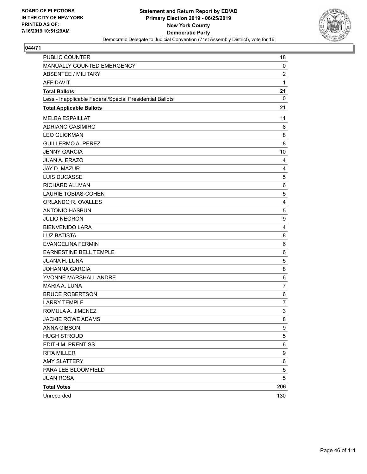

| PUBLIC COUNTER                                           | 18             |
|----------------------------------------------------------|----------------|
| MANUALLY COUNTED EMERGENCY                               | 0              |
| <b>ABSENTEE / MILITARY</b>                               | $\overline{c}$ |
| AFFIDAVIT                                                | 1              |
| <b>Total Ballots</b>                                     | 21             |
| Less - Inapplicable Federal/Special Presidential Ballots | $\mathbf 0$    |
| <b>Total Applicable Ballots</b>                          | 21             |
| <b>MELBA ESPAILLAT</b>                                   | 11             |
| <b>ADRIANO CASIMIRO</b>                                  | 8              |
| <b>LEO GLICKMAN</b>                                      | 8              |
| <b>GUILLERMO A. PEREZ</b>                                | 8              |
| <b>JENNY GARCIA</b>                                      | 10             |
| JUAN A. ERAZO                                            | 4              |
| JAY D. MAZUR                                             | $\overline{4}$ |
| LUIS DUCASSE                                             | $\mathbf 5$    |
| RICHARD ALLMAN                                           | 6              |
| <b>LAURIE TOBIAS-COHEN</b>                               | 5              |
| ORLANDO R. OVALLES                                       | 4              |
| <b>ANTONIO HASBUN</b>                                    | 5              |
| <b>JULIO NEGRON</b>                                      | 9              |
| <b>BIENVENIDO LARA</b>                                   | $\overline{4}$ |
| <b>LUZ BATISTA</b>                                       | 8              |
| <b>EVANGELINA FERMIN</b>                                 | 6              |
| <b>EARNESTINE BELL TEMPLE</b>                            | 6              |
| JUANA H. LUNA                                            | 5              |
| <b>JOHANNA GARCIA</b>                                    | 8              |
| YVONNE MARSHALL ANDRE                                    | $\,6$          |
| MARIA A. LUNA                                            | $\overline{7}$ |
| <b>BRUCE ROBERTSON</b>                                   | 6              |
| <b>LARRY TEMPLE</b>                                      | $\overline{7}$ |
| ROMULA A. JIMENEZ                                        | 3              |
| <b>JACKIE ROWE ADAMS</b>                                 | 8              |
| <b>ANNA GIBSON</b>                                       | 9              |
| <b>HUGH STROUD</b>                                       | 5              |
| EDITH M. PRENTISS                                        | 6              |
| <b>RITA MILLER</b>                                       | 9              |
| <b>AMY SLATTERY</b>                                      | 6              |
| PARA LEE BLOOMFIELD                                      | 5              |
| <b>JUAN ROSA</b>                                         | 5              |
| <b>Total Votes</b>                                       | 206            |
| Unrecorded                                               | 130            |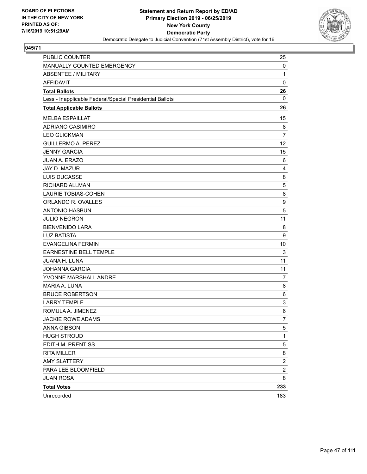

| PUBLIC COUNTER                                           | 25               |
|----------------------------------------------------------|------------------|
| MANUALLY COUNTED EMERGENCY                               | 0                |
| <b>ABSENTEE / MILITARY</b>                               | 1                |
| <b>AFFIDAVIT</b>                                         | $\mathbf 0$      |
| <b>Total Ballots</b>                                     | 26               |
| Less - Inapplicable Federal/Special Presidential Ballots | $\mathbf{0}$     |
| <b>Total Applicable Ballots</b>                          | 26               |
| <b>MELBA ESPAILLAT</b>                                   | 15               |
| <b>ADRIANO CASIMIRO</b>                                  | 8                |
| <b>LEO GLICKMAN</b>                                      | $\overline{7}$   |
| <b>GUILLERMO A. PEREZ</b>                                | 12               |
| <b>JENNY GARCIA</b>                                      | 15               |
| <b>JUAN A. ERAZO</b>                                     | 6                |
| JAY D. MAZUR                                             | 4                |
| LUIS DUCASSE                                             | 8                |
| RICHARD ALLMAN                                           | 5                |
| <b>LAURIE TOBIAS-COHEN</b>                               | 8                |
| ORLANDO R. OVALLES                                       | 9                |
| <b>ANTONIO HASBUN</b>                                    | 5                |
| <b>JULIO NEGRON</b>                                      | 11               |
| <b>BIENVENIDO LARA</b>                                   | 8                |
| <b>LUZ BATISTA</b>                                       | 9                |
| <b>EVANGELINA FERMIN</b>                                 | 10               |
| EARNESTINE BELL TEMPLE                                   | 3                |
| JUANA H. LUNA                                            | 11               |
| <b>JOHANNA GARCIA</b>                                    | 11               |
| YVONNE MARSHALL ANDRE                                    | 7                |
| MARIA A. LUNA                                            | 8                |
| <b>BRUCE ROBERTSON</b>                                   | 6                |
| <b>LARRY TEMPLE</b>                                      | 3                |
| ROMULA A. JIMENEZ                                        | $6\phantom{1}6$  |
| <b>JACKIE ROWE ADAMS</b>                                 | $\overline{7}$   |
| <b>ANNA GIBSON</b>                                       | 5                |
| <b>HUGH STROUD</b>                                       | $\mathbf{1}$     |
| EDITH M. PRENTISS                                        | 5                |
| <b>RITA MILLER</b>                                       | 8                |
| <b>AMY SLATTERY</b>                                      | $\boldsymbol{2}$ |
| PARA LEE BLOOMFIELD                                      | $\overline{c}$   |
| <b>JUAN ROSA</b>                                         | 8                |
| <b>Total Votes</b>                                       | 233              |
| Unrecorded                                               | 183              |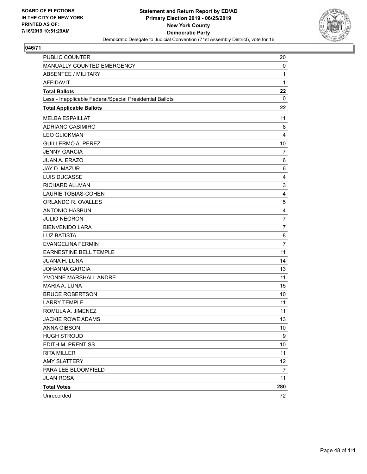

| PUBLIC COUNTER                                           | 20                      |
|----------------------------------------------------------|-------------------------|
| MANUALLY COUNTED EMERGENCY                               | 0                       |
| <b>ABSENTEE / MILITARY</b>                               | 1                       |
| AFFIDAVIT                                                | 1                       |
| <b>Total Ballots</b>                                     | 22                      |
| Less - Inapplicable Federal/Special Presidential Ballots | 0                       |
| <b>Total Applicable Ballots</b>                          | 22                      |
| <b>MELBA ESPAILLAT</b>                                   | 11                      |
| <b>ADRIANO CASIMIRO</b>                                  | 8                       |
| <b>LEO GLICKMAN</b>                                      | $\overline{4}$          |
| <b>GUILLERMO A. PEREZ</b>                                | 10                      |
| <b>JENNY GARCIA</b>                                      | 7                       |
| JUAN A. ERAZO                                            | 6                       |
| JAY D. MAZUR                                             | 6                       |
| LUIS DUCASSE                                             | $\overline{4}$          |
| RICHARD ALLMAN                                           | 3                       |
| <b>LAURIE TOBIAS-COHEN</b>                               | 4                       |
| ORLANDO R. OVALLES                                       | 5                       |
| <b>ANTONIO HASBUN</b>                                    | $\overline{\mathbf{4}}$ |
| <b>JULIO NEGRON</b>                                      | $\overline{7}$          |
| <b>BIENVENIDO LARA</b>                                   | $\overline{7}$          |
| <b>LUZ BATISTA</b>                                       | 8                       |
| <b>EVANGELINA FERMIN</b>                                 | $\overline{7}$          |
| <b>EARNESTINE BELL TEMPLE</b>                            | 11                      |
| JUANA H. LUNA                                            | 14                      |
| <b>JOHANNA GARCIA</b>                                    | 13                      |
| YVONNE MARSHALL ANDRE                                    | 11                      |
| MARIA A. LUNA                                            | 15                      |
| <b>BRUCE ROBERTSON</b>                                   | 10                      |
| <b>LARRY TEMPLE</b>                                      | 11                      |
| ROMULA A. JIMENEZ                                        | 11                      |
| <b>JACKIE ROWE ADAMS</b>                                 | 13                      |
| <b>ANNA GIBSON</b>                                       | 10                      |
| <b>HUGH STROUD</b>                                       | 9                       |
| EDITH M. PRENTISS                                        | 10                      |
| <b>RITA MILLER</b>                                       | 11                      |
| <b>AMY SLATTERY</b>                                      | 12                      |
| PARA LEE BLOOMFIELD                                      | 7                       |
| <b>JUAN ROSA</b>                                         | 11                      |
| <b>Total Votes</b>                                       | 280                     |
| Unrecorded                                               | 72                      |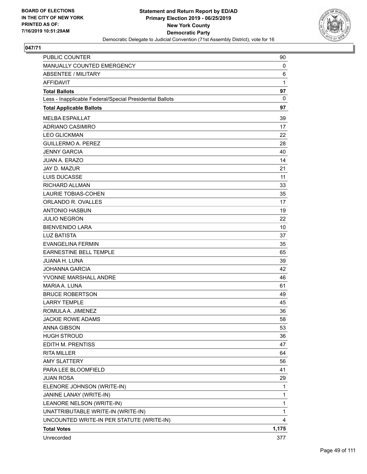

| <b>PUBLIC COUNTER</b>                                    | 90           |
|----------------------------------------------------------|--------------|
| <b>MANUALLY COUNTED EMERGENCY</b>                        | 0            |
| <b>ABSENTEE / MILITARY</b>                               | 6            |
| AFFIDAVIT                                                | 1            |
| <b>Total Ballots</b>                                     | 97           |
| Less - Inapplicable Federal/Special Presidential Ballots | 0            |
| <b>Total Applicable Ballots</b>                          | 97           |
| <b>MELBA ESPAILLAT</b>                                   | 39           |
| <b>ADRIANO CASIMIRO</b>                                  | 17           |
| <b>LEO GLICKMAN</b>                                      | 22           |
| <b>GUILLERMO A. PEREZ</b>                                | 28           |
| <b>JENNY GARCIA</b>                                      | 40           |
| <b>JUAN A. ERAZO</b>                                     | 14           |
| <b>JAY D. MAZUR</b>                                      | 21           |
| <b>LUIS DUCASSE</b>                                      | 11           |
| RICHARD ALLMAN                                           | 33           |
| <b>LAURIE TOBIAS-COHEN</b>                               | 35           |
| ORLANDO R. OVALLES                                       | 17           |
| <b>ANTONIO HASBUN</b>                                    | 19           |
| <b>JULIO NEGRON</b>                                      | 22           |
| <b>BIENVENIDO LARA</b>                                   | 10           |
| <b>LUZ BATISTA</b>                                       | 37           |
| <b>EVANGELINA FERMIN</b>                                 | 35           |
| <b>EARNESTINE BELL TEMPLE</b>                            | 65           |
| <b>JUANA H. LUNA</b>                                     | 39           |
| <b>JOHANNA GARCIA</b>                                    | 42           |
| YVONNE MARSHALL ANDRE                                    | 46           |
| MARIA A. LUNA                                            | 61           |
| <b>BRUCE ROBERTSON</b>                                   | 49           |
| <b>LARRY TEMPLE</b>                                      | 45           |
| ROMULA A. JIMENEZ                                        | 36           |
| <b>JACKIE ROWE ADAMS</b>                                 | 58           |
| <b>ANNA GIBSON</b>                                       | 53           |
| <b>HUGH STROUD</b>                                       | 36           |
| EDITH M. PRENTISS                                        | 47           |
| <b>RITA MILLER</b>                                       | 64           |
| <b>AMY SLATTERY</b>                                      | 56           |
| PARA LEE BLOOMFIELD                                      | 41           |
| <b>JUAN ROSA</b>                                         | 29           |
| ELENORE JOHNSON (WRITE-IN)                               | 1            |
| JANINE LANAY (WRITE-IN)                                  | 1            |
| LEANORE NELSON (WRITE-IN)                                | 1            |
| UNATTRIBUTABLE WRITE-IN (WRITE-IN)                       | $\mathbf{1}$ |
| UNCOUNTED WRITE-IN PER STATUTE (WRITE-IN)                | 4            |
| <b>Total Votes</b>                                       | 1,175        |
| Unrecorded                                               | 377          |
|                                                          |              |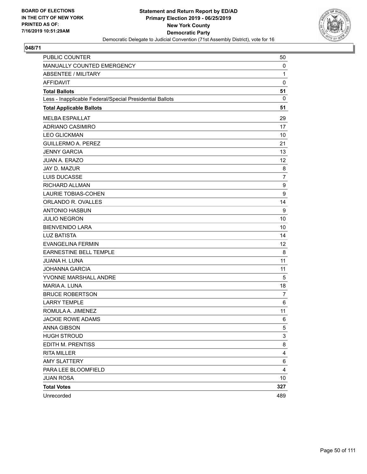

| PUBLIC COUNTER                                           | 50           |
|----------------------------------------------------------|--------------|
| MANUALLY COUNTED EMERGENCY                               | 0            |
| <b>ABSENTEE / MILITARY</b>                               | $\mathbf{1}$ |
| <b>AFFIDAVIT</b>                                         | $\mathbf 0$  |
| <b>Total Ballots</b>                                     | 51           |
| Less - Inapplicable Federal/Special Presidential Ballots | $\mathbf{0}$ |
| <b>Total Applicable Ballots</b>                          | 51           |
| <b>MELBA ESPAILLAT</b>                                   | 29           |
| ADRIANO CASIMIRO                                         | 17           |
| <b>LEO GLICKMAN</b>                                      | 10           |
| <b>GUILLERMO A. PEREZ</b>                                | 21           |
| <b>JENNY GARCIA</b>                                      | 13           |
| <b>JUAN A. ERAZO</b>                                     | 12           |
| JAY D. MAZUR                                             | 8            |
| <b>LUIS DUCASSE</b>                                      | 7            |
| RICHARD ALLMAN                                           | 9            |
| <b>LAURIE TOBIAS-COHEN</b>                               | 9            |
| ORLANDO R. OVALLES                                       | 14           |
| <b>ANTONIO HASBUN</b>                                    | 9            |
| <b>JULIO NEGRON</b>                                      | 10           |
| <b>BIENVENIDO LARA</b>                                   | 10           |
| <b>LUZ BATISTA</b>                                       | 14           |
| <b>EVANGELINA FERMIN</b>                                 | 12           |
| <b>EARNESTINE BELL TEMPLE</b>                            | 8            |
| JUANA H. LUNA                                            | 11           |
| <b>JOHANNA GARCIA</b>                                    | 11           |
| YVONNE MARSHALL ANDRE                                    | 5            |
| MARIA A. LUNA                                            | 18           |
| <b>BRUCE ROBERTSON</b>                                   | 7            |
| <b>LARRY TEMPLE</b>                                      | 6            |
| ROMULA A. JIMENEZ                                        | 11           |
| <b>JACKIE ROWE ADAMS</b>                                 | 6            |
| ANNA GIBSON                                              | 5            |
| <b>HUGH STROUD</b>                                       | 3            |
| EDITH M. PRENTISS                                        | 8            |
| <b>RITA MILLER</b>                                       | 4            |
| <b>AMY SLATTERY</b>                                      | 6            |
| PARA LEE BLOOMFIELD                                      | 4            |
| <b>JUAN ROSA</b>                                         | 10           |
| <b>Total Votes</b>                                       | 327          |
| Unrecorded                                               | 489          |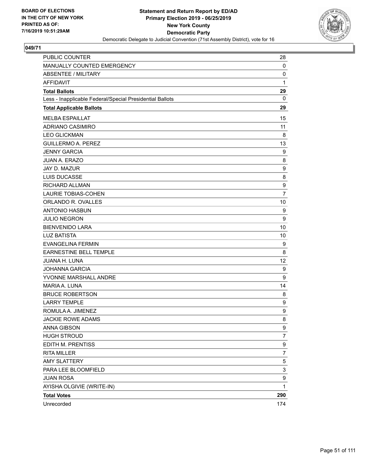

| PUBLIC COUNTER                                           | 28             |
|----------------------------------------------------------|----------------|
| MANUALLY COUNTED EMERGENCY                               | 0              |
| <b>ABSENTEE / MILITARY</b>                               | 0              |
| <b>AFFIDAVIT</b>                                         | $\mathbf{1}$   |
| <b>Total Ballots</b>                                     | 29             |
| Less - Inapplicable Federal/Special Presidential Ballots | 0              |
| <b>Total Applicable Ballots</b>                          | 29             |
| <b>MELBA ESPAILLAT</b>                                   | 15             |
| ADRIANO CASIMIRO                                         | 11             |
| <b>LEO GLICKMAN</b>                                      | 8              |
| <b>GUILLERMO A. PEREZ</b>                                | 13             |
| <b>JENNY GARCIA</b>                                      | 9              |
| JUAN A. ERAZO                                            | 8              |
| JAY D. MAZUR                                             | 9              |
| <b>LUIS DUCASSE</b>                                      | 8              |
| <b>RICHARD ALLMAN</b>                                    | 9              |
| <b>LAURIE TOBIAS-COHEN</b>                               | $\overline{7}$ |
| ORLANDO R. OVALLES                                       | 10             |
| <b>ANTONIO HASBUN</b>                                    | 9              |
| <b>JULIO NEGRON</b>                                      | 9              |
| <b>BIENVENIDO LARA</b>                                   | 10             |
| <b>LUZ BATISTA</b>                                       | 10             |
| <b>EVANGELINA FERMIN</b>                                 | 9              |
| EARNESTINE BELL TEMPLE                                   | 8              |
| <b>JUANA H. LUNA</b>                                     | 12             |
| <b>JOHANNA GARCIA</b>                                    | 9              |
| YVONNE MARSHALL ANDRE                                    | 9              |
| <b>MARIA A. LUNA</b>                                     | 14             |
| <b>BRUCE ROBERTSON</b>                                   | 8              |
| <b>LARRY TEMPLE</b>                                      | 9              |
| ROMULA A. JIMENEZ                                        | 9              |
| JACKIE ROWE ADAMS                                        | 8              |
| ANNA GIBSON                                              | 9              |
| <b>HUGH STROUD</b>                                       | 7              |
| EDITH M. PRENTISS                                        | 9              |
| <b>RITA MILLER</b>                                       | 7              |
| <b>AMY SLATTERY</b>                                      | 5              |
| PARA LEE BLOOMFIELD                                      | 3              |
| <b>JUAN ROSA</b>                                         | 9              |
| AYISHA OLGIVIE (WRITE-IN)                                | 1              |
| <b>Total Votes</b>                                       | 290            |
| Unrecorded                                               | 174            |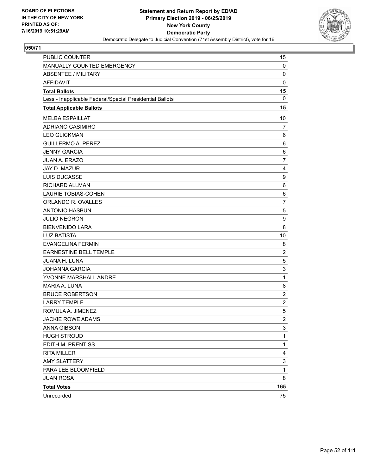

| PUBLIC COUNTER                                           | 15                        |
|----------------------------------------------------------|---------------------------|
| MANUALLY COUNTED EMERGENCY                               | 0                         |
| <b>ABSENTEE / MILITARY</b>                               | $\mathbf 0$               |
| <b>AFFIDAVIT</b>                                         | $\mathbf 0$               |
| <b>Total Ballots</b>                                     | 15                        |
| Less - Inapplicable Federal/Special Presidential Ballots | 0                         |
| <b>Total Applicable Ballots</b>                          | 15                        |
| <b>MELBA ESPAILLAT</b>                                   | 10                        |
| ADRIANO CASIMIRO                                         | $\overline{7}$            |
| <b>LEO GLICKMAN</b>                                      | 6                         |
| <b>GUILLERMO A. PEREZ</b>                                | 6                         |
| <b>JENNY GARCIA</b>                                      | 6                         |
| <b>JUAN A. ERAZO</b>                                     | $\overline{7}$            |
| JAY D. MAZUR                                             | 4                         |
| LUIS DUCASSE                                             | 9                         |
| <b>RICHARD ALLMAN</b>                                    | 6                         |
| LAURIE TOBIAS-COHEN                                      | $\,6$                     |
| ORLANDO R. OVALLES                                       | $\overline{7}$            |
| <b>ANTONIO HASBUN</b>                                    | 5                         |
| <b>JULIO NEGRON</b>                                      | 9                         |
| <b>BIENVENIDO LARA</b>                                   | 8                         |
| <b>LUZ BATISTA</b>                                       | 10                        |
| <b>EVANGELINA FERMIN</b>                                 | 8                         |
| EARNESTINE BELL TEMPLE                                   | $\overline{c}$            |
| <b>JUANA H. LUNA</b>                                     | $\mathbf 5$               |
| <b>JOHANNA GARCIA</b>                                    | $\ensuremath{\mathsf{3}}$ |
| YVONNE MARSHALL ANDRE                                    | $\mathbf{1}$              |
| MARIA A. LUNA                                            | 8                         |
| <b>BRUCE ROBERTSON</b>                                   | $\overline{c}$            |
| <b>LARRY TEMPLE</b>                                      | $\overline{c}$            |
| ROMULA A. JIMENEZ                                        | $\mathbf 5$               |
| <b>JACKIE ROWE ADAMS</b>                                 | $\overline{2}$            |
| ANNA GIBSON                                              | 3                         |
| <b>HUGH STROUD</b>                                       | $\mathbf{1}$              |
| EDITH M. PRENTISS                                        | $\mathbf{1}$              |
| <b>RITA MILLER</b>                                       | 4                         |
| <b>AMY SLATTERY</b>                                      | 3                         |
| PARA LEE BLOOMFIELD                                      | $\mathbf{1}$              |
| <b>JUAN ROSA</b>                                         | 8                         |
| <b>Total Votes</b>                                       | 165                       |
| Unrecorded                                               | 75                        |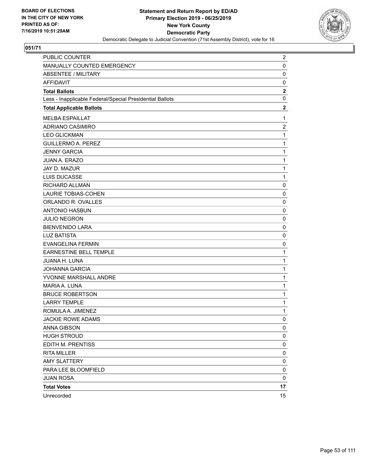

| PUBLIC COUNTER                                           | $\overline{2}$ |
|----------------------------------------------------------|----------------|
| MANUALLY COUNTED EMERGENCY                               | 0              |
| <b>ABSENTEE / MILITARY</b>                               | 0              |
| <b>AFFIDAVIT</b>                                         | 0              |
| <b>Total Ballots</b>                                     | $\mathbf{2}$   |
| Less - Inapplicable Federal/Special Presidential Ballots | 0              |
| <b>Total Applicable Ballots</b>                          | $\mathbf 2$    |
| <b>MELBA ESPAILLAT</b>                                   | $\mathbf{1}$   |
| ADRIANO CASIMIRO                                         | $\overline{c}$ |
| <b>LEO GLICKMAN</b>                                      | 1              |
| <b>GUILLERMO A. PEREZ</b>                                | 1              |
| <b>JENNY GARCIA</b>                                      | 1              |
| JUAN A. ERAZO                                            | 1              |
| JAY D. MAZUR                                             | 1              |
| LUIS DUCASSE                                             | 1              |
| RICHARD ALLMAN                                           | 0              |
| <b>LAURIE TOBIAS-COHEN</b>                               | $\mathbf 0$    |
| ORLANDO R. OVALLES                                       | 0              |
| <b>ANTONIO HASBUN</b>                                    | 0              |
| <b>JULIO NEGRON</b>                                      | 0              |
| <b>BIENVENIDO LARA</b>                                   | 0              |
| <b>LUZ BATISTA</b>                                       | 0              |
| <b>EVANGELINA FERMIN</b>                                 | 0              |
| <b>EARNESTINE BELL TEMPLE</b>                            | 1              |
| JUANA H. LUNA                                            | 1              |
| <b>JOHANNA GARCIA</b>                                    | 1              |
| YVONNE MARSHALL ANDRE                                    | 1              |
| MARIA A. LUNA                                            | 1              |
| <b>BRUCE ROBERTSON</b>                                   | 1              |
| <b>LARRY TEMPLE</b>                                      | 1              |
| ROMULA A. JIMENEZ                                        | 1              |
| JACKIE ROWE ADAMS                                        | 0              |
| ANNA GIBSON                                              | 0              |
| <b>HUGH STROUD</b>                                       | 0              |
| EDITH M. PRENTISS                                        | 0              |
| <b>RITA MILLER</b>                                       | 0              |
| <b>AMY SLATTERY</b>                                      | 0              |
| PARA LEE BLOOMFIELD                                      | 0              |
| <b>JUAN ROSA</b>                                         | 0              |
| <b>Total Votes</b>                                       | 17             |
| Unrecorded                                               | 15             |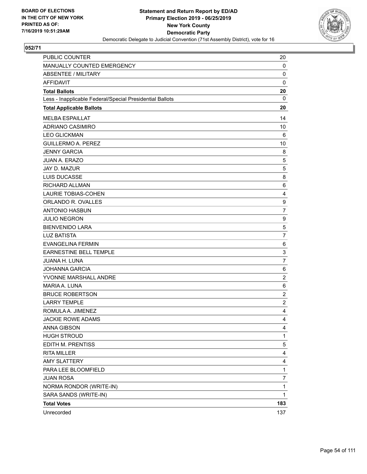

| PUBLIC COUNTER                                           | 20             |
|----------------------------------------------------------|----------------|
| MANUALLY COUNTED EMERGENCY                               | 0              |
| <b>ABSENTEE / MILITARY</b>                               | 0              |
| <b>AFFIDAVIT</b>                                         | $\mathbf 0$    |
| <b>Total Ballots</b>                                     | 20             |
| Less - Inapplicable Federal/Special Presidential Ballots | 0              |
| <b>Total Applicable Ballots</b>                          | 20             |
| <b>MELBA ESPAILLAT</b>                                   | 14             |
| ADRIANO CASIMIRO                                         | 10             |
| <b>LEO GLICKMAN</b>                                      | 6              |
| <b>GUILLERMO A. PEREZ</b>                                | 10             |
| <b>JENNY GARCIA</b>                                      | 8              |
| <b>JUAN A. ERAZO</b>                                     | 5              |
| JAY D. MAZUR                                             | 5              |
| LUIS DUCASSE                                             | 8              |
| <b>RICHARD ALLMAN</b>                                    | 6              |
| LAURIE TOBIAS-COHEN                                      | 4              |
| ORLANDO R. OVALLES                                       | 9              |
| <b>ANTONIO HASBUN</b>                                    | $\overline{7}$ |
| <b>JULIO NEGRON</b>                                      | 9              |
| <b>BIENVENIDO LARA</b>                                   | 5              |
| <b>LUZ BATISTA</b>                                       | $\overline{7}$ |
| <b>EVANGELINA FERMIN</b>                                 | 6              |
| EARNESTINE BELL TEMPLE                                   | 3              |
| <b>JUANA H. LUNA</b>                                     | $\overline{7}$ |
| <b>JOHANNA GARCIA</b>                                    | 6              |
| YVONNE MARSHALL ANDRE                                    | $\overline{c}$ |
| <b>MARIA A. LUNA</b>                                     | 6              |
| <b>BRUCE ROBERTSON</b>                                   | $\overline{c}$ |
| <b>LARRY TEMPLE</b>                                      | $\overline{c}$ |
| ROMULA A. JIMENEZ                                        | 4              |
| <b>JACKIE ROWE ADAMS</b>                                 | 4              |
| ANNA GIBSON                                              | 4              |
| <b>HUGH STROUD</b>                                       | 1              |
| EDITH M. PRENTISS                                        | 5              |
| <b>RITA MILLER</b>                                       | 4              |
| <b>AMY SLATTERY</b>                                      | 4              |
| PARA LEE BLOOMFIELD                                      | 1              |
| <b>JUAN ROSA</b>                                         | 7              |
| NORMA RONDOR (WRITE-IN)                                  | 1              |
| SARA SANDS (WRITE-IN)                                    | 1              |
| <b>Total Votes</b>                                       | 183            |
| Unrecorded                                               | 137            |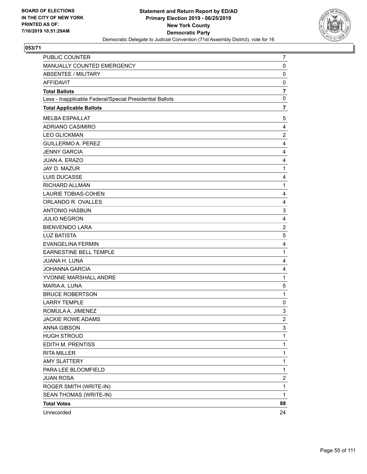

| PUBLIC COUNTER                                           | $\overline{7}$ |
|----------------------------------------------------------|----------------|
| MANUALLY COUNTED EMERGENCY                               | 0              |
| <b>ABSENTEE / MILITARY</b>                               | $\mathbf 0$    |
| <b>AFFIDAVIT</b>                                         | 0              |
| <b>Total Ballots</b>                                     | $\overline{7}$ |
| Less - Inapplicable Federal/Special Presidential Ballots | 0              |
| <b>Total Applicable Ballots</b>                          | 7              |
| <b>MELBA ESPAILLAT</b>                                   | 5              |
| ADRIANO CASIMIRO                                         | $\overline{4}$ |
| <b>LEO GLICKMAN</b>                                      | $\overline{c}$ |
| <b>GUILLERMO A. PEREZ</b>                                | 4              |
| <b>JENNY GARCIA</b>                                      | 4              |
| <b>JUAN A. ERAZO</b>                                     | 4              |
| JAY D. MAZUR                                             | 1              |
| LUIS DUCASSE                                             | 4              |
| RICHARD ALLMAN                                           | 1              |
| <b>LAURIE TOBIAS-COHEN</b>                               | 4              |
| ORLANDO R. OVALLES                                       | 4              |
| <b>ANTONIO HASBUN</b>                                    | 3              |
| <b>JULIO NEGRON</b>                                      | 4              |
| <b>BIENVENIDO LARA</b>                                   | $\overline{c}$ |
| <b>LUZ BATISTA</b>                                       | 5              |
| <b>EVANGELINA FERMIN</b>                                 | 4              |
| EARNESTINE BELL TEMPLE                                   | 1              |
| JUANA H. LUNA                                            | 4              |
| <b>JOHANNA GARCIA</b>                                    | 4              |
| YVONNE MARSHALL ANDRE                                    | 1              |
| MARIA A. LUNA                                            | 5              |
| <b>BRUCE ROBERTSON</b>                                   | 1              |
| <b>LARRY TEMPLE</b>                                      | 0              |
| ROMULA A. JIMENEZ                                        | 3              |
| <b>JACKIE ROWE ADAMS</b>                                 | $\overline{2}$ |
| ANNA GIBSON                                              | 3              |
| <b>HUGH STROUD</b>                                       | $\mathbf{1}$   |
| EDITH M. PRENTISS                                        | 1              |
| <b>RITA MILLER</b>                                       | 1              |
| <b>AMY SLATTERY</b>                                      | 1              |
| PARA LEE BLOOMFIELD                                      | 1              |
| <b>JUAN ROSA</b>                                         | 2              |
| ROGER SMITH (WRITE-IN)                                   | $\mathbf{1}$   |
| SEAN THOMAS (WRITE-IN)                                   | 1              |
| <b>Total Votes</b>                                       | 88             |
| Unrecorded                                               | 24             |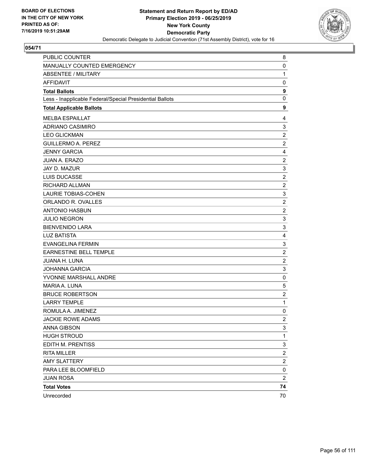

| PUBLIC COUNTER                                           | 8                       |
|----------------------------------------------------------|-------------------------|
| MANUALLY COUNTED EMERGENCY                               | 0                       |
| <b>ABSENTEE / MILITARY</b>                               | $\mathbf{1}$            |
| <b>AFFIDAVIT</b>                                         | 0                       |
| <b>Total Ballots</b>                                     | 9                       |
| Less - Inapplicable Federal/Special Presidential Ballots | 0                       |
| <b>Total Applicable Ballots</b>                          | 9                       |
| <b>MELBA ESPAILLAT</b>                                   | 4                       |
| ADRIANO CASIMIRO                                         | 3                       |
| <b>LEO GLICKMAN</b>                                      | $\overline{c}$          |
| <b>GUILLERMO A. PEREZ</b>                                | $\overline{2}$          |
| <b>JENNY GARCIA</b>                                      | 4                       |
| <b>JUAN A. ERAZO</b>                                     | $\boldsymbol{2}$        |
| JAY D. MAZUR                                             | 3                       |
| LUIS DUCASSE                                             | $\overline{c}$          |
| RICHARD ALLMAN                                           | $\boldsymbol{2}$        |
| <b>LAURIE TOBIAS-COHEN</b>                               | 3                       |
| ORLANDO R. OVALLES                                       | $\overline{c}$          |
| <b>ANTONIO HASBUN</b>                                    | $\boldsymbol{2}$        |
| <b>JULIO NEGRON</b>                                      | 3                       |
| <b>BIENVENIDO LARA</b>                                   | 3                       |
| <b>LUZ BATISTA</b>                                       | 4                       |
| <b>EVANGELINA FERMIN</b>                                 | 3                       |
| EARNESTINE BELL TEMPLE                                   | $\overline{c}$          |
| JUANA H. LUNA                                            | $\boldsymbol{2}$        |
| <b>JOHANNA GARCIA</b>                                    | 3                       |
| YVONNE MARSHALL ANDRE                                    | 0                       |
| MARIA A. LUNA                                            | 5                       |
| <b>BRUCE ROBERTSON</b>                                   | $\overline{2}$          |
| <b>LARRY TEMPLE</b>                                      | $\mathbf{1}$            |
| ROMULA A. JIMENEZ                                        | 0                       |
| <b>JACKIE ROWE ADAMS</b>                                 | $\overline{2}$          |
| ANNA GIBSON                                              | 3                       |
| <b>HUGH STROUD</b>                                       | $\mathbf{1}$            |
| EDITH M. PRENTISS                                        | 3                       |
| <b>RITA MILLER</b>                                       | $\overline{\mathbf{c}}$ |
| <b>AMY SLATTERY</b>                                      | $\overline{c}$          |
| PARA LEE BLOOMFIELD                                      | 0                       |
| <b>JUAN ROSA</b>                                         | $\overline{\mathbf{c}}$ |
| <b>Total Votes</b>                                       | 74                      |
| Unrecorded                                               | 70                      |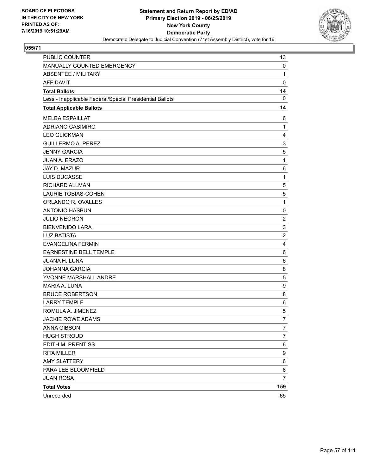

| PUBLIC COUNTER                                           | 13             |
|----------------------------------------------------------|----------------|
| MANUALLY COUNTED EMERGENCY                               | 0              |
| <b>ABSENTEE / MILITARY</b>                               | $\mathbf{1}$   |
| AFFIDAVIT                                                | $\mathbf 0$    |
| <b>Total Ballots</b>                                     | 14             |
| Less - Inapplicable Federal/Special Presidential Ballots | $\mathbf 0$    |
| <b>Total Applicable Ballots</b>                          | 14             |
| <b>MELBA ESPAILLAT</b>                                   | 6              |
| <b>ADRIANO CASIMIRO</b>                                  | 1              |
| <b>LEO GLICKMAN</b>                                      | 4              |
| <b>GUILLERMO A. PEREZ</b>                                | 3              |
| <b>JENNY GARCIA</b>                                      | 5              |
| JUAN A. ERAZO                                            | 1              |
| JAY D. MAZUR                                             | 6              |
| LUIS DUCASSE                                             | 1              |
| RICHARD ALLMAN                                           | 5              |
| <b>LAURIE TOBIAS-COHEN</b>                               | 5              |
| ORLANDO R. OVALLES                                       | 1              |
| <b>ANTONIO HASBUN</b>                                    | 0              |
| <b>JULIO NEGRON</b>                                      | $\overline{c}$ |
| <b>BIENVENIDO LARA</b>                                   | 3              |
| <b>LUZ BATISTA</b>                                       | $\overline{c}$ |
| <b>EVANGELINA FERMIN</b>                                 | 4              |
| <b>EARNESTINE BELL TEMPLE</b>                            | 6              |
| JUANA H. LUNA                                            | $\,6$          |
| <b>JOHANNA GARCIA</b>                                    | 8              |
| YVONNE MARSHALL ANDRE                                    | 5              |
| MARIA A. LUNA                                            | 9              |
| <b>BRUCE ROBERTSON</b>                                   | 8              |
| <b>LARRY TEMPLE</b>                                      | 6              |
| ROMULA A. JIMENEZ                                        | 5              |
| <b>JACKIE ROWE ADAMS</b>                                 | 7              |
| ANNA GIBSON                                              | 7              |
| <b>HUGH STROUD</b>                                       | $\overline{7}$ |
| EDITH M. PRENTISS                                        | 6              |
| <b>RITA MILLER</b>                                       | 9              |
| <b>AMY SLATTERY</b>                                      | 6              |
| PARA LEE BLOOMFIELD                                      | 8              |
| <b>JUAN ROSA</b>                                         | $\overline{7}$ |
| <b>Total Votes</b>                                       | 159            |
| Unrecorded                                               | 65             |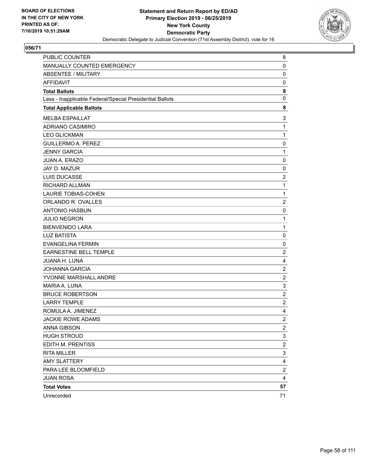

| PUBLIC COUNTER                                           | 8              |
|----------------------------------------------------------|----------------|
| MANUALLY COUNTED EMERGENCY                               | 0              |
| <b>ABSENTEE / MILITARY</b>                               | $\mathbf 0$    |
| <b>AFFIDAVIT</b>                                         | 0              |
| <b>Total Ballots</b>                                     | 8              |
| Less - Inapplicable Federal/Special Presidential Ballots | 0              |
| <b>Total Applicable Ballots</b>                          | 8              |
| <b>MELBA ESPAILLAT</b>                                   | 3              |
| ADRIANO CASIMIRO                                         | $\mathbf{1}$   |
| <b>LEO GLICKMAN</b>                                      | 1              |
| <b>GUILLERMO A. PEREZ</b>                                | 0              |
| <b>JENNY GARCIA</b>                                      | 1              |
| <b>JUAN A. ERAZO</b>                                     | $\mathbf 0$    |
| JAY D. MAZUR                                             | 0              |
| <b>LUIS DUCASSE</b>                                      | $\overline{c}$ |
| RICHARD ALLMAN                                           | 1              |
| LAURIE TOBIAS-COHEN                                      | 1              |
| ORLANDO R. OVALLES                                       | $\overline{c}$ |
| <b>ANTONIO HASBUN</b>                                    | $\mathbf 0$    |
| <b>JULIO NEGRON</b>                                      | 1              |
| <b>BIENVENIDO LARA</b>                                   | 1              |
| <b>LUZ BATISTA</b>                                       | $\mathbf 0$    |
| <b>EVANGELINA FERMIN</b>                                 | 0              |
| <b>EARNESTINE BELL TEMPLE</b>                            | $\overline{c}$ |
| <b>JUANA H. LUNA</b>                                     | 4              |
| <b>JOHANNA GARCIA</b>                                    | $\overline{c}$ |
| YVONNE MARSHALL ANDRE                                    | $\overline{c}$ |
| MARIA A. LUNA                                            | 3              |
| <b>BRUCE ROBERTSON</b>                                   | $\overline{c}$ |
| <b>LARRY TEMPLE</b>                                      | $\overline{c}$ |
| ROMULA A. JIMENEZ                                        | 4              |
| <b>JACKIE ROWE ADAMS</b>                                 | $\overline{c}$ |
| ANNA GIBSON                                              | $\overline{2}$ |
| <b>HUGH STROUD</b>                                       | 3              |
| EDITH M. PRENTISS                                        | 2              |
| <b>RITA MILLER</b>                                       | 3              |
| <b>AMY SLATTERY</b>                                      | 4              |
| PARA LEE BLOOMFIELD                                      | 2              |
| <b>JUAN ROSA</b>                                         | 4              |
| <b>Total Votes</b>                                       | 57             |
| Unrecorded                                               | 71             |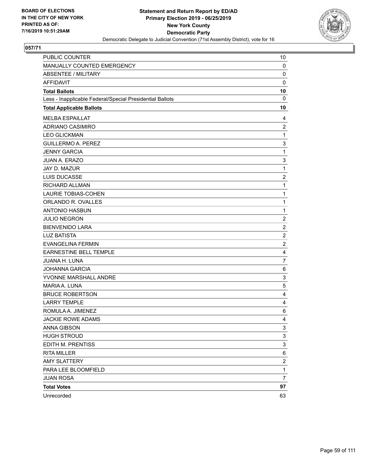

| PUBLIC COUNTER                                           | 10             |
|----------------------------------------------------------|----------------|
| MANUALLY COUNTED EMERGENCY                               | 0              |
| <b>ABSENTEE / MILITARY</b>                               | $\mathbf 0$    |
| AFFIDAVIT                                                | 0              |
| <b>Total Ballots</b>                                     | 10             |
| Less - Inapplicable Federal/Special Presidential Ballots | $\mathbf 0$    |
| <b>Total Applicable Ballots</b>                          | 10             |
| <b>MELBA ESPAILLAT</b>                                   | 4              |
| ADRIANO CASIMIRO                                         | $\overline{2}$ |
| <b>LEO GLICKMAN</b>                                      | 1              |
| <b>GUILLERMO A. PEREZ</b>                                | 3              |
| <b>JENNY GARCIA</b>                                      | 1              |
| JUAN A. ERAZO                                            | 3              |
| JAY D. MAZUR                                             | 1              |
| LUIS DUCASSE                                             | $\overline{2}$ |
| RICHARD ALLMAN                                           | 1              |
| <b>LAURIE TOBIAS-COHEN</b>                               | 1              |
| ORLANDO R. OVALLES                                       | 1              |
| <b>ANTONIO HASBUN</b>                                    | 1              |
| <b>JULIO NEGRON</b>                                      | $\overline{c}$ |
| <b>BIENVENIDO LARA</b>                                   | $\overline{2}$ |
| <b>LUZ BATISTA</b>                                       | $\overline{c}$ |
| <b>EVANGELINA FERMIN</b>                                 | $\overline{c}$ |
| <b>EARNESTINE BELL TEMPLE</b>                            | 4              |
| JUANA H. LUNA                                            | $\overline{7}$ |
| <b>JOHANNA GARCIA</b>                                    | 6              |
| YVONNE MARSHALL ANDRE                                    | 3              |
| MARIA A. LUNA                                            | 5              |
| <b>BRUCE ROBERTSON</b>                                   | 4              |
| <b>LARRY TEMPLE</b>                                      | $\overline{4}$ |
| ROMULA A. JIMENEZ                                        | 6              |
| <b>JACKIE ROWE ADAMS</b>                                 | 4              |
| ANNA GIBSON                                              | 3              |
| <b>HUGH STROUD</b>                                       | 3              |
| EDITH M. PRENTISS                                        | 3              |
| <b>RITA MILLER</b>                                       | 6              |
| <b>AMY SLATTERY</b>                                      | 2              |
| PARA LEE BLOOMFIELD                                      | $\mathbf{1}$   |
| <b>JUAN ROSA</b>                                         | $\overline{7}$ |
| <b>Total Votes</b>                                       | 97             |
| Unrecorded                                               | 63             |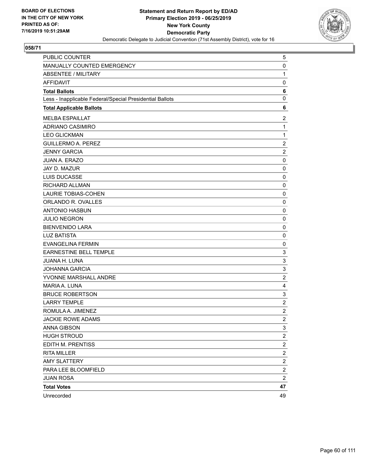

| PUBLIC COUNTER                                           | 5                       |
|----------------------------------------------------------|-------------------------|
| MANUALLY COUNTED EMERGENCY                               | 0                       |
| <b>ABSENTEE / MILITARY</b>                               | $\mathbf{1}$            |
| <b>AFFIDAVIT</b>                                         | 0                       |
| <b>Total Ballots</b>                                     | 6                       |
| Less - Inapplicable Federal/Special Presidential Ballots | 0                       |
| <b>Total Applicable Ballots</b>                          | 6                       |
| <b>MELBA ESPAILLAT</b>                                   | $\overline{2}$          |
| ADRIANO CASIMIRO                                         | $\mathbf{1}$            |
| <b>LEO GLICKMAN</b>                                      | $\mathbf{1}$            |
| <b>GUILLERMO A. PEREZ</b>                                | $\overline{2}$          |
| <b>JENNY GARCIA</b>                                      | $\overline{c}$          |
| <b>JUAN A. ERAZO</b>                                     | $\mathbf 0$             |
| JAY D. MAZUR                                             | 0                       |
| <b>LUIS DUCASSE</b>                                      | 0                       |
| RICHARD ALLMAN                                           | $\mathbf 0$             |
| <b>LAURIE TOBIAS-COHEN</b>                               | $\mathbf 0$             |
| ORLANDO R. OVALLES                                       | 0                       |
| <b>ANTONIO HASBUN</b>                                    | $\mathbf 0$             |
| <b>JULIO NEGRON</b>                                      | 0                       |
| <b>BIENVENIDO LARA</b>                                   | 0                       |
| <b>LUZ BATISTA</b>                                       | $\mathbf 0$             |
| <b>EVANGELINA FERMIN</b>                                 | 0                       |
| EARNESTINE BELL TEMPLE                                   | 3                       |
| JUANA H. LUNA                                            | 3                       |
| <b>JOHANNA GARCIA</b>                                    | 3                       |
| YVONNE MARSHALL ANDRE                                    | $\overline{c}$          |
| MARIA A. LUNA                                            | 4                       |
| <b>BRUCE ROBERTSON</b>                                   | 3                       |
| <b>LARRY TEMPLE</b>                                      | $\overline{c}$          |
| ROMULA A. JIMENEZ                                        | $\boldsymbol{2}$        |
| <b>JACKIE ROWE ADAMS</b>                                 | $\overline{2}$          |
| <b>ANNA GIBSON</b>                                       | 3                       |
| <b>HUGH STROUD</b>                                       | $\overline{\mathbf{c}}$ |
| EDITH M. PRENTISS                                        | $\overline{c}$          |
| <b>RITA MILLER</b>                                       | $\overline{\mathbf{c}}$ |
| <b>AMY SLATTERY</b>                                      | $\overline{\mathbf{c}}$ |
| PARA LEE BLOOMFIELD                                      | $\overline{\mathbf{c}}$ |
| <b>JUAN ROSA</b>                                         | $\overline{\mathbf{c}}$ |
| <b>Total Votes</b>                                       | 47                      |
| Unrecorded                                               | 49                      |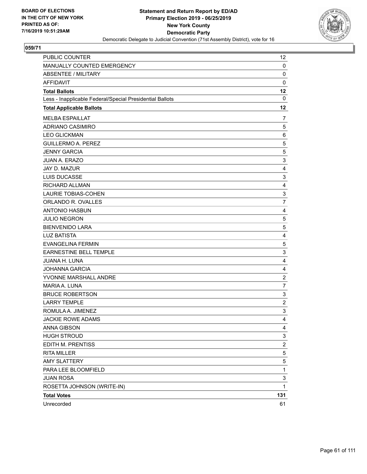

| PUBLIC COUNTER                                           | 12                      |
|----------------------------------------------------------|-------------------------|
| MANUALLY COUNTED EMERGENCY                               | 0                       |
| <b>ABSENTEE / MILITARY</b>                               | $\mathbf 0$             |
| <b>AFFIDAVIT</b>                                         | $\mathbf 0$             |
| <b>Total Ballots</b>                                     | 12                      |
| Less - Inapplicable Federal/Special Presidential Ballots | 0                       |
| <b>Total Applicable Ballots</b>                          | 12                      |
| <b>MELBA ESPAILLAT</b>                                   | 7                       |
| <b>ADRIANO CASIMIRO</b>                                  | 5                       |
| <b>LEO GLICKMAN</b>                                      | 6                       |
| <b>GUILLERMO A. PEREZ</b>                                | 5                       |
| <b>JENNY GARCIA</b>                                      | $\mathbf 5$             |
| <b>JUAN A. ERAZO</b>                                     | 3                       |
| JAY D. MAZUR                                             | 4                       |
| LUIS DUCASSE                                             | 3                       |
| RICHARD ALLMAN                                           | 4                       |
| <b>LAURIE TOBIAS-COHEN</b>                               | 3                       |
| ORLANDO R. OVALLES                                       | $\overline{7}$          |
| <b>ANTONIO HASBUN</b>                                    | 4                       |
| <b>JULIO NEGRON</b>                                      | 5                       |
| <b>BIENVENIDO LARA</b>                                   | $\mathbf 5$             |
| <b>LUZ BATISTA</b>                                       | 4                       |
| <b>EVANGELINA FERMIN</b>                                 | 5                       |
| EARNESTINE BELL TEMPLE                                   | 3                       |
| JUANA H. LUNA                                            | 4                       |
| <b>JOHANNA GARCIA</b>                                    | 4                       |
| YVONNE MARSHALL ANDRE                                    | $\overline{c}$          |
| MARIA A. LUNA                                            | $\overline{7}$          |
| <b>BRUCE ROBERTSON</b>                                   | 3                       |
| <b>LARRY TEMPLE</b>                                      | $\overline{\mathbf{c}}$ |
| ROMULA A. JIMENEZ                                        | 3                       |
| <b>JACKIE ROWE ADAMS</b>                                 | $\overline{4}$          |
| ANNA GIBSON                                              | 4                       |
| <b>HUGH STROUD</b>                                       | 3                       |
| EDITH M. PRENTISS                                        | $\overline{c}$          |
| <b>RITA MILLER</b>                                       | 5                       |
| <b>AMY SLATTERY</b>                                      | 5                       |
| PARA LEE BLOOMFIELD                                      | $\mathbf{1}$            |
| <b>JUAN ROSA</b>                                         | 3                       |
| ROSETTA JOHNSON (WRITE-IN)                               | $\mathbf{1}$            |
| <b>Total Votes</b>                                       | 131                     |
| Unrecorded                                               | 61                      |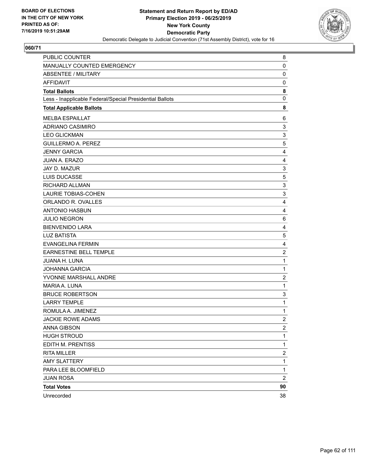

| PUBLIC COUNTER                                           | 8                       |
|----------------------------------------------------------|-------------------------|
| MANUALLY COUNTED EMERGENCY                               | 0                       |
| <b>ABSENTEE / MILITARY</b>                               | $\mathbf 0$             |
| <b>AFFIDAVIT</b>                                         | 0                       |
| <b>Total Ballots</b>                                     | 8                       |
| Less - Inapplicable Federal/Special Presidential Ballots | 0                       |
| <b>Total Applicable Ballots</b>                          | 8                       |
| <b>MELBA ESPAILLAT</b>                                   | 6                       |
| ADRIANO CASIMIRO                                         | 3                       |
| <b>LEO GLICKMAN</b>                                      | 3                       |
| <b>GUILLERMO A. PEREZ</b>                                | 5                       |
| <b>JENNY GARCIA</b>                                      | 4                       |
| JUAN A. ERAZO                                            | 4                       |
| JAY D. MAZUR                                             | 3                       |
| LUIS DUCASSE                                             | 5                       |
| RICHARD ALLMAN                                           | 3                       |
| <b>LAURIE TOBIAS-COHEN</b>                               | 3                       |
| ORLANDO R. OVALLES                                       | 4                       |
| <b>ANTONIO HASBUN</b>                                    | 4                       |
| <b>JULIO NEGRON</b>                                      | 6                       |
| <b>BIENVENIDO LARA</b>                                   | 4                       |
| <b>LUZ BATISTA</b>                                       | $\mathbf 5$             |
| <b>EVANGELINA FERMIN</b>                                 | 4                       |
| EARNESTINE BELL TEMPLE                                   | $\overline{c}$          |
| <b>JUANA H. LUNA</b>                                     | $\mathbf{1}$            |
| <b>JOHANNA GARCIA</b>                                    | $\mathbf{1}$            |
| YVONNE MARSHALL ANDRE                                    | $\overline{c}$          |
| MARIA A. LUNA                                            | $\mathbf{1}$            |
| <b>BRUCE ROBERTSON</b>                                   | 3                       |
| <b>LARRY TEMPLE</b>                                      | $\mathbf 1$             |
| ROMULA A. JIMENEZ                                        | $\mathbf 1$             |
| <b>JACKIE ROWE ADAMS</b>                                 | $\overline{2}$          |
| ANNA GIBSON                                              | $\overline{\mathbf{c}}$ |
| <b>HUGH STROUD</b>                                       | 1                       |
| EDITH M. PRENTISS                                        | $\mathbf{1}$            |
| RITA MILLER                                              | $\overline{\mathbf{c}}$ |
| <b>AMY SLATTERY</b>                                      | 1                       |
| PARA LEE BLOOMFIELD                                      | 1                       |
| <b>JUAN ROSA</b>                                         | $\overline{2}$          |
| <b>Total Votes</b>                                       | 90                      |
| Unrecorded                                               | 38                      |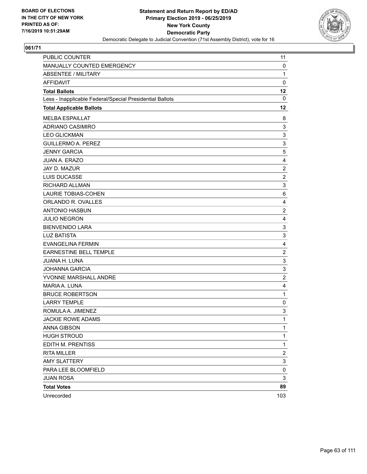

| PUBLIC COUNTER                                           | 11                        |
|----------------------------------------------------------|---------------------------|
| MANUALLY COUNTED EMERGENCY                               | 0                         |
| <b>ABSENTEE / MILITARY</b>                               | $\mathbf{1}$              |
| AFFIDAVIT                                                | $\mathbf 0$               |
| <b>Total Ballots</b>                                     | 12                        |
| Less - Inapplicable Federal/Special Presidential Ballots | $\mathbf 0$               |
| <b>Total Applicable Ballots</b>                          | 12                        |
| <b>MELBA ESPAILLAT</b>                                   | 8                         |
| ADRIANO CASIMIRO                                         | 3                         |
| <b>LEO GLICKMAN</b>                                      | 3                         |
| <b>GUILLERMO A. PEREZ</b>                                | 3                         |
| <b>JENNY GARCIA</b>                                      | 5                         |
| JUAN A. ERAZO                                            | 4                         |
| JAY D. MAZUR                                             | $\overline{c}$            |
| LUIS DUCASSE                                             | $\overline{2}$            |
| RICHARD ALLMAN                                           | 3                         |
| LAURIE TOBIAS-COHEN                                      | 6                         |
| ORLANDO R. OVALLES                                       | 4                         |
| <b>ANTONIO HASBUN</b>                                    | $\overline{c}$            |
| <b>JULIO NEGRON</b>                                      | 4                         |
| <b>BIENVENIDO LARA</b>                                   | 3                         |
| <b>LUZ BATISTA</b>                                       | 3                         |
| <b>EVANGELINA FERMIN</b>                                 | 4                         |
| <b>EARNESTINE BELL TEMPLE</b>                            | $\overline{c}$            |
| JUANA H. LUNA                                            | 3                         |
| <b>JOHANNA GARCIA</b>                                    | 3                         |
| YVONNE MARSHALL ANDRE                                    | $\overline{2}$            |
| MARIA A. LUNA                                            | 4                         |
| <b>BRUCE ROBERTSON</b>                                   | $\mathbf{1}$              |
| <b>LARRY TEMPLE</b>                                      | 0                         |
| ROMULA A. JIMENEZ                                        | $\ensuremath{\mathsf{3}}$ |
| <b>JACKIE ROWE ADAMS</b>                                 | 1                         |
| <b>ANNA GIBSON</b>                                       | 1                         |
| <b>HUGH STROUD</b>                                       | 1                         |
| EDITH M. PRENTISS                                        | $\mathbf{1}$              |
| <b>RITA MILLER</b>                                       | $\overline{c}$            |
| <b>AMY SLATTERY</b>                                      | 3                         |
| PARA LEE BLOOMFIELD                                      | $\pmb{0}$                 |
| <b>JUAN ROSA</b>                                         | 3                         |
| <b>Total Votes</b>                                       | 89                        |
| Unrecorded                                               | 103                       |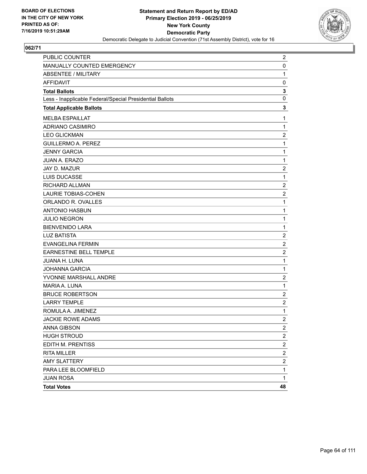

| PUBLIC COUNTER                                           | $\overline{2}$          |
|----------------------------------------------------------|-------------------------|
| MANUALLY COUNTED EMERGENCY                               | 0                       |
| <b>ABSENTEE / MILITARY</b>                               | $\mathbf{1}$            |
| <b>AFFIDAVIT</b>                                         | 0                       |
| <b>Total Ballots</b>                                     | 3                       |
| Less - Inapplicable Federal/Special Presidential Ballots | 0                       |
| <b>Total Applicable Ballots</b>                          | 3                       |
| <b>MELBA ESPAILLAT</b>                                   | 1                       |
| <b>ADRIANO CASIMIRO</b>                                  | $\mathbf{1}$            |
| <b>LEO GLICKMAN</b>                                      | $\boldsymbol{2}$        |
| <b>GUILLERMO A. PEREZ</b>                                | $\mathbf{1}$            |
| <b>JENNY GARCIA</b>                                      | $\mathbf{1}$            |
| <b>JUAN A. ERAZO</b>                                     | $\mathbf{1}$            |
| <b>JAY D. MAZUR</b>                                      | $\overline{2}$          |
| LUIS DUCASSE                                             | $\mathbf{1}$            |
| RICHARD ALLMAN                                           | $\boldsymbol{2}$        |
| <b>LAURIE TOBIAS-COHEN</b>                               | $\overline{2}$          |
| ORLANDO R. OVALLES                                       | $\mathbf{1}$            |
| <b>ANTONIO HASBUN</b>                                    | $\mathbf{1}$            |
| <b>JULIO NEGRON</b>                                      | $\mathbf{1}$            |
| <b>BIENVENIDO LARA</b>                                   | $\mathbf{1}$            |
| <b>LUZ BATISTA</b>                                       | $\boldsymbol{2}$        |
| <b>EVANGELINA FERMIN</b>                                 | $\overline{2}$          |
| EARNESTINE BELL TEMPLE                                   | $\overline{c}$          |
| JUANA H. LUNA                                            | $\mathbf{1}$            |
| <b>JOHANNA GARCIA</b>                                    | $\mathbf{1}$            |
| YVONNE MARSHALL ANDRE                                    | $\overline{c}$          |
| MARIA A. LUNA                                            | $\mathbf{1}$            |
| <b>BRUCE ROBERTSON</b>                                   | $\overline{2}$          |
| <b>LARRY TEMPLE</b>                                      | $\overline{c}$          |
| ROMULA A. JIMENEZ                                        | $\mathbf{1}$            |
| <b>JACKIE ROWE ADAMS</b>                                 | $\overline{2}$          |
| ANNA GIBSON                                              | $\overline{c}$          |
| <b>HUGH STROUD</b>                                       | $\overline{\mathbf{c}}$ |
| EDITH M. PRENTISS                                        | $\overline{c}$          |
| <b>RITA MILLER</b>                                       | $\overline{\mathbf{c}}$ |
| <b>AMY SLATTERY</b>                                      | $\overline{\mathbf{c}}$ |
| PARA LEE BLOOMFIELD                                      | 1                       |
| <b>JUAN ROSA</b>                                         | 1                       |
| <b>Total Votes</b>                                       | 48                      |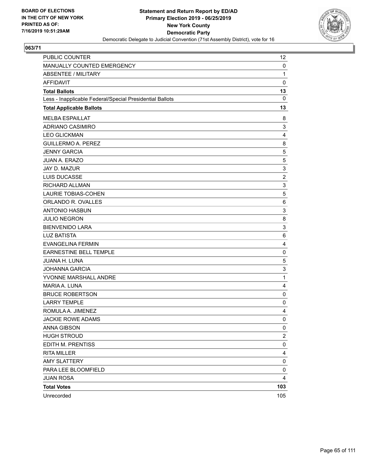

| PUBLIC COUNTER                                           | 12             |
|----------------------------------------------------------|----------------|
| MANUALLY COUNTED EMERGENCY                               | 0              |
| <b>ABSENTEE / MILITARY</b>                               | $\mathbf{1}$   |
| AFFIDAVIT                                                | $\mathbf 0$    |
| <b>Total Ballots</b>                                     | 13             |
| Less - Inapplicable Federal/Special Presidential Ballots | $\mathbf 0$    |
| <b>Total Applicable Ballots</b>                          | 13             |
| <b>MELBA ESPAILLAT</b>                                   | 8              |
| <b>ADRIANO CASIMIRO</b>                                  | 3              |
| <b>LEO GLICKMAN</b>                                      | 4              |
| <b>GUILLERMO A. PEREZ</b>                                | 8              |
| <b>JENNY GARCIA</b>                                      | 5              |
| JUAN A. ERAZO                                            | 5              |
| JAY D. MAZUR                                             | 3              |
| LUIS DUCASSE                                             | $\overline{2}$ |
| RICHARD ALLMAN                                           | 3              |
| <b>LAURIE TOBIAS-COHEN</b>                               | 5              |
| ORLANDO R. OVALLES                                       | 6              |
| <b>ANTONIO HASBUN</b>                                    | 3              |
| <b>JULIO NEGRON</b>                                      | 8              |
| <b>BIENVENIDO LARA</b>                                   | 3              |
| <b>LUZ BATISTA</b>                                       | 6              |
| <b>EVANGELINA FERMIN</b>                                 | 4              |
| <b>EARNESTINE BELL TEMPLE</b>                            | $\mathbf 0$    |
| JUANA H. LUNA                                            | 5              |
| <b>JOHANNA GARCIA</b>                                    | 3              |
| YVONNE MARSHALL ANDRE                                    | 1              |
| MARIA A. LUNA                                            | 4              |
| <b>BRUCE ROBERTSON</b>                                   | 0              |
| <b>LARRY TEMPLE</b>                                      | $\mathbf 0$    |
| ROMULA A. JIMENEZ                                        | 4              |
| <b>JACKIE ROWE ADAMS</b>                                 | 0              |
| ANNA GIBSON                                              | 0              |
| <b>HUGH STROUD</b>                                       | $\overline{c}$ |
| EDITH M. PRENTISS                                        | 0              |
| <b>RITA MILLER</b>                                       | 4              |
| <b>AMY SLATTERY</b>                                      | 0              |
| PARA LEE BLOOMFIELD                                      | 0              |
| <b>JUAN ROSA</b>                                         | 4              |
| <b>Total Votes</b>                                       | 103            |
| Unrecorded                                               | 105            |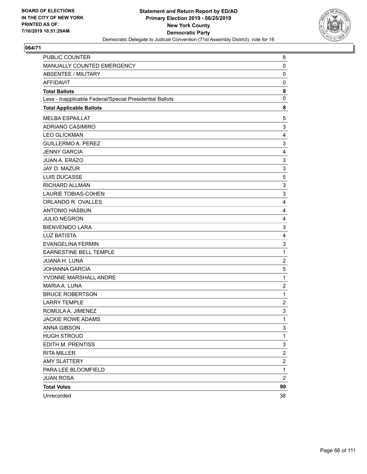

| PUBLIC COUNTER                                           | 8                       |
|----------------------------------------------------------|-------------------------|
| MANUALLY COUNTED EMERGENCY                               | 0                       |
| <b>ABSENTEE / MILITARY</b>                               | $\mathbf 0$             |
| <b>AFFIDAVIT</b>                                         | 0                       |
| <b>Total Ballots</b>                                     | 8                       |
| Less - Inapplicable Federal/Special Presidential Ballots | 0                       |
| <b>Total Applicable Ballots</b>                          | 8                       |
| <b>MELBA ESPAILLAT</b>                                   | 5                       |
| ADRIANO CASIMIRO                                         | 3                       |
| <b>LEO GLICKMAN</b>                                      | 4                       |
| <b>GUILLERMO A. PEREZ</b>                                | 3                       |
| <b>JENNY GARCIA</b>                                      | 4                       |
| <b>JUAN A. ERAZO</b>                                     | 3                       |
| JAY D. MAZUR                                             | 3                       |
| LUIS DUCASSE                                             | 5                       |
| RICHARD ALLMAN                                           | 3                       |
| <b>LAURIE TOBIAS-COHEN</b>                               | 3                       |
| ORLANDO R. OVALLES                                       | 4                       |
| <b>ANTONIO HASBUN</b>                                    | 4                       |
| <b>JULIO NEGRON</b>                                      | 4                       |
| <b>BIENVENIDO LARA</b>                                   | 3                       |
| <b>LUZ BATISTA</b>                                       | 4                       |
| <b>EVANGELINA FERMIN</b>                                 | 3                       |
| <b>EARNESTINE BELL TEMPLE</b>                            | 1                       |
| <b>JUANA H. LUNA</b>                                     | $\overline{2}$          |
| <b>JOHANNA GARCIA</b>                                    | 5                       |
| YVONNE MARSHALL ANDRE                                    | 1                       |
| MARIA A. LUNA                                            | $\overline{c}$          |
| <b>BRUCE ROBERTSON</b>                                   | 1                       |
| <b>LARRY TEMPLE</b>                                      | $\overline{c}$          |
| ROMULA A. JIMENEZ                                        | 3                       |
| <b>JACKIE ROWE ADAMS</b>                                 | 1                       |
| ANNA GIBSON                                              | 3                       |
| <b>HUGH STROUD</b>                                       | 1                       |
| EDITH M. PRENTISS                                        | 3                       |
| <b>RITA MILLER</b>                                       | $\boldsymbol{2}$        |
| <b>AMY SLATTERY</b>                                      | 2                       |
| PARA LEE BLOOMFIELD                                      | 1                       |
| <b>JUAN ROSA</b>                                         | $\overline{\mathbf{c}}$ |
| <b>Total Votes</b>                                       | 90                      |
| Unrecorded                                               | 38                      |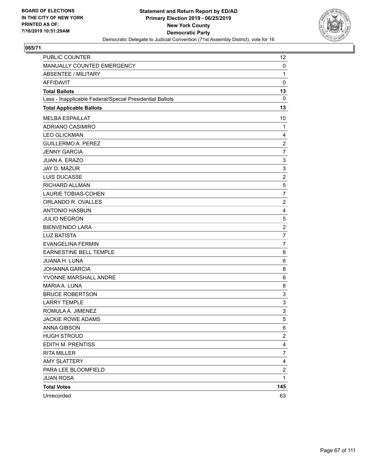

| PUBLIC COUNTER                                           | 12             |
|----------------------------------------------------------|----------------|
| MANUALLY COUNTED EMERGENCY                               | 0              |
| <b>ABSENTEE / MILITARY</b>                               | $\mathbf{1}$   |
| AFFIDAVIT                                                | $\mathbf 0$    |
| <b>Total Ballots</b>                                     | 13             |
| Less - Inapplicable Federal/Special Presidential Ballots | $\mathbf 0$    |
| <b>Total Applicable Ballots</b>                          | 13             |
| <b>MELBA ESPAILLAT</b>                                   | 10             |
| ADRIANO CASIMIRO                                         | 1              |
| <b>LEO GLICKMAN</b>                                      | 4              |
| <b>GUILLERMO A. PEREZ</b>                                | $\overline{c}$ |
| <b>JENNY GARCIA</b>                                      | $\overline{7}$ |
| JUAN A. ERAZO                                            | 3              |
| JAY D. MAZUR                                             | 3              |
| LUIS DUCASSE                                             | $\overline{2}$ |
| RICHARD ALLMAN                                           | 5              |
| <b>LAURIE TOBIAS-COHEN</b>                               | $\overline{7}$ |
| ORLANDO R. OVALLES                                       | $\overline{2}$ |
| <b>ANTONIO HASBUN</b>                                    | 4              |
| <b>JULIO NEGRON</b>                                      | 5              |
| <b>BIENVENIDO LARA</b>                                   | $\overline{2}$ |
| <b>LUZ BATISTA</b>                                       | $\overline{7}$ |
| <b>EVANGELINA FERMIN</b>                                 | $\overline{7}$ |
| <b>EARNESTINE BELL TEMPLE</b>                            | 6              |
| JUANA H. LUNA                                            | 6              |
| <b>JOHANNA GARCIA</b>                                    | 8              |
| YVONNE MARSHALL ANDRE                                    | 6              |
| MARIA A. LUNA                                            | 8              |
| <b>BRUCE ROBERTSON</b>                                   | 3              |
| <b>LARRY TEMPLE</b>                                      | 3              |
| ROMULA A. JIMENEZ                                        | 3              |
| <b>JACKIE ROWE ADAMS</b>                                 | 5              |
| ANNA GIBSON                                              | 6              |
| <b>HUGH STROUD</b>                                       | 2              |
| EDITH M. PRENTISS                                        | 4              |
| <b>RITA MILLER</b>                                       | $\overline{7}$ |
| <b>AMY SLATTERY</b>                                      | 4              |
| PARA LEE BLOOMFIELD                                      | 2              |
| <b>JUAN ROSA</b>                                         | 1              |
| <b>Total Votes</b>                                       | 145            |
| Unrecorded                                               | 63             |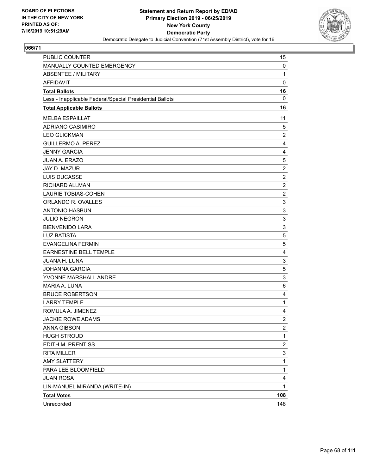

| PUBLIC COUNTER                                           | 15             |
|----------------------------------------------------------|----------------|
| MANUALLY COUNTED EMERGENCY                               | 0              |
| <b>ABSENTEE / MILITARY</b>                               | 1              |
| <b>AFFIDAVIT</b>                                         | $\mathbf 0$    |
| <b>Total Ballots</b>                                     | 16             |
| Less - Inapplicable Federal/Special Presidential Ballots | $\mathbf{0}$   |
| <b>Total Applicable Ballots</b>                          | 16             |
| <b>MELBA ESPAILLAT</b>                                   | 11             |
| <b>ADRIANO CASIMIRO</b>                                  | 5              |
| <b>LEO GLICKMAN</b>                                      | $\overline{c}$ |
| <b>GUILLERMO A. PEREZ</b>                                | 4              |
| <b>JENNY GARCIA</b>                                      | 4              |
| <b>JUAN A. ERAZO</b>                                     | 5              |
| JAY D. MAZUR                                             | $\overline{c}$ |
| LUIS DUCASSE                                             | $\overline{c}$ |
| RICHARD ALLMAN                                           | $\overline{c}$ |
| <b>LAURIE TOBIAS-COHEN</b>                               | $\overline{2}$ |
| ORLANDO R. OVALLES                                       | 3              |
| <b>ANTONIO HASBUN</b>                                    | 3              |
| <b>JULIO NEGRON</b>                                      | 3              |
| <b>BIENVENIDO LARA</b>                                   | 3              |
| <b>LUZ BATISTA</b>                                       | 5              |
| <b>EVANGELINA FERMIN</b>                                 | 5              |
| <b>EARNESTINE BELL TEMPLE</b>                            | 4              |
| JUANA H. LUNA                                            | 3              |
| <b>JOHANNA GARCIA</b>                                    | 5              |
| YVONNE MARSHALL ANDRE                                    | 3              |
| MARIA A. LUNA                                            | 6              |
| <b>BRUCE ROBERTSON</b>                                   | 4              |
| <b>LARRY TEMPLE</b>                                      | 1              |
| ROMULA A. JIMENEZ                                        | 4              |
| <b>JACKIE ROWE ADAMS</b>                                 | $\overline{2}$ |
| <b>ANNA GIBSON</b>                                       | $\overline{a}$ |
| <b>HUGH STROUD</b>                                       | $\mathbf{1}$   |
| EDITH M. PRENTISS                                        | 2              |
| <b>RITA MILLER</b>                                       | 3              |
| <b>AMY SLATTERY</b>                                      | $\mathbf{1}$   |
| PARA LEE BLOOMFIELD                                      | 1              |
| <b>JUAN ROSA</b>                                         | 4              |
| LIN-MANUEL MIRANDA (WRITE-IN)                            | 1              |
| <b>Total Votes</b>                                       | 108            |
| Unrecorded                                               | 148            |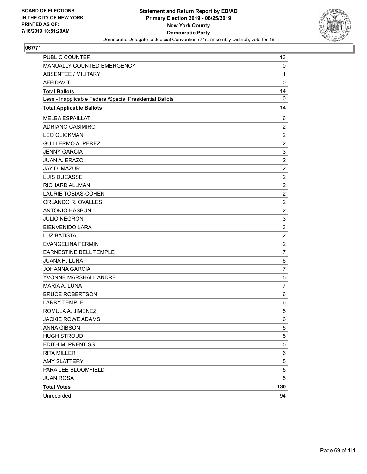

| PUBLIC COUNTER                                           | 13             |
|----------------------------------------------------------|----------------|
| MANUALLY COUNTED EMERGENCY                               | 0              |
| <b>ABSENTEE / MILITARY</b>                               | $\mathbf{1}$   |
| AFFIDAVIT                                                | $\mathbf 0$    |
| <b>Total Ballots</b>                                     | 14             |
| Less - Inapplicable Federal/Special Presidential Ballots | $\mathbf 0$    |
| <b>Total Applicable Ballots</b>                          | 14             |
| <b>MELBA ESPAILLAT</b>                                   | 6              |
| ADRIANO CASIMIRO                                         | $\overline{2}$ |
| <b>LEO GLICKMAN</b>                                      | $\overline{c}$ |
| <b>GUILLERMO A. PEREZ</b>                                | $\overline{c}$ |
| <b>JENNY GARCIA</b>                                      | 3              |
| JUAN A. ERAZO                                            | $\overline{c}$ |
| JAY D. MAZUR                                             | $\overline{c}$ |
| LUIS DUCASSE                                             | $\overline{2}$ |
| RICHARD ALLMAN                                           | $\overline{c}$ |
| <b>LAURIE TOBIAS-COHEN</b>                               | $\overline{c}$ |
| ORLANDO R. OVALLES                                       | $\overline{2}$ |
| <b>ANTONIO HASBUN</b>                                    | $\overline{c}$ |
| <b>JULIO NEGRON</b>                                      | 3              |
| <b>BIENVENIDO LARA</b>                                   | 3              |
| <b>LUZ BATISTA</b>                                       | $\overline{c}$ |
| <b>EVANGELINA FERMIN</b>                                 | $\overline{c}$ |
| <b>EARNESTINE BELL TEMPLE</b>                            | $\overline{7}$ |
| JUANA H. LUNA                                            | $\,6$          |
| <b>JOHANNA GARCIA</b>                                    | $\overline{7}$ |
| YVONNE MARSHALL ANDRE                                    | 5              |
| MARIA A. LUNA                                            | $\overline{7}$ |
| <b>BRUCE ROBERTSON</b>                                   | 6              |
| <b>LARRY TEMPLE</b>                                      | 6              |
| ROMULA A. JIMENEZ                                        | 5              |
| <b>JACKIE ROWE ADAMS</b>                                 | 6              |
| ANNA GIBSON                                              | 5              |
| <b>HUGH STROUD</b>                                       | 5              |
| EDITH M. PRENTISS                                        | 5              |
| <b>RITA MILLER</b>                                       | 6              |
| <b>AMY SLATTERY</b>                                      | 5              |
| PARA LEE BLOOMFIELD                                      | 5              |
| <b>JUAN ROSA</b>                                         | 5              |
| <b>Total Votes</b>                                       | 130            |
| Unrecorded                                               | 94             |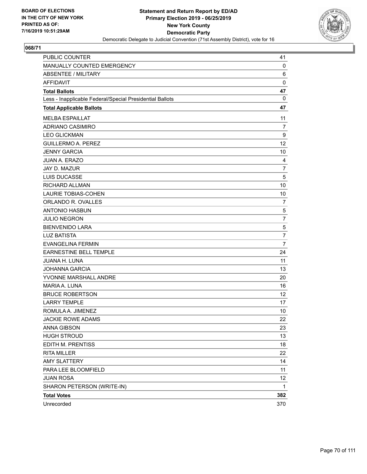

| PUBLIC COUNTER                                           | 41              |
|----------------------------------------------------------|-----------------|
| MANUALLY COUNTED EMERGENCY                               | 0               |
| <b>ABSENTEE / MILITARY</b>                               | 6               |
| <b>AFFIDAVIT</b>                                         | 0               |
| <b>Total Ballots</b>                                     | 47              |
| Less - Inapplicable Federal/Special Presidential Ballots | 0               |
| <b>Total Applicable Ballots</b>                          | 47              |
| <b>MELBA ESPAILLAT</b>                                   | 11              |
| <b>ADRIANO CASIMIRO</b>                                  | $\overline{7}$  |
| <b>LEO GLICKMAN</b>                                      | 9               |
| <b>GUILLERMO A. PEREZ</b>                                | 12              |
| <b>JENNY GARCIA</b>                                      | 10              |
| <b>JUAN A. ERAZO</b>                                     | 4               |
| <b>JAY D. MAZUR</b>                                      | $\overline{7}$  |
| <b>LUIS DUCASSE</b>                                      | 5               |
| <b>RICHARD ALLMAN</b>                                    | 10              |
| <b>LAURIE TOBIAS-COHEN</b>                               | 10              |
| ORLANDO R. OVALLES                                       | 7               |
| <b>ANTONIO HASBUN</b>                                    | 5               |
| <b>JULIO NEGRON</b>                                      | $\overline{7}$  |
| <b>BIENVENIDO LARA</b>                                   | 5               |
| <b>LUZ BATISTA</b>                                       | $\overline{7}$  |
| <b>EVANGELINA FERMIN</b>                                 | 7               |
| EARNESTINE BELL TEMPLE                                   | 24              |
| <b>JUANA H. LUNA</b>                                     | 11              |
| <b>JOHANNA GARCIA</b>                                    | 13              |
| YVONNE MARSHALL ANDRE                                    | 20              |
| MARIA A. LUNA                                            | 16              |
| <b>BRUCE ROBERTSON</b>                                   | 12              |
| <b>LARRY TEMPLE</b>                                      | 17              |
| ROMULA A. JIMENEZ                                        | 10              |
| <b>JACKIE ROWE ADAMS</b>                                 | 22              |
| <b>ANNA GIBSON</b>                                       | 23              |
| <b>HUGH STROUD</b>                                       | 13              |
| EDITH M. PRENTISS                                        | 18              |
| <b>RITA MILLER</b>                                       | 22              |
| <b>AMY SLATTERY</b>                                      | 14              |
| PARA LEE BLOOMFIELD                                      | 11              |
| <b>JUAN ROSA</b>                                         | 12 <sub>2</sub> |
| SHARON PETERSON (WRITE-IN)                               | 1               |
| <b>Total Votes</b>                                       | 382             |
| Unrecorded                                               | 370             |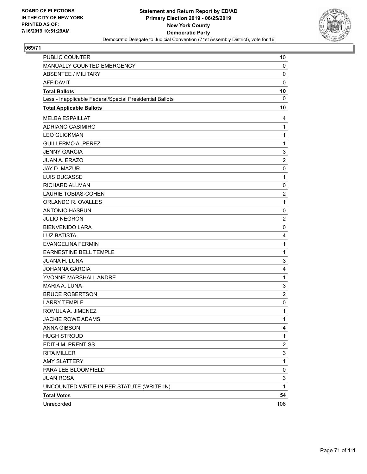

| PUBLIC COUNTER                                           | 10                      |
|----------------------------------------------------------|-------------------------|
| MANUALLY COUNTED EMERGENCY                               | 0                       |
| <b>ABSENTEE / MILITARY</b>                               | 0                       |
| <b>AFFIDAVIT</b>                                         | $\mathbf 0$             |
| <b>Total Ballots</b>                                     | 10                      |
| Less - Inapplicable Federal/Special Presidential Ballots | 0                       |
| <b>Total Applicable Ballots</b>                          | 10                      |
| <b>MELBA ESPAILLAT</b>                                   | 4                       |
| <b>ADRIANO CASIMIRO</b>                                  | $\mathbf{1}$            |
| <b>LEO GLICKMAN</b>                                      | $\mathbf{1}$            |
| <b>GUILLERMO A. PEREZ</b>                                | $\mathbf{1}$            |
| <b>JENNY GARCIA</b>                                      | 3                       |
| JUAN A. ERAZO                                            | $\overline{\mathbf{c}}$ |
| JAY D. MAZUR                                             | 0                       |
| <b>LUIS DUCASSE</b>                                      | $\mathbf{1}$            |
| <b>RICHARD ALLMAN</b>                                    | 0                       |
| <b>LAURIE TOBIAS-COHEN</b>                               | $\overline{c}$          |
| ORLANDO R. OVALLES                                       | $\mathbf{1}$            |
| <b>ANTONIO HASBUN</b>                                    | 0                       |
| <b>JULIO NEGRON</b>                                      | $\overline{c}$          |
| <b>BIENVENIDO LARA</b>                                   | 0                       |
| <b>LUZ BATISTA</b>                                       | 4                       |
| <b>EVANGELINA FERMIN</b>                                 | $\mathbf{1}$            |
| EARNESTINE BELL TEMPLE                                   | $\mathbf{1}$            |
| <b>JUANA H. LUNA</b>                                     | 3                       |
| <b>JOHANNA GARCIA</b>                                    | 4                       |
| YVONNE MARSHALL ANDRE                                    | $\mathbf{1}$            |
| MARIA A. LUNA                                            | 3                       |
| <b>BRUCE ROBERTSON</b>                                   | $\overline{c}$          |
| <b>LARRY TEMPLE</b>                                      | 0                       |
| ROMULA A. JIMENEZ                                        | 1                       |
| JACKIE ROWE ADAMS                                        | 1                       |
| ANNA GIBSON                                              | 4                       |
| <b>HUGH STROUD</b>                                       | 1                       |
| EDITH M. PRENTISS                                        | $\overline{c}$          |
| <b>RITA MILLER</b>                                       | 3                       |
| <b>AMY SLATTERY</b>                                      | $\mathbf{1}$            |
| PARA LEE BLOOMFIELD                                      | 0                       |
| <b>JUAN ROSA</b>                                         | 3                       |
| UNCOUNTED WRITE-IN PER STATUTE (WRITE-IN)                | $\mathbf{1}$            |
| <b>Total Votes</b>                                       | 54                      |
| Unrecorded                                               | 106                     |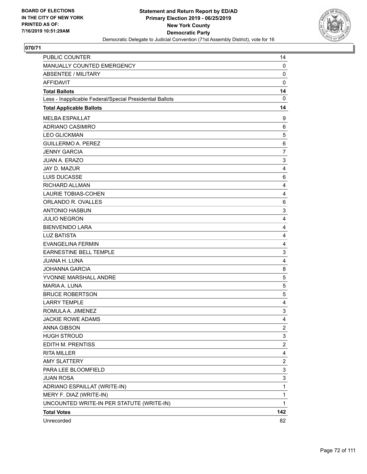

| PUBLIC COUNTER                                           | 14                        |
|----------------------------------------------------------|---------------------------|
| MANUALLY COUNTED EMERGENCY                               | 0                         |
| <b>ABSENTEE / MILITARY</b>                               | $\mathbf 0$               |
| <b>AFFIDAVIT</b>                                         | $\mathbf 0$               |
| <b>Total Ballots</b>                                     | 14                        |
| Less - Inapplicable Federal/Special Presidential Ballots | $\mathbf 0$               |
| <b>Total Applicable Ballots</b>                          | 14                        |
| <b>MELBA ESPAILLAT</b>                                   | 9                         |
| <b>ADRIANO CASIMIRO</b>                                  | 6                         |
| <b>LEO GLICKMAN</b>                                      | 5                         |
| <b>GUILLERMO A. PEREZ</b>                                | 6                         |
| <b>JENNY GARCIA</b>                                      | 7                         |
| <b>JUAN A. ERAZO</b>                                     | 3                         |
| JAY D. MAZUR                                             | 4                         |
| LUIS DUCASSE                                             | 6                         |
| RICHARD ALLMAN                                           | 4                         |
| <b>LAURIE TOBIAS-COHEN</b>                               | 4                         |
| ORLANDO R. OVALLES                                       | 6                         |
| <b>ANTONIO HASBUN</b>                                    | 3                         |
| <b>JULIO NEGRON</b>                                      | 4                         |
| <b>BIENVENIDO LARA</b>                                   | 4                         |
| <b>LUZ BATISTA</b>                                       | 4                         |
| <b>EVANGELINA FERMIN</b>                                 | 4                         |
| EARNESTINE BELL TEMPLE                                   | 3                         |
| JUANA H. LUNA                                            | 4                         |
| <b>JOHANNA GARCIA</b>                                    | 8                         |
| YVONNE MARSHALL ANDRE                                    | 5                         |
| MARIA A. LUNA                                            | 5                         |
| <b>BRUCE ROBERTSON</b>                                   | 5                         |
| <b>LARRY TEMPLE</b>                                      | 4                         |
| ROMULA A. JIMENEZ                                        | $\ensuremath{\mathsf{3}}$ |
| <b>JACKIE ROWE ADAMS</b>                                 | 4                         |
| ANNA GIBSON                                              | $\overline{c}$            |
| <b>HUGH STROUD</b>                                       | 3                         |
| EDITH M. PRENTISS                                        | $\overline{c}$            |
| <b>RITA MILLER</b>                                       | 4                         |
| <b>AMY SLATTERY</b>                                      | $\overline{\mathbf{c}}$   |
| PARA LEE BLOOMFIELD                                      | 3                         |
| <b>JUAN ROSA</b>                                         | 3                         |
| ADRIANO ESPAILLAT (WRITE-IN)                             | $\mathbf 1$               |
| MERY F. DIAZ (WRITE-IN)                                  | 1                         |
| UNCOUNTED WRITE-IN PER STATUTE (WRITE-IN)                | 1                         |
| <b>Total Votes</b>                                       | 142                       |
| Unrecorded                                               | 82                        |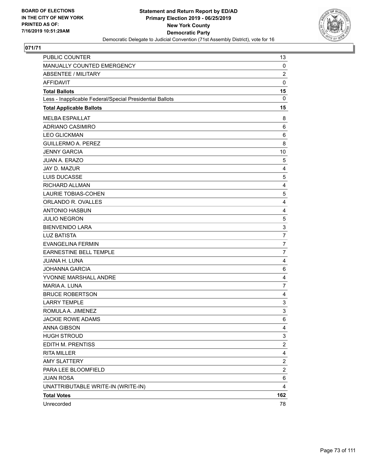

| <b>PUBLIC COUNTER</b>                                    | 13                      |
|----------------------------------------------------------|-------------------------|
| MANUALLY COUNTED EMERGENCY                               | 0                       |
| <b>ABSENTEE / MILITARY</b>                               | $\overline{c}$          |
| AFFIDAVIT                                                | 0                       |
| <b>Total Ballots</b>                                     | 15                      |
| Less - Inapplicable Federal/Special Presidential Ballots | $\mathbf 0$             |
| <b>Total Applicable Ballots</b>                          | 15                      |
| <b>MELBA ESPAILLAT</b>                                   | 8                       |
| ADRIANO CASIMIRO                                         | 6                       |
| <b>LEO GLICKMAN</b>                                      | 6                       |
| <b>GUILLERMO A. PEREZ</b>                                | 8                       |
| <b>JENNY GARCIA</b>                                      | 10                      |
| JUAN A. ERAZO                                            | 5                       |
| JAY D. MAZUR                                             | 4                       |
| LUIS DUCASSE                                             | 5                       |
| <b>RICHARD ALLMAN</b>                                    | 4                       |
| <b>LAURIE TOBIAS-COHEN</b>                               | 5                       |
| ORLANDO R. OVALLES                                       | $\overline{4}$          |
| <b>ANTONIO HASBUN</b>                                    | 4                       |
| <b>JULIO NEGRON</b>                                      | 5                       |
| <b>BIENVENIDO LARA</b>                                   | 3                       |
| <b>LUZ BATISTA</b>                                       | $\overline{7}$          |
| <b>EVANGELINA FERMIN</b>                                 | $\overline{7}$          |
| <b>EARNESTINE BELL TEMPLE</b>                            | $\overline{7}$          |
| JUANA H. LUNA                                            | 4                       |
| <b>JOHANNA GARCIA</b>                                    | 6                       |
| YVONNE MARSHALL ANDRE                                    | $\overline{4}$          |
| MARIA A. LUNA                                            | $\overline{7}$          |
| <b>BRUCE ROBERTSON</b>                                   | 4                       |
| <b>LARRY TEMPLE</b>                                      | 3                       |
| ROMULA A. JIMENEZ                                        | 3                       |
| <b>JACKIE ROWE ADAMS</b>                                 | 6                       |
| ANNA GIBSON                                              | 4                       |
| <b>HUGH STROUD</b>                                       | 3                       |
| EDITH M. PRENTISS                                        | $\overline{\mathbf{c}}$ |
| <b>RITA MILLER</b>                                       | 4                       |
| <b>AMY SLATTERY</b>                                      | 2                       |
| PARA LEE BLOOMFIELD                                      | $\overline{\mathbf{c}}$ |
| <b>JUAN ROSA</b>                                         | 6                       |
| UNATTRIBUTABLE WRITE-IN (WRITE-IN)                       | 4                       |
| <b>Total Votes</b>                                       | 162                     |
| Unrecorded                                               | 78                      |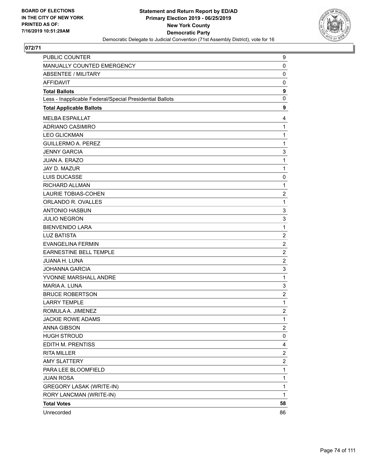

| PUBLIC COUNTER                                           | 9                       |
|----------------------------------------------------------|-------------------------|
| <b>MANUALLY COUNTED EMERGENCY</b>                        | 0                       |
| <b>ABSENTEE / MILITARY</b>                               | $\mathbf 0$             |
| <b>AFFIDAVIT</b>                                         | 0                       |
| <b>Total Ballots</b>                                     | $\boldsymbol{9}$        |
| Less - Inapplicable Federal/Special Presidential Ballots | 0                       |
| <b>Total Applicable Ballots</b>                          | 9                       |
| <b>MELBA ESPAILLAT</b>                                   | 4                       |
| ADRIANO CASIMIRO                                         | $\mathbf{1}$            |
| <b>LEO GLICKMAN</b>                                      | 1                       |
| <b>GUILLERMO A. PEREZ</b>                                | 1                       |
| <b>JENNY GARCIA</b>                                      | 3                       |
| <b>JUAN A. ERAZO</b>                                     | 1                       |
| JAY D. MAZUR                                             | 1                       |
| LUIS DUCASSE                                             | 0                       |
| RICHARD ALLMAN                                           | 1                       |
| <b>LAURIE TOBIAS-COHEN</b>                               | 2                       |
| ORLANDO R. OVALLES                                       | $\mathbf{1}$            |
| <b>ANTONIO HASBUN</b>                                    | 3                       |
| <b>JULIO NEGRON</b>                                      | 3                       |
| <b>BIENVENIDO LARA</b>                                   | 1                       |
| <b>LUZ BATISTA</b>                                       | $\overline{c}$          |
| <b>EVANGELINA FERMIN</b>                                 | $\overline{2}$          |
| <b>EARNESTINE BELL TEMPLE</b>                            | $\overline{c}$          |
| <b>JUANA H. LUNA</b>                                     | $\overline{c}$          |
| <b>JOHANNA GARCIA</b>                                    | 3                       |
| YVONNE MARSHALL ANDRE                                    | 1                       |
| MARIA A. LUNA                                            | 3                       |
| <b>BRUCE ROBERTSON</b>                                   | 2                       |
| <b>LARRY TEMPLE</b>                                      | $\mathbf{1}$            |
| ROMULA A. JIMENEZ                                        | $\overline{\mathbf{c}}$ |
| <b>JACKIE ROWE ADAMS</b>                                 | 1                       |
| ANNA GIBSON                                              | $\mathbf{2}$            |
| <b>HUGH STROUD</b>                                       | 0                       |
| EDITH M. PRENTISS                                        | 4                       |
| <b>RITA MILLER</b>                                       | $\overline{\mathbf{c}}$ |
| <b>AMY SLATTERY</b>                                      | 2                       |
| PARA LEE BLOOMFIELD                                      | 1                       |
| <b>JUAN ROSA</b>                                         | 1                       |
| <b>GREGORY LASAK (WRITE-IN)</b>                          | 1                       |
| RORY LANCMAN (WRITE-IN)                                  | 1                       |
| <b>Total Votes</b>                                       | 58                      |
| Unrecorded                                               | 86                      |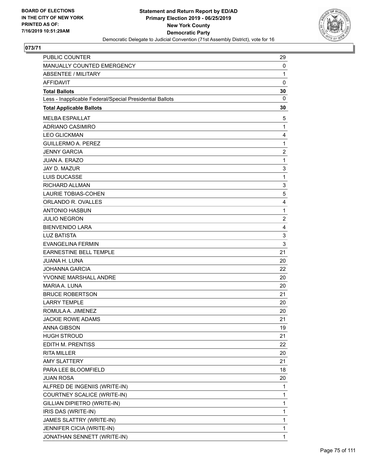

| <b>PUBLIC COUNTER</b>                                    | 29                      |
|----------------------------------------------------------|-------------------------|
| MANUALLY COUNTED EMERGENCY                               | 0                       |
| <b>ABSENTEE / MILITARY</b>                               | 1                       |
| <b>AFFIDAVIT</b>                                         | $\mathbf 0$             |
| <b>Total Ballots</b>                                     | 30                      |
| Less - Inapplicable Federal/Special Presidential Ballots | $\mathbf{0}$            |
| <b>Total Applicable Ballots</b>                          | 30                      |
| <b>MELBA ESPAILLAT</b>                                   | 5                       |
| ADRIANO CASIMIRO                                         | 1                       |
| <b>LEO GLICKMAN</b>                                      | 4                       |
| <b>GUILLERMO A. PEREZ</b>                                | $\mathbf{1}$            |
| <b>JENNY GARCIA</b>                                      | $\overline{\mathbf{c}}$ |
| <b>JUAN A. ERAZO</b>                                     | 1                       |
| JAY D. MAZUR                                             | 3                       |
| <b>LUIS DUCASSE</b>                                      | 1                       |
| RICHARD ALLMAN                                           | 3                       |
| <b>LAURIE TOBIAS-COHEN</b>                               | 5                       |
| ORLANDO R. OVALLES                                       | 4                       |
| <b>ANTONIO HASBUN</b>                                    | 1                       |
| <b>JULIO NEGRON</b>                                      | $\overline{2}$          |
| <b>BIENVENIDO LARA</b>                                   | 4                       |
| <b>LUZ BATISTA</b>                                       | 3                       |
| <b>EVANGELINA FERMIN</b>                                 | 3                       |
| EARNESTINE BELL TEMPLE                                   | 21                      |
| JUANA H. LUNA                                            | 20                      |
| <b>JOHANNA GARCIA</b>                                    | 22                      |
| YVONNE MARSHALL ANDRE                                    | 20                      |
| MARIA A. LUNA                                            | 20                      |
| <b>BRUCE ROBERTSON</b>                                   | 21                      |
| <b>LARRY TEMPLE</b>                                      | 20                      |
| ROMULA A. JIMENEZ                                        | 20                      |
| <b>JACKIE ROWE ADAMS</b>                                 | 21                      |
| <b>ANNA GIBSON</b>                                       | 19                      |
| <b>HUGH STROUD</b>                                       | 21                      |
| EDITH M. PRENTISS                                        | 22                      |
| <b>RITA MILLER</b>                                       | 20                      |
| <b>AMY SLATTERY</b>                                      | 21                      |
| PARA LEE BLOOMFIELD                                      | 18                      |
| <b>JUAN ROSA</b>                                         | 20                      |
| ALFRED DE INGENIIS (WRITE-IN)                            | 1                       |
| COURTNEY SCALICE (WRITE-IN)                              | 1                       |
| GILLIAN DIPIETRO (WRITE-IN)                              | 1                       |
| IRIS DAS (WRITE-IN)                                      | 1                       |
| JAMES SLATTRY (WRITE-IN)                                 | 1                       |
| JENNIFER CICIA (WRITE-IN)                                | 1                       |
| JONATHAN SENNETT (WRITE-IN)                              | $\mathbf{1}$            |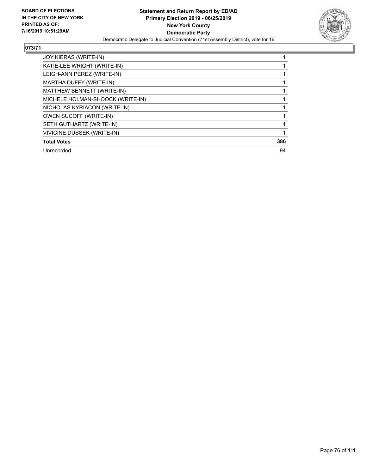

| JOY KIERAS (WRITE-IN)             |     |
|-----------------------------------|-----|
| KATIE-LEE WRIGHT (WRITE-IN)       |     |
| LEIGH-ANN PEREZ (WRITE-IN)        |     |
| MARTHA DUFFY (WRITE-IN)           |     |
| MATTHEW BENNETT (WRITE-IN)        |     |
| MICHELE HOLMAN-SHOOCK (WRITE-IN)  |     |
| NICHOLAS KYRIACON (WRITE-IN)      |     |
| OWEN SUCOFF (WRITE-IN)            |     |
| SETH GUTHARTZ (WRITE-IN)          |     |
| <b>VIVICINE DUSSEK (WRITE-IN)</b> |     |
| <b>Total Votes</b>                | 386 |
| Unrecorded                        | 94  |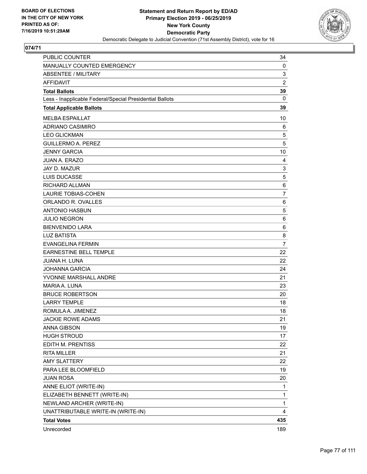

| PUBLIC COUNTER                                           | 34             |
|----------------------------------------------------------|----------------|
| MANUALLY COUNTED EMERGENCY                               | 0              |
| <b>ABSENTEE / MILITARY</b>                               | 3              |
| <b>AFFIDAVIT</b>                                         | $\overline{2}$ |
| <b>Total Ballots</b>                                     | 39             |
| Less - Inapplicable Federal/Special Presidential Ballots | $\mathbf{0}$   |
| <b>Total Applicable Ballots</b>                          | 39             |
| <b>MELBA ESPAILLAT</b>                                   | 10             |
| <b>ADRIANO CASIMIRO</b>                                  | 6              |
| <b>LEO GLICKMAN</b>                                      | 5              |
| <b>GUILLERMO A. PEREZ</b>                                | 5              |
| <b>JENNY GARCIA</b>                                      | 10             |
| <b>JUAN A. ERAZO</b>                                     | $\overline{4}$ |
| JAY D. MAZUR                                             | 3              |
| <b>LUIS DUCASSE</b>                                      | 5              |
| <b>RICHARD ALLMAN</b>                                    | 6              |
| <b>LAURIE TOBIAS-COHEN</b>                               | 7              |
| ORLANDO R. OVALLES                                       | 6              |
| <b>ANTONIO HASBUN</b>                                    | 5              |
| <b>JULIO NEGRON</b>                                      | 6              |
| <b>BIENVENIDO LARA</b>                                   | 6              |
| <b>LUZ BATISTA</b>                                       | 8              |
| <b>EVANGELINA FERMIN</b>                                 | $\overline{7}$ |
| EARNESTINE BELL TEMPLE                                   | 22             |
| JUANA H. LUNA                                            | 22             |
| <b>JOHANNA GARCIA</b>                                    | 24             |
| YVONNE MARSHALL ANDRE                                    | 21             |
| MARIA A. LUNA                                            | 23             |
| <b>BRUCE ROBERTSON</b>                                   | 20             |
| <b>LARRY TEMPLE</b>                                      | 18             |
| ROMULA A. JIMENEZ                                        | 18             |
| <b>JACKIE ROWE ADAMS</b>                                 | 21             |
| ANNA GIBSON                                              | 19             |
| <b>HUGH STROUD</b>                                       | 17             |
| EDITH M. PRENTISS                                        | 22             |
| <b>RITA MILLER</b>                                       | 21             |
| <b>AMY SLATTERY</b>                                      | 22             |
| PARA LEE BLOOMFIELD                                      | 19             |
| <b>JUAN ROSA</b>                                         | 20             |
| ANNE ELIOT (WRITE-IN)                                    | 1              |
| ELIZABETH BENNETT (WRITE-IN)                             | 1              |
| NEWLAND ARCHER (WRITE-IN)                                | 1              |
| UNATTRIBUTABLE WRITE-IN (WRITE-IN)                       | 4              |
| <b>Total Votes</b>                                       | 435            |
| Unrecorded                                               | 189            |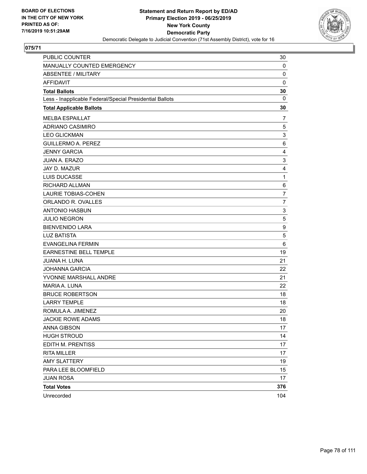

| PUBLIC COUNTER                                           | 30             |
|----------------------------------------------------------|----------------|
| MANUALLY COUNTED EMERGENCY                               | 0              |
| <b>ABSENTEE / MILITARY</b>                               | $\mathbf 0$    |
| AFFIDAVIT                                                | 0              |
| <b>Total Ballots</b>                                     | 30             |
| Less - Inapplicable Federal/Special Presidential Ballots | 0              |
| <b>Total Applicable Ballots</b>                          | 30             |
| <b>MELBA ESPAILLAT</b>                                   | 7              |
| <b>ADRIANO CASIMIRO</b>                                  | 5              |
| <b>LEO GLICKMAN</b>                                      | 3              |
| <b>GUILLERMO A. PEREZ</b>                                | 6              |
| <b>JENNY GARCIA</b>                                      | 4              |
| JUAN A. ERAZO                                            | 3              |
| JAY D. MAZUR                                             | 4              |
| LUIS DUCASSE                                             | 1              |
| <b>RICHARD ALLMAN</b>                                    | 6              |
| <b>LAURIE TOBIAS-COHEN</b>                               | $\overline{7}$ |
| ORLANDO R. OVALLES                                       | $\overline{7}$ |
| <b>ANTONIO HASBUN</b>                                    | 3              |
| <b>JULIO NEGRON</b>                                      | 5              |
| <b>BIENVENIDO LARA</b>                                   | 9              |
| <b>LUZ BATISTA</b>                                       | 5              |
| <b>EVANGELINA FERMIN</b>                                 | 6              |
| <b>EARNESTINE BELL TEMPLE</b>                            | 19             |
| JUANA H. LUNA                                            | 21             |
| <b>JOHANNA GARCIA</b>                                    | 22             |
| YVONNE MARSHALL ANDRE                                    | 21             |
| MARIA A. LUNA                                            | 22             |
| <b>BRUCE ROBERTSON</b>                                   | 18             |
| <b>LARRY TEMPLE</b>                                      | 18             |
| ROMULA A. JIMENEZ                                        | 20             |
| <b>JACKIE ROWE ADAMS</b>                                 | 18             |
| <b>ANNA GIBSON</b>                                       | 17             |
| <b>HUGH STROUD</b>                                       | 14             |
| EDITH M. PRENTISS                                        | 17             |
| <b>RITA MILLER</b>                                       | 17             |
| <b>AMY SLATTERY</b>                                      | 19             |
| PARA LEE BLOOMFIELD                                      | 15             |
| <b>JUAN ROSA</b>                                         | 17             |
| <b>Total Votes</b>                                       | 376            |
| Unrecorded                                               | 104            |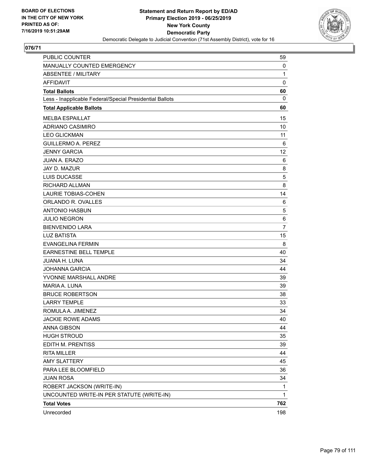

| <b>PUBLIC COUNTER</b>                                    | 59             |
|----------------------------------------------------------|----------------|
| MANUALLY COUNTED EMERGENCY                               | 0              |
| <b>ABSENTEE / MILITARY</b>                               | 1              |
| <b>AFFIDAVIT</b>                                         | 0              |
| <b>Total Ballots</b>                                     | 60             |
| Less - Inapplicable Federal/Special Presidential Ballots | 0              |
| <b>Total Applicable Ballots</b>                          | 60             |
| <b>MELBA ESPAILLAT</b>                                   | 15             |
| ADRIANO CASIMIRO                                         | 10             |
| <b>LEO GLICKMAN</b>                                      | 11             |
| <b>GUILLERMO A. PEREZ</b>                                | 6              |
| <b>JENNY GARCIA</b>                                      | 12             |
| <b>JUAN A. ERAZO</b>                                     | 6              |
| JAY D. MAZUR                                             | 8              |
| LUIS DUCASSE                                             | 5              |
| <b>RICHARD ALLMAN</b>                                    | 8              |
| <b>LAURIE TOBIAS-COHEN</b>                               | 14             |
| ORLANDO R. OVALLES                                       | 6              |
| <b>ANTONIO HASBUN</b>                                    | 5              |
| <b>JULIO NEGRON</b>                                      | 6              |
| <b>BIENVENIDO LARA</b>                                   | $\overline{7}$ |
| <b>LUZ BATISTA</b>                                       | 15             |
| <b>EVANGELINA FERMIN</b>                                 | 8              |
| EARNESTINE BELL TEMPLE                                   | 40             |
| <b>JUANA H. LUNA</b>                                     | 34             |
| <b>JOHANNA GARCIA</b>                                    | 44             |
| YVONNE MARSHALL ANDRE                                    | 39             |
| <b>MARIA A. LUNA</b>                                     | 39             |
| <b>BRUCE ROBERTSON</b>                                   | 38             |
| <b>LARRY TEMPLE</b>                                      | 33             |
| ROMULA A. JIMENEZ                                        | 34             |
| JACKIE ROWE ADAMS                                        | 40             |
| <b>ANNA GIBSON</b>                                       | 44             |
| <b>HUGH STROUD</b>                                       | 35             |
| EDITH M. PRENTISS                                        | 39             |
| <b>RITA MILLER</b>                                       | 44             |
| <b>AMY SLATTERY</b>                                      | 45             |
| PARA LEE BLOOMFIELD                                      | 36             |
| <b>JUAN ROSA</b>                                         | 34             |
| ROBERT JACKSON (WRITE-IN)                                | 1              |
| UNCOUNTED WRITE-IN PER STATUTE (WRITE-IN)                | 1              |
| <b>Total Votes</b>                                       | 762            |
| Unrecorded                                               | 198            |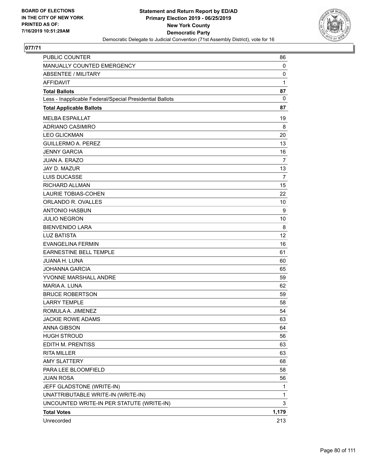

| PUBLIC COUNTER                                           | 86             |
|----------------------------------------------------------|----------------|
| <b>MANUALLY COUNTED EMERGENCY</b>                        | 0              |
| ABSENTEE / MILITARY                                      | 0              |
| AFFIDAVIT                                                | 1              |
| <b>Total Ballots</b>                                     | 87             |
| Less - Inapplicable Federal/Special Presidential Ballots | 0              |
| <b>Total Applicable Ballots</b>                          | 87             |
| <b>MELBA ESPAILLAT</b>                                   | 19             |
| ADRIANO CASIMIRO                                         | 8              |
| <b>LEO GLICKMAN</b>                                      | 20             |
| <b>GUILLERMO A. PEREZ</b>                                | 13             |
| <b>JENNY GARCIA</b>                                      | 16             |
| <b>JUAN A. ERAZO</b>                                     | 7              |
| JAY D. MAZUR                                             | 13             |
| <b>LUIS DUCASSE</b>                                      | $\overline{7}$ |
| RICHARD ALLMAN                                           | 15             |
| <b>LAURIE TOBIAS-COHEN</b>                               | 22             |
| ORLANDO R. OVALLES                                       | 10             |
| <b>ANTONIO HASBUN</b>                                    | 9              |
| <b>JULIO NEGRON</b>                                      | 10             |
| <b>BIENVENIDO LARA</b>                                   | 8              |
| <b>LUZ BATISTA</b>                                       | 12             |
| <b>EVANGELINA FERMIN</b>                                 | 16             |
| <b>EARNESTINE BELL TEMPLE</b>                            | 61             |
| JUANA H. LUNA                                            | 60             |
| <b>JOHANNA GARCIA</b>                                    | 65             |
| YVONNE MARSHALL ANDRE                                    | 59             |
| MARIA A. LUNA                                            | 62             |
| <b>BRUCE ROBERTSON</b>                                   | 59             |
| <b>LARRY TEMPLE</b>                                      | 58             |
| ROMULA A. JIMENEZ                                        | 54             |
| <b>JACKIE ROWE ADAMS</b>                                 | 63             |
| <b>ANNA GIBSON</b>                                       | 64             |
| <b>HUGH STROUD</b>                                       | 56             |
| EDITH M. PRENTISS                                        | 63             |
| <b>RITA MILLER</b>                                       | 63             |
| <b>AMY SLATTERY</b>                                      | 68             |
| PARA LEE BLOOMFIELD                                      | 58             |
| <b>JUAN ROSA</b>                                         | 56             |
| JEFF GLADSTONE (WRITE-IN)                                | 1              |
| UNATTRIBUTABLE WRITE-IN (WRITE-IN)                       | 1              |
| UNCOUNTED WRITE-IN PER STATUTE (WRITE-IN)                | 3              |
| <b>Total Votes</b>                                       | 1,179          |
| Unrecorded                                               | 213            |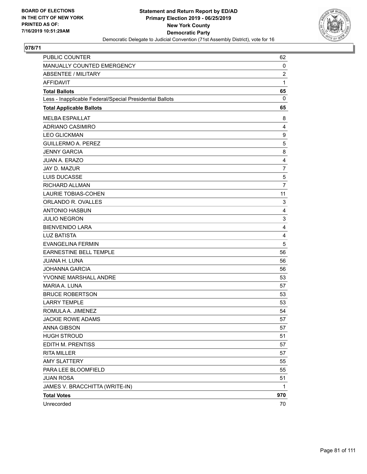

| PUBLIC COUNTER                                           | 62             |
|----------------------------------------------------------|----------------|
| MANUALLY COUNTED EMERGENCY                               | 0              |
| <b>ABSENTEE / MILITARY</b>                               | $\overline{c}$ |
| AFFIDAVIT                                                | 1              |
| <b>Total Ballots</b>                                     | 65             |
| Less - Inapplicable Federal/Special Presidential Ballots | 0              |
| <b>Total Applicable Ballots</b>                          | 65             |
| <b>MELBA ESPAILLAT</b>                                   | 8              |
| ADRIANO CASIMIRO                                         | 4              |
| <b>LEO GLICKMAN</b>                                      | 9              |
| <b>GUILLERMO A. PEREZ</b>                                | 5              |
| <b>JENNY GARCIA</b>                                      | 8              |
| JUAN A. ERAZO                                            | 4              |
| JAY D. MAZUR                                             | $\overline{7}$ |
| LUIS DUCASSE                                             | 5              |
| RICHARD ALLMAN                                           | 7              |
| <b>LAURIE TOBIAS-COHEN</b>                               | 11             |
| ORLANDO R. OVALLES                                       | 3              |
| <b>ANTONIO HASBUN</b>                                    | $\overline{4}$ |
| <b>JULIO NEGRON</b>                                      | 3              |
| <b>BIENVENIDO LARA</b>                                   | $\overline{4}$ |
| <b>LUZ BATISTA</b>                                       | 4              |
| <b>EVANGELINA FERMIN</b>                                 | 5              |
| <b>EARNESTINE BELL TEMPLE</b>                            | 56             |
| JUANA H. LUNA                                            | 56             |
| <b>JOHANNA GARCIA</b>                                    | 56             |
| YVONNE MARSHALL ANDRE                                    | 53             |
| MARIA A. LUNA                                            | 57             |
| <b>BRUCE ROBERTSON</b>                                   | 53             |
| <b>LARRY TEMPLE</b>                                      | 53             |
| ROMULA A. JIMENEZ                                        | 54             |
| <b>JACKIE ROWE ADAMS</b>                                 | 57             |
| <b>ANNA GIBSON</b>                                       | 57             |
| <b>HUGH STROUD</b>                                       | 51             |
| EDITH M. PRENTISS                                        | 57             |
| <b>RITA MILLER</b>                                       | 57             |
| <b>AMY SLATTERY</b>                                      | 55             |
| PARA LEE BLOOMFIELD                                      | 55             |
| <b>JUAN ROSA</b>                                         | 51             |
| JAMES V. BRACCHITTA (WRITE-IN)                           | 1              |
| <b>Total Votes</b>                                       | 970            |
| Unrecorded                                               | 70             |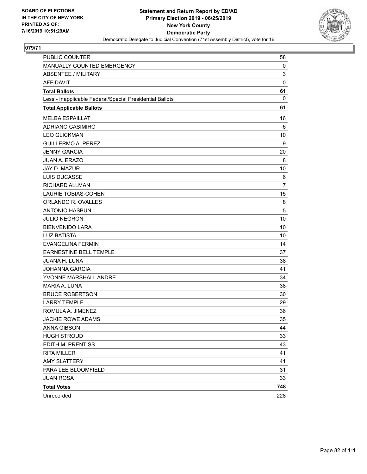

| PUBLIC COUNTER                                           | 58             |
|----------------------------------------------------------|----------------|
| MANUALLY COUNTED EMERGENCY                               | 0              |
| <b>ABSENTEE / MILITARY</b>                               | 3              |
| <b>AFFIDAVIT</b>                                         | $\mathbf 0$    |
| <b>Total Ballots</b>                                     | 61             |
| Less - Inapplicable Federal/Special Presidential Ballots | $\mathbf{0}$   |
| <b>Total Applicable Ballots</b>                          | 61             |
| <b>MELBA ESPAILLAT</b>                                   | 16             |
| <b>ADRIANO CASIMIRO</b>                                  | 6              |
| <b>LEO GLICKMAN</b>                                      | 10             |
| <b>GUILLERMO A. PEREZ</b>                                | 9              |
| <b>JENNY GARCIA</b>                                      | 20             |
| <b>JUAN A. ERAZO</b>                                     | 8              |
| JAY D. MAZUR                                             | 10             |
| LUIS DUCASSE                                             | 6              |
| <b>RICHARD ALLMAN</b>                                    | $\overline{7}$ |
| <b>LAURIE TOBIAS-COHEN</b>                               | 15             |
| ORLANDO R. OVALLES                                       | 8              |
| <b>ANTONIO HASBUN</b>                                    | 5              |
| <b>JULIO NEGRON</b>                                      | 10             |
| <b>BIENVENIDO LARA</b>                                   | 10             |
| <b>LUZ BATISTA</b>                                       | 10             |
| <b>EVANGELINA FERMIN</b>                                 | 14             |
| EARNESTINE BELL TEMPLE                                   | 37             |
| <b>JUANA H. LUNA</b>                                     | 38             |
| <b>JOHANNA GARCIA</b>                                    | 41             |
| YVONNE MARSHALL ANDRE                                    | 34             |
| MARIA A. LUNA                                            | 38             |
| <b>BRUCE ROBERTSON</b>                                   | 30             |
| <b>LARRY TEMPLE</b>                                      | 29             |
| ROMULA A. JIMENEZ                                        | 36             |
| <b>JACKIE ROWE ADAMS</b>                                 | 35             |
| <b>ANNA GIBSON</b>                                       | 44             |
| <b>HUGH STROUD</b>                                       | 33             |
| EDITH M. PRENTISS                                        | 43             |
| <b>RITA MILLER</b>                                       | 41             |
| <b>AMY SLATTERY</b>                                      | 41             |
| PARA LEE BLOOMFIELD                                      | 31             |
| <b>JUAN ROSA</b>                                         | 33             |
| <b>Total Votes</b>                                       | 748            |
| Unrecorded                                               | 228            |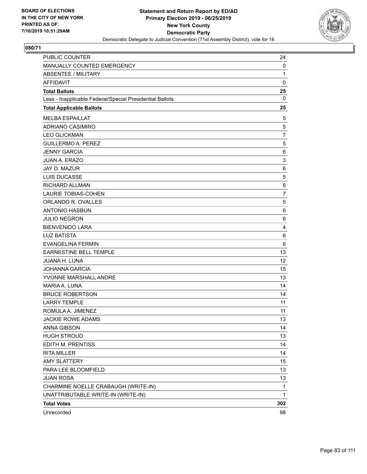

| <b>PUBLIC COUNTER</b>                                    | 24             |
|----------------------------------------------------------|----------------|
| <b>MANUALLY COUNTED EMERGENCY</b>                        | 0              |
| <b>ABSENTEE / MILITARY</b>                               | 1              |
| AFFIDAVIT                                                | $\mathbf 0$    |
| <b>Total Ballots</b>                                     | 25             |
| Less - Inapplicable Federal/Special Presidential Ballots | 0              |
| <b>Total Applicable Ballots</b>                          | 25             |
| <b>MELBA ESPAILLAT</b>                                   | 5              |
| ADRIANO CASIMIRO                                         | 5              |
| <b>LEO GLICKMAN</b>                                      | $\overline{7}$ |
| <b>GUILLERMO A. PEREZ</b>                                | 5              |
| <b>JENNY GARCIA</b>                                      | 6              |
| JUAN A. ERAZO                                            | 3              |
| JAY D. MAZUR                                             | 6              |
| <b>LUIS DUCASSE</b>                                      | 5              |
| RICHARD ALLMAN                                           | 6              |
| <b>LAURIE TOBIAS-COHEN</b>                               | $\overline{7}$ |
| ORLANDO R. OVALLES                                       | 5              |
| <b>ANTONIO HASBUN</b>                                    | 6              |
| <b>JULIO NEGRON</b>                                      | 6              |
| <b>BIENVENIDO LARA</b>                                   | $\overline{4}$ |
| <b>LUZ BATISTA</b>                                       | 6              |
| <b>EVANGELINA FERMIN</b>                                 | 6              |
| <b>EARNESTINE BELL TEMPLE</b>                            | 13             |
| JUANA H. LUNA                                            | 12             |
| <b>JOHANNA GARCIA</b>                                    | 15             |
| YVONNE MARSHALL ANDRE                                    | 13             |
| MARIA A. LUNA                                            | 14             |
| <b>BRUCE ROBERTSON</b>                                   | 14             |
| <b>LARRY TEMPLE</b>                                      | 11             |
| ROMULA A. JIMENEZ                                        | 11             |
| <b>JACKIE ROWE ADAMS</b>                                 | 13             |
| <b>ANNA GIBSON</b>                                       | 14             |
| <b>HUGH STROUD</b>                                       | 13             |
| <b>EDITH M. PRENTISS</b>                                 | 14             |
| <b>RITA MILLER</b>                                       | 14             |
| <b>AMY SLATTERY</b>                                      | 15             |
| PARA LEE BLOOMFIELD                                      | 13             |
| <b>JUAN ROSA</b>                                         | 13             |
| CHARMINE NOELLE CRABAUGH (WRITE-IN)                      | 1              |
| UNATTRIBUTABLE WRITE-IN (WRITE-IN)                       | 1              |
| <b>Total Votes</b>                                       | 302            |
| Unrecorded                                               | 98             |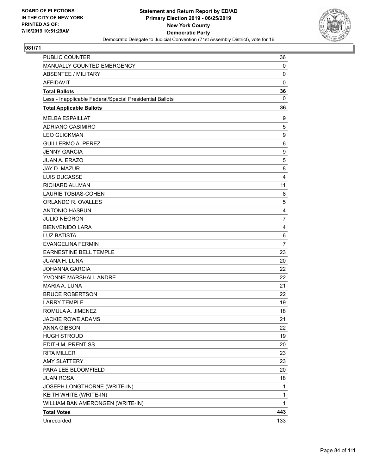

| MANUALLY COUNTED EMERGENCY                               | 0              |
|----------------------------------------------------------|----------------|
| <b>ABSENTEE / MILITARY</b>                               | $\mathbf 0$    |
| <b>AFFIDAVIT</b>                                         | $\mathbf 0$    |
| <b>Total Ballots</b>                                     | 36             |
| Less - Inapplicable Federal/Special Presidential Ballots | 0              |
| <b>Total Applicable Ballots</b>                          | 36             |
| <b>MELBA ESPAILLAT</b>                                   | 9              |
| ADRIANO CASIMIRO                                         | 5              |
| <b>LEO GLICKMAN</b>                                      | 9              |
| <b>GUILLERMO A. PEREZ</b>                                | 6              |
| <b>JENNY GARCIA</b>                                      | 9              |
| <b>JUAN A. ERAZO</b>                                     | 5              |
| JAY D. MAZUR                                             | 8              |
| <b>LUIS DUCASSE</b>                                      | 4              |
| RICHARD ALLMAN                                           | 11             |
| <b>LAURIE TOBIAS-COHEN</b>                               | 8              |
| ORLANDO R. OVALLES                                       | 5              |
| <b>ANTONIO HASBUN</b>                                    | 4              |
| <b>JULIO NEGRON</b>                                      | $\overline{7}$ |
| <b>BIENVENIDO LARA</b>                                   | 4              |
| <b>LUZ BATISTA</b>                                       | 6              |
| <b>EVANGELINA FERMIN</b>                                 | $\overline{7}$ |
| EARNESTINE BELL TEMPLE                                   | 23             |
| JUANA H. LUNA                                            | 20             |
| <b>JOHANNA GARCIA</b>                                    | 22             |
| YVONNE MARSHALL ANDRE                                    | 22             |
| MARIA A. LUNA                                            | 21             |
| <b>BRUCE ROBERTSON</b>                                   | 22             |
| <b>LARRY TEMPLE</b>                                      | 19             |
| ROMULA A. JIMENEZ                                        | 18             |
| <b>JACKIE ROWE ADAMS</b>                                 | 21             |
| <b>ANNA GIBSON</b>                                       | 22             |
| <b>HUGH STROUD</b>                                       | 19             |
| EDITH M. PRENTISS                                        | 20             |
| <b>RITA MILLER</b>                                       | 23             |
| <b>AMY SLATTERY</b>                                      | 23             |
| PARA LEE BLOOMFIELD                                      | 20             |
| <b>JUAN ROSA</b>                                         | 18             |
| JOSEPH LONGTHORNE (WRITE-IN)                             | 1              |
| KEITH WHITE (WRITE-IN)                                   | 1              |
| WILLIAM BAN AMERONGEN (WRITE-IN)                         | 1              |
| <b>Total Votes</b>                                       | 443            |
| Unrecorded                                               | 133            |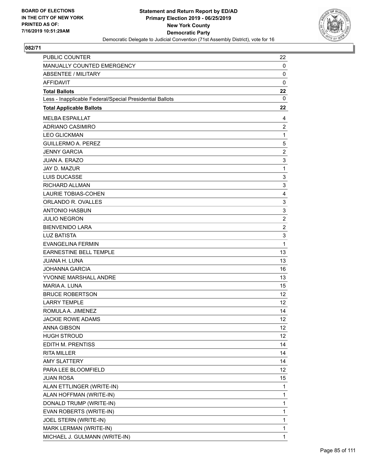

| PUBLIC COUNTER                                           | 22              |
|----------------------------------------------------------|-----------------|
| MANUALLY COUNTED EMERGENCY                               | 0               |
| <b>ABSENTEE / MILITARY</b>                               | 0               |
| <b>AFFIDAVIT</b>                                         | $\mathbf 0$     |
| <b>Total Ballots</b>                                     | 22              |
| Less - Inapplicable Federal/Special Presidential Ballots | 0               |
| <b>Total Applicable Ballots</b>                          | 22              |
| <b>MELBA ESPAILLAT</b>                                   | 4               |
| ADRIANO CASIMIRO                                         | $\overline{2}$  |
| <b>LEO GLICKMAN</b>                                      | $\mathbf{1}$    |
| <b>GUILLERMO A. PEREZ</b>                                | 5               |
| <b>JENNY GARCIA</b>                                      | $\overline{c}$  |
| <b>JUAN A. ERAZO</b>                                     | 3               |
| JAY D. MAZUR                                             | $\mathbf{1}$    |
| <b>LUIS DUCASSE</b>                                      | 3               |
| RICHARD ALLMAN                                           | 3               |
| <b>LAURIE TOBIAS-COHEN</b>                               | 4               |
| ORLANDO R. OVALLES                                       | 3               |
| <b>ANTONIO HASBUN</b>                                    | 3               |
| <b>JULIO NEGRON</b>                                      | $\overline{c}$  |
| <b>BIENVENIDO LARA</b>                                   | $\overline{c}$  |
| <b>LUZ BATISTA</b>                                       | 3               |
| <b>EVANGELINA FERMIN</b>                                 | 1               |
| EARNESTINE BELL TEMPLE                                   | 13              |
| <b>JUANA H. LUNA</b>                                     | 13              |
| <b>JOHANNA GARCIA</b>                                    | 16              |
| YVONNE MARSHALL ANDRE                                    | 13              |
| <b>MARIA A. LUNA</b>                                     | 15              |
| <b>BRUCE ROBERTSON</b>                                   | 12              |
| <b>LARRY TEMPLE</b>                                      | 12              |
| ROMULA A. JIMENEZ                                        | 14              |
| <b>JACKIE ROWE ADAMS</b>                                 | 12              |
| <b>ANNA GIBSON</b>                                       | 12 <sub>2</sub> |
| <b>HUGH STROUD</b>                                       | 12              |
| EDITH M. PRENTISS                                        | 14              |
| <b>RITA MILLER</b>                                       | 14              |
| <b>AMY SLATTERY</b>                                      | 14              |
| PARA LEE BLOOMFIELD                                      | 12              |
| <b>JUAN ROSA</b>                                         | 15              |
| ALAN ETTLINGER (WRITE-IN)                                | 1               |
| ALAN HOFFMAN (WRITE-IN)                                  | 1               |
| DONALD TRUMP (WRITE-IN)                                  | $\mathbf 1$     |
| EVAN ROBERTS (WRITE-IN)                                  | 1               |
| JOEL STERN (WRITE-IN)                                    | 1               |
| MARK LERMAN (WRITE-IN)                                   | 1               |
| MICHAEL J. GULMANN (WRITE-IN)                            | 1               |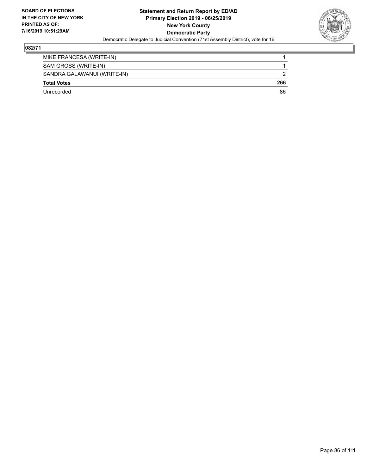

| Unrecorded                  | 86  |
|-----------------------------|-----|
| <b>Total Votes</b>          | 266 |
| SANDRA GALAWANUI (WRITE-IN) |     |
| SAM GROSS (WRITE-IN)        |     |
| MIKE FRANCESA (WRITE-IN)    |     |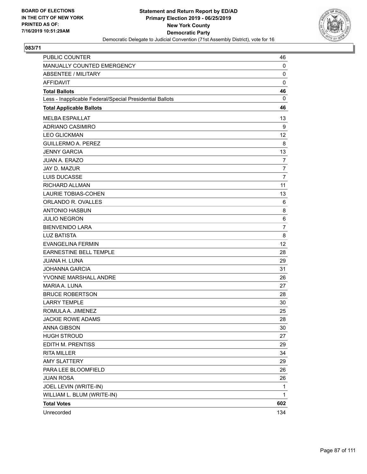

| PUBLIC COUNTER                                           | 46             |
|----------------------------------------------------------|----------------|
| MANUALLY COUNTED EMERGENCY                               | 0              |
| <b>ABSENTEE / MILITARY</b>                               | $\mathbf 0$    |
| <b>AFFIDAVIT</b>                                         | $\mathbf 0$    |
| <b>Total Ballots</b>                                     | 46             |
| Less - Inapplicable Federal/Special Presidential Ballots | $\mathbf{0}$   |
| <b>Total Applicable Ballots</b>                          | 46             |
| <b>MELBA ESPAILLAT</b>                                   | 13             |
| <b>ADRIANO CASIMIRO</b>                                  | 9              |
| <b>LEO GLICKMAN</b>                                      | 12             |
| <b>GUILLERMO A. PEREZ</b>                                | 8              |
| <b>JENNY GARCIA</b>                                      | 13             |
| <b>JUAN A. ERAZO</b>                                     | $\overline{7}$ |
| JAY D. MAZUR                                             | 7              |
| <b>LUIS DUCASSE</b>                                      | 7              |
| RICHARD ALLMAN                                           | 11             |
| <b>LAURIE TOBIAS-COHEN</b>                               | 13             |
| ORLANDO R. OVALLES                                       | 6              |
| <b>ANTONIO HASBUN</b>                                    | 8              |
| <b>JULIO NEGRON</b>                                      | 6              |
| <b>BIENVENIDO LARA</b>                                   | 7              |
| <b>LUZ BATISTA</b>                                       | 8              |
| <b>EVANGELINA FERMIN</b>                                 | 12             |
| EARNESTINE BELL TEMPLE                                   | 28             |
| JUANA H. LUNA                                            | 29             |
| <b>JOHANNA GARCIA</b>                                    | 31             |
| YVONNE MARSHALL ANDRE                                    | 26             |
| MARIA A. LUNA                                            | 27             |
| <b>BRUCE ROBERTSON</b>                                   | 28             |
| <b>LARRY TEMPLE</b>                                      | 30             |
| ROMULA A. JIMENEZ                                        | 25             |
| <b>JACKIE ROWE ADAMS</b>                                 | 28             |
| ANNA GIBSON                                              | 30             |
| <b>HUGH STROUD</b>                                       | 27             |
| EDITH M. PRENTISS                                        | 29             |
| <b>RITA MILLER</b>                                       | 34             |
| <b>AMY SLATTERY</b>                                      | 29             |
| PARA LEE BLOOMFIELD                                      | 26             |
| <b>JUAN ROSA</b>                                         | 26             |
| JOEL LEVIN (WRITE-IN)                                    | 1              |
| WILLIAM L. BLUM (WRITE-IN)                               | 1              |
| <b>Total Votes</b>                                       | 602            |
| Unrecorded                                               | 134            |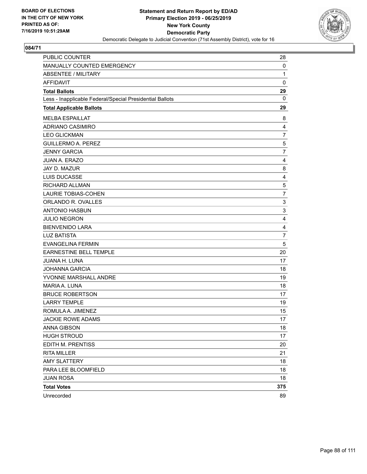

| <b>PUBLIC COUNTER</b>                                    | 28             |
|----------------------------------------------------------|----------------|
| MANUALLY COUNTED EMERGENCY                               | 0              |
| <b>ABSENTEE / MILITARY</b>                               | 1              |
| <b>AFFIDAVIT</b>                                         | $\mathbf 0$    |
| <b>Total Ballots</b>                                     | 29             |
| Less - Inapplicable Federal/Special Presidential Ballots | $\mathbf{0}$   |
| <b>Total Applicable Ballots</b>                          | 29             |
| <b>MELBA ESPAILLAT</b>                                   | 8              |
| <b>ADRIANO CASIMIRO</b>                                  | 4              |
| <b>LEO GLICKMAN</b>                                      | $\overline{7}$ |
| <b>GUILLERMO A. PEREZ</b>                                | 5              |
| <b>JENNY GARCIA</b>                                      | 7              |
| <b>JUAN A. ERAZO</b>                                     | 4              |
| JAY D. MAZUR                                             | 8              |
| <b>LUIS DUCASSE</b>                                      | $\overline{4}$ |
| RICHARD ALLMAN                                           | 5              |
| <b>LAURIE TOBIAS-COHEN</b>                               | $\overline{7}$ |
| ORLANDO R. OVALLES                                       | 3              |
| <b>ANTONIO HASBUN</b>                                    | 3              |
| <b>JULIO NEGRON</b>                                      | 4              |
| <b>BIENVENIDO LARA</b>                                   | $\overline{4}$ |
| <b>LUZ BATISTA</b>                                       | $\overline{7}$ |
| <b>EVANGELINA FERMIN</b>                                 | 5              |
| EARNESTINE BELL TEMPLE                                   | 20             |
| JUANA H. LUNA                                            | 17             |
| <b>JOHANNA GARCIA</b>                                    | 18             |
| YVONNE MARSHALL ANDRE                                    | 19             |
| MARIA A. LUNA                                            | 18             |
| <b>BRUCE ROBERTSON</b>                                   | 17             |
| <b>LARRY TEMPLE</b>                                      | 19             |
| ROMULA A. JIMENEZ                                        | 15             |
| <b>JACKIE ROWE ADAMS</b>                                 | 17             |
| <b>ANNA GIBSON</b>                                       | 18             |
| <b>HUGH STROUD</b>                                       | 17             |
| EDITH M. PRENTISS                                        | 20             |
| <b>RITA MILLER</b>                                       | 21             |
| <b>AMY SLATTERY</b>                                      | 18             |
| PARA LEE BLOOMFIELD                                      | 18             |
| <b>JUAN ROSA</b>                                         | 18             |
| <b>Total Votes</b>                                       | 375            |
| Unrecorded                                               | 89             |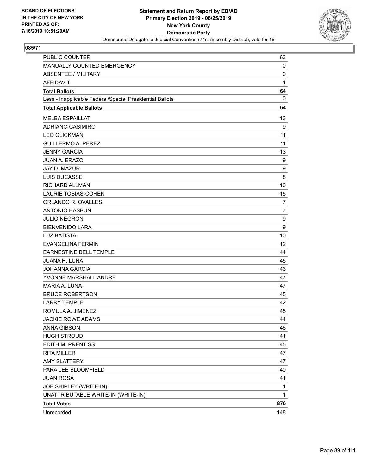

| PUBLIC COUNTER                                           | 63             |
|----------------------------------------------------------|----------------|
| MANUALLY COUNTED EMERGENCY                               | 0              |
| <b>ABSENTEE / MILITARY</b>                               | $\mathbf 0$    |
| <b>AFFIDAVIT</b>                                         | 1              |
| <b>Total Ballots</b>                                     | 64             |
| Less - Inapplicable Federal/Special Presidential Ballots | 0              |
| <b>Total Applicable Ballots</b>                          | 64             |
| <b>MELBA ESPAILLAT</b>                                   | 13             |
| <b>ADRIANO CASIMIRO</b>                                  | 9              |
| <b>LEO GLICKMAN</b>                                      | 11             |
| <b>GUILLERMO A. PEREZ</b>                                | 11             |
| <b>JENNY GARCIA</b>                                      | 13             |
| JUAN A. ERAZO                                            | 9              |
| JAY D. MAZUR                                             | 9              |
| <b>LUIS DUCASSE</b>                                      | 8              |
| <b>RICHARD ALLMAN</b>                                    | 10             |
| <b>LAURIE TOBIAS-COHEN</b>                               | 15             |
| ORLANDO R. OVALLES                                       | $\overline{7}$ |
| <b>ANTONIO HASBUN</b>                                    | $\overline{7}$ |
| <b>JULIO NEGRON</b>                                      | 9              |
| <b>BIENVENIDO LARA</b>                                   | 9              |
| <b>LUZ BATISTA</b>                                       | 10             |
| <b>EVANGELINA FERMIN</b>                                 | 12             |
| <b>EARNESTINE BELL TEMPLE</b>                            | 44             |
| JUANA H. LUNA                                            | 45             |
| <b>JOHANNA GARCIA</b>                                    | 46             |
| YVONNE MARSHALL ANDRE                                    | 47             |
| MARIA A. LUNA                                            | 47             |
| <b>BRUCE ROBERTSON</b>                                   | 45             |
| <b>LARRY TEMPLE</b>                                      | 42             |
| ROMULA A. JIMENEZ                                        | 45             |
| <b>JACKIE ROWE ADAMS</b>                                 | 44             |
| <b>ANNA GIBSON</b>                                       | 46             |
| <b>HUGH STROUD</b>                                       | 41             |
| <b>EDITH M. PRENTISS</b>                                 | 45             |
| <b>RITA MILLER</b>                                       | 47             |
| <b>AMY SLATTERY</b>                                      | 47             |
| PARA LEE BLOOMFIELD                                      | 40             |
| <b>JUAN ROSA</b>                                         | 41             |
| JOE SHIPLEY (WRITE-IN)                                   | 1              |
| UNATTRIBUTABLE WRITE-IN (WRITE-IN)                       | 1              |
| <b>Total Votes</b>                                       | 876            |
| Unrecorded                                               | 148            |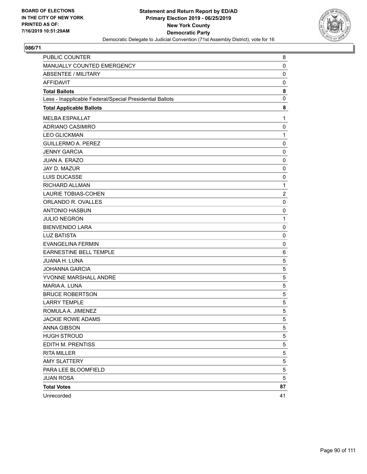

| PUBLIC COUNTER                                           | 8              |
|----------------------------------------------------------|----------------|
| MANUALLY COUNTED EMERGENCY                               | 0              |
| <b>ABSENTEE / MILITARY</b>                               | $\mathbf 0$    |
| AFFIDAVIT                                                | 0              |
| <b>Total Ballots</b>                                     | 8              |
| Less - Inapplicable Federal/Special Presidential Ballots | 0              |
| <b>Total Applicable Ballots</b>                          | 8              |
| <b>MELBA ESPAILLAT</b>                                   | 1              |
| <b>ADRIANO CASIMIRO</b>                                  | 0              |
| <b>LEO GLICKMAN</b>                                      | 1              |
| <b>GUILLERMO A. PEREZ</b>                                | 0              |
| <b>JENNY GARCIA</b>                                      | 0              |
| JUAN A. ERAZO                                            | $\mathbf 0$    |
| JAY D. MAZUR                                             | 0              |
| <b>LUIS DUCASSE</b>                                      | 0              |
| RICHARD ALLMAN                                           | 1              |
| <b>LAURIE TOBIAS-COHEN</b>                               | $\overline{c}$ |
| ORLANDO R. OVALLES                                       | $\mathbf 0$    |
| <b>ANTONIO HASBUN</b>                                    | 0              |
| <b>JULIO NEGRON</b>                                      | 1              |
| <b>BIENVENIDO LARA</b>                                   | $\mathbf 0$    |
| <b>LUZ BATISTA</b>                                       | $\mathbf 0$    |
| <b>EVANGELINA FERMIN</b>                                 | 0              |
| <b>EARNESTINE BELL TEMPLE</b>                            | 6              |
| JUANA H. LUNA                                            | 5              |
| <b>JOHANNA GARCIA</b>                                    | 5              |
| YVONNE MARSHALL ANDRE                                    | 5              |
| MARIA A. LUNA                                            | 5              |
| <b>BRUCE ROBERTSON</b>                                   | 5              |
| <b>LARRY TEMPLE</b>                                      | 5              |
| ROMULA A. JIMENEZ                                        | 5              |
| <b>JACKIE ROWE ADAMS</b>                                 | 5              |
| <b>ANNA GIBSON</b>                                       | 5              |
| <b>HUGH STROUD</b>                                       | 5              |
| EDITH M. PRENTISS                                        | 5              |
| <b>RITA MILLER</b>                                       | 5              |
| <b>AMY SLATTERY</b>                                      | 5              |
| PARA LEE BLOOMFIELD                                      | 5              |
| <b>JUAN ROSA</b>                                         | 5              |
| <b>Total Votes</b>                                       | 87             |
| Unrecorded                                               | 41             |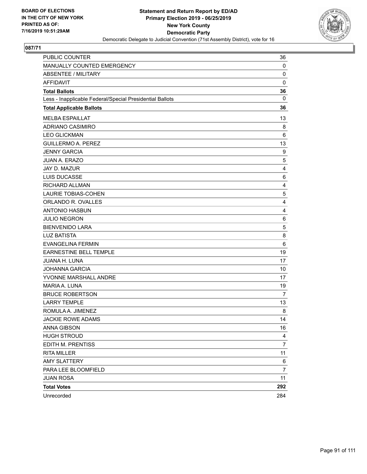

| PUBLIC COUNTER                                           | 36             |
|----------------------------------------------------------|----------------|
| MANUALLY COUNTED EMERGENCY                               | 0              |
| <b>ABSENTEE / MILITARY</b>                               | $\mathbf 0$    |
| <b>AFFIDAVIT</b>                                         | 0              |
| <b>Total Ballots</b>                                     | 36             |
| Less - Inapplicable Federal/Special Presidential Ballots | 0              |
| <b>Total Applicable Ballots</b>                          | 36             |
| <b>MELBA ESPAILLAT</b>                                   | 13             |
| ADRIANO CASIMIRO                                         | 8              |
| <b>LEO GLICKMAN</b>                                      | 6              |
| <b>GUILLERMO A. PEREZ</b>                                | 13             |
| <b>JENNY GARCIA</b>                                      | 9              |
| JUAN A. ERAZO                                            | 5              |
| JAY D. MAZUR                                             | 4              |
| LUIS DUCASSE                                             | 6              |
| <b>RICHARD ALLMAN</b>                                    | 4              |
| <b>LAURIE TOBIAS-COHEN</b>                               | 5              |
| ORLANDO R. OVALLES                                       | $\overline{4}$ |
| <b>ANTONIO HASBUN</b>                                    | 4              |
| <b>JULIO NEGRON</b>                                      | 6              |
| <b>BIENVENIDO LARA</b>                                   | 5              |
| <b>LUZ BATISTA</b>                                       | 8              |
| <b>EVANGELINA FERMIN</b>                                 | 6              |
| EARNESTINE BELL TEMPLE                                   | 19             |
| <b>JUANA H. LUNA</b>                                     | 17             |
| <b>JOHANNA GARCIA</b>                                    | 10             |
| YVONNE MARSHALL ANDRE                                    | 17             |
| MARIA A. LUNA                                            | 19             |
| <b>BRUCE ROBERTSON</b>                                   | 7              |
| <b>LARRY TEMPLE</b>                                      | 13             |
| ROMULA A. JIMENEZ                                        | 8              |
| <b>JACKIE ROWE ADAMS</b>                                 | 14             |
| <b>ANNA GIBSON</b>                                       | 16             |
| <b>HUGH STROUD</b>                                       | 4              |
| EDITH M. PRENTISS                                        | $\overline{7}$ |
| <b>RITA MILLER</b>                                       | 11             |
| <b>AMY SLATTERY</b>                                      | 6              |
| PARA LEE BLOOMFIELD                                      | $\overline{7}$ |
| <b>JUAN ROSA</b>                                         | 11             |
| <b>Total Votes</b>                                       | 292            |
| Unrecorded                                               | 284            |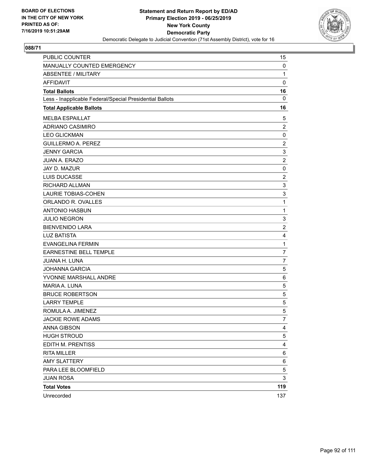

| PUBLIC COUNTER                                           | 15             |
|----------------------------------------------------------|----------------|
| MANUALLY COUNTED EMERGENCY                               | 0              |
| <b>ABSENTEE / MILITARY</b>                               | $\mathbf{1}$   |
| AFFIDAVIT                                                | $\mathbf 0$    |
| <b>Total Ballots</b>                                     | 16             |
| Less - Inapplicable Federal/Special Presidential Ballots | $\mathbf 0$    |
| <b>Total Applicable Ballots</b>                          | 16             |
| <b>MELBA ESPAILLAT</b>                                   | 5              |
| ADRIANO CASIMIRO                                         | $\overline{2}$ |
| <b>LEO GLICKMAN</b>                                      | $\mathbf 0$    |
| <b>GUILLERMO A. PEREZ</b>                                | $\overline{c}$ |
| <b>JENNY GARCIA</b>                                      | 3              |
| JUAN A. ERAZO                                            | $\overline{c}$ |
| JAY D. MAZUR                                             | 0              |
| LUIS DUCASSE                                             | $\overline{2}$ |
| RICHARD ALLMAN                                           | 3              |
| <b>LAURIE TOBIAS-COHEN</b>                               | 3              |
| ORLANDO R. OVALLES                                       | 1              |
| <b>ANTONIO HASBUN</b>                                    | $\mathbf{1}$   |
| <b>JULIO NEGRON</b>                                      | 3              |
| <b>BIENVENIDO LARA</b>                                   | $\overline{2}$ |
| <b>LUZ BATISTA</b>                                       | 4              |
| <b>EVANGELINA FERMIN</b>                                 | $\mathbf{1}$   |
| <b>EARNESTINE BELL TEMPLE</b>                            | $\overline{7}$ |
| JUANA H. LUNA                                            | $\overline{7}$ |
| <b>JOHANNA GARCIA</b>                                    | 5              |
| YVONNE MARSHALL ANDRE                                    | 6              |
| MARIA A. LUNA                                            | 5              |
| <b>BRUCE ROBERTSON</b>                                   | 5              |
| <b>LARRY TEMPLE</b>                                      | 5              |
| ROMULA A. JIMENEZ                                        | 5              |
| <b>JACKIE ROWE ADAMS</b>                                 | 7              |
| <b>ANNA GIBSON</b>                                       | 4              |
| <b>HUGH STROUD</b>                                       | 5              |
| EDITH M. PRENTISS                                        | 4              |
| <b>RITA MILLER</b>                                       | 6              |
| <b>AMY SLATTERY</b>                                      | 6              |
| PARA LEE BLOOMFIELD                                      | 5              |
| <b>JUAN ROSA</b>                                         | 3              |
| <b>Total Votes</b>                                       | 119            |
| Unrecorded                                               | 137            |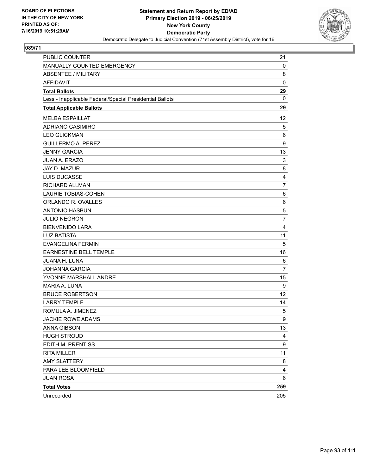

| PUBLIC COUNTER                                           | 21             |
|----------------------------------------------------------|----------------|
| MANUALLY COUNTED EMERGENCY                               | 0              |
| <b>ABSENTEE / MILITARY</b>                               | 8              |
| <b>AFFIDAVIT</b>                                         | $\mathbf 0$    |
| <b>Total Ballots</b>                                     | 29             |
| Less - Inapplicable Federal/Special Presidential Ballots | 0              |
| <b>Total Applicable Ballots</b>                          | 29             |
| <b>MELBA ESPAILLAT</b>                                   | 12             |
| ADRIANO CASIMIRO                                         | 5              |
| <b>LEO GLICKMAN</b>                                      | 6              |
| <b>GUILLERMO A. PEREZ</b>                                | 9              |
| <b>JENNY GARCIA</b>                                      | 13             |
| <b>JUAN A. ERAZO</b>                                     | 3              |
| JAY D. MAZUR                                             | 8              |
| LUIS DUCASSE                                             | 4              |
| RICHARD ALLMAN                                           | $\overline{7}$ |
| <b>LAURIE TOBIAS-COHEN</b>                               | 6              |
| ORLANDO R. OVALLES                                       | 6              |
| <b>ANTONIO HASBUN</b>                                    | 5              |
| <b>JULIO NEGRON</b>                                      | $\overline{7}$ |
| <b>BIENVENIDO LARA</b>                                   | 4              |
| <b>LUZ BATISTA</b>                                       | 11             |
| <b>EVANGELINA FERMIN</b>                                 | 5              |
| EARNESTINE BELL TEMPLE                                   | 16             |
| JUANA H. LUNA                                            | 6              |
| <b>JOHANNA GARCIA</b>                                    | $\overline{7}$ |
| YVONNE MARSHALL ANDRE                                    | 15             |
| MARIA A. LUNA                                            | 9              |
| <b>BRUCE ROBERTSON</b>                                   | 12             |
| <b>LARRY TEMPLE</b>                                      | 14             |
| ROMULA A. JIMENEZ                                        | 5              |
| <b>JACKIE ROWE ADAMS</b>                                 | 9              |
| <b>ANNA GIBSON</b>                                       | 13             |
| <b>HUGH STROUD</b>                                       | 4              |
| EDITH M. PRENTISS                                        | 9              |
| <b>RITA MILLER</b>                                       | 11             |
| <b>AMY SLATTERY</b>                                      | 8              |
| PARA LEE BLOOMFIELD                                      | 4              |
| <b>JUAN ROSA</b>                                         | 6              |
| <b>Total Votes</b>                                       | 259            |
| Unrecorded                                               | 205            |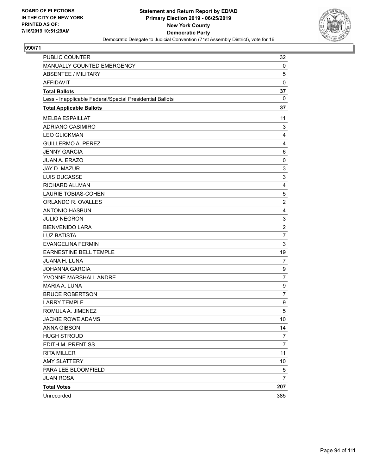

| PUBLIC COUNTER                                           | 32             |
|----------------------------------------------------------|----------------|
| MANUALLY COUNTED EMERGENCY                               | 0              |
| <b>ABSENTEE / MILITARY</b>                               | 5              |
| <b>AFFIDAVIT</b>                                         | $\mathbf 0$    |
| <b>Total Ballots</b>                                     | 37             |
| Less - Inapplicable Federal/Special Presidential Ballots | 0              |
| <b>Total Applicable Ballots</b>                          | 37             |
| <b>MELBA ESPAILLAT</b>                                   | 11             |
| <b>ADRIANO CASIMIRO</b>                                  | 3              |
| <b>LEO GLICKMAN</b>                                      | 4              |
| <b>GUILLERMO A. PEREZ</b>                                | $\overline{4}$ |
| <b>JENNY GARCIA</b>                                      | 6              |
| <b>JUAN A. ERAZO</b>                                     | $\mathbf 0$    |
| JAY D. MAZUR                                             | 3              |
| <b>LUIS DUCASSE</b>                                      | 3              |
| RICHARD ALLMAN                                           | 4              |
| <b>LAURIE TOBIAS-COHEN</b>                               | 5              |
| ORLANDO R. OVALLES                                       | $\overline{c}$ |
| <b>ANTONIO HASBUN</b>                                    | 4              |
| <b>JULIO NEGRON</b>                                      | 3              |
| <b>BIENVENIDO LARA</b>                                   | $\overline{2}$ |
| <b>LUZ BATISTA</b>                                       | $\overline{7}$ |
| <b>EVANGELINA FERMIN</b>                                 | 3              |
| EARNESTINE BELL TEMPLE                                   | 19             |
| JUANA H. LUNA                                            | $\overline{7}$ |
| <b>JOHANNA GARCIA</b>                                    | 9              |
| YVONNE MARSHALL ANDRE                                    | $\overline{7}$ |
| <b>MARIA A. LUNA</b>                                     | 9              |
| <b>BRUCE ROBERTSON</b>                                   | $\overline{7}$ |
| <b>LARRY TEMPLE</b>                                      | 9              |
| ROMULA A. JIMENEZ                                        | 5              |
| <b>JACKIE ROWE ADAMS</b>                                 | 10             |
| <b>ANNA GIBSON</b>                                       | 14             |
| <b>HUGH STROUD</b>                                       | 7              |
| EDITH M. PRENTISS                                        | $\overline{7}$ |
| <b>RITA MILLER</b>                                       | 11             |
| <b>AMY SLATTERY</b>                                      | 10             |
| PARA LEE BLOOMFIELD                                      | 5              |
| <b>JUAN ROSA</b>                                         | 7              |
| <b>Total Votes</b>                                       | 207            |
| Unrecorded                                               | 385            |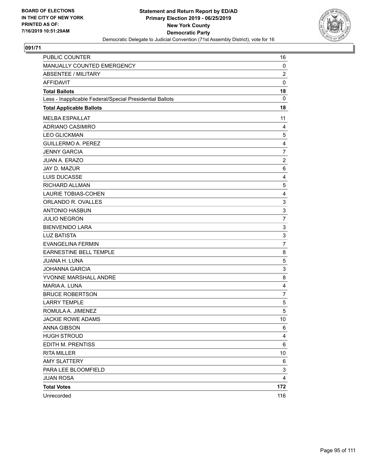

| PUBLIC COUNTER                                           | 16             |
|----------------------------------------------------------|----------------|
| MANUALLY COUNTED EMERGENCY                               | 0              |
| <b>ABSENTEE / MILITARY</b>                               | $\overline{c}$ |
| AFFIDAVIT                                                | $\mathbf 0$    |
| <b>Total Ballots</b>                                     | 18             |
| Less - Inapplicable Federal/Special Presidential Ballots | $\mathbf 0$    |
| <b>Total Applicable Ballots</b>                          | 18             |
| <b>MELBA ESPAILLAT</b>                                   | 11             |
| <b>ADRIANO CASIMIRO</b>                                  | 4              |
| <b>LEO GLICKMAN</b>                                      | 5              |
| <b>GUILLERMO A. PEREZ</b>                                | 4              |
| <b>JENNY GARCIA</b>                                      | $\overline{7}$ |
| JUAN A. ERAZO                                            | $\overline{c}$ |
| JAY D. MAZUR                                             | 6              |
| LUIS DUCASSE                                             | 4              |
| RICHARD ALLMAN                                           | 5              |
| <b>LAURIE TOBIAS-COHEN</b>                               | 4              |
| ORLANDO R. OVALLES                                       | 3              |
| <b>ANTONIO HASBUN</b>                                    | 3              |
| <b>JULIO NEGRON</b>                                      | $\overline{7}$ |
| <b>BIENVENIDO LARA</b>                                   | 3              |
| <b>LUZ BATISTA</b>                                       | 3              |
| <b>EVANGELINA FERMIN</b>                                 | $\overline{7}$ |
| <b>EARNESTINE BELL TEMPLE</b>                            | 8              |
| JUANA H. LUNA                                            | 5              |
| <b>JOHANNA GARCIA</b>                                    | 3              |
| YVONNE MARSHALL ANDRE                                    | 8              |
| MARIA A. LUNA                                            | 4              |
| <b>BRUCE ROBERTSON</b>                                   | $\overline{7}$ |
| <b>LARRY TEMPLE</b>                                      | 5              |
| ROMULA A. JIMENEZ                                        | 5              |
| <b>JACKIE ROWE ADAMS</b>                                 | 10             |
| <b>ANNA GIBSON</b>                                       | 6              |
| <b>HUGH STROUD</b>                                       | 4              |
| EDITH M. PRENTISS                                        | 6              |
| <b>RITA MILLER</b>                                       | 10             |
| <b>AMY SLATTERY</b>                                      | 6              |
| PARA LEE BLOOMFIELD                                      | 3              |
| <b>JUAN ROSA</b>                                         | 4              |
| <b>Total Votes</b>                                       | 172            |
| Unrecorded                                               | 116            |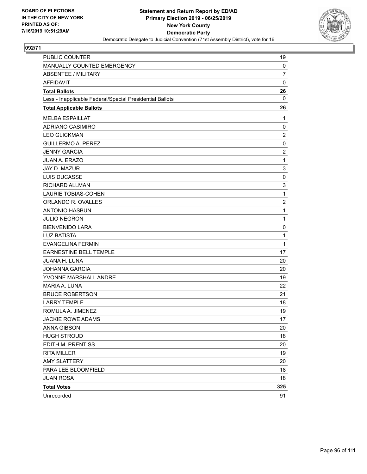

| <b>PUBLIC COUNTER</b>                                    | 19                      |
|----------------------------------------------------------|-------------------------|
| MANUALLY COUNTED EMERGENCY                               | 0                       |
| <b>ABSENTEE / MILITARY</b>                               | $\overline{7}$          |
| <b>AFFIDAVIT</b>                                         | $\mathbf 0$             |
| <b>Total Ballots</b>                                     | 26                      |
| Less - Inapplicable Federal/Special Presidential Ballots | $\mathbf{0}$            |
| <b>Total Applicable Ballots</b>                          | 26                      |
| <b>MELBA ESPAILLAT</b>                                   | 1                       |
| ADRIANO CASIMIRO                                         | 0                       |
| <b>LEO GLICKMAN</b>                                      | $\overline{2}$          |
| <b>GUILLERMO A. PEREZ</b>                                | $\mathbf 0$             |
| <b>JENNY GARCIA</b>                                      | $\overline{\mathbf{c}}$ |
| <b>JUAN A. ERAZO</b>                                     | $\mathbf{1}$            |
| JAY D. MAZUR                                             | 3                       |
| <b>LUIS DUCASSE</b>                                      | 0                       |
| RICHARD ALLMAN                                           | 3                       |
| <b>LAURIE TOBIAS-COHEN</b>                               | 1                       |
| ORLANDO R. OVALLES                                       | $\overline{\mathbf{c}}$ |
| <b>ANTONIO HASBUN</b>                                    | 1                       |
| <b>JULIO NEGRON</b>                                      | 1                       |
| <b>BIENVENIDO LARA</b>                                   | 0                       |
| <b>LUZ BATISTA</b>                                       | 1                       |
| <b>EVANGELINA FERMIN</b>                                 | 1                       |
| EARNESTINE BELL TEMPLE                                   | 17                      |
| JUANA H. LUNA                                            | 20                      |
| <b>JOHANNA GARCIA</b>                                    | 20                      |
| YVONNE MARSHALL ANDRE                                    | 19                      |
| MARIA A. LUNA                                            | 22                      |
| <b>BRUCE ROBERTSON</b>                                   | 21                      |
| <b>LARRY TEMPLE</b>                                      | 18                      |
| ROMULA A. JIMENEZ                                        | 19                      |
| <b>JACKIE ROWE ADAMS</b>                                 | 17                      |
| ANNA GIBSON                                              | 20                      |
| <b>HUGH STROUD</b>                                       | 18                      |
| EDITH M. PRENTISS                                        | 20                      |
| <b>RITA MILLER</b>                                       | 19                      |
| <b>AMY SLATTERY</b>                                      | 20                      |
| PARA LEE BLOOMFIELD                                      | 18                      |
| <b>JUAN ROSA</b>                                         | 18                      |
| <b>Total Votes</b>                                       | 325                     |
| Unrecorded                                               | 91                      |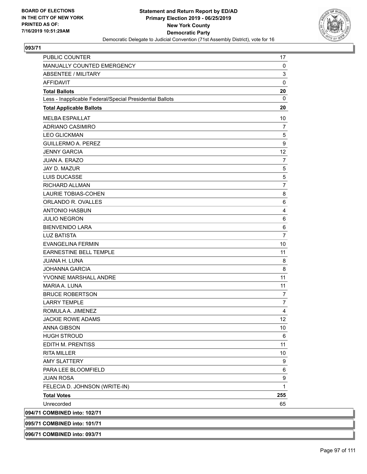

| <b>PUBLIC COUNTER</b>                                    | 17                      |
|----------------------------------------------------------|-------------------------|
| MANUALLY COUNTED EMERGENCY                               | 0                       |
| ABSENTEE / MILITARY                                      | 3                       |
| <b>AFFIDAVIT</b>                                         | $\pmb{0}$               |
| <b>Total Ballots</b>                                     | 20                      |
| Less - Inapplicable Federal/Special Presidential Ballots | 0                       |
| <b>Total Applicable Ballots</b>                          | 20                      |
| <b>MELBA ESPAILLAT</b>                                   | 10                      |
| <b>ADRIANO CASIMIRO</b>                                  | $\overline{7}$          |
| <b>LEO GLICKMAN</b>                                      | 5                       |
| <b>GUILLERMO A. PEREZ</b>                                | 9                       |
| <b>JENNY GARCIA</b>                                      | 12                      |
| <b>JUAN A. ERAZO</b>                                     | $\overline{7}$          |
| JAY D. MAZUR                                             | 5                       |
| <b>LUIS DUCASSE</b>                                      | 5                       |
| <b>RICHARD ALLMAN</b>                                    | $\overline{7}$          |
| <b>LAURIE TOBIAS-COHEN</b>                               | 8                       |
| ORLANDO R. OVALLES                                       | 6                       |
| <b>ANTONIO HASBUN</b>                                    | $\overline{\mathbf{4}}$ |
| <b>JULIO NEGRON</b>                                      | 6                       |
| <b>BIENVENIDO LARA</b>                                   | 6                       |
| <b>LUZ BATISTA</b>                                       | $\overline{7}$          |
| <b>EVANGELINA FERMIN</b>                                 | 10                      |
| EARNESTINE BELL TEMPLE                                   | 11                      |
| <b>JUANA H. LUNA</b>                                     | 8                       |
| <b>JOHANNA GARCIA</b>                                    | 8                       |
| YVONNE MARSHALL ANDRE                                    | 11                      |
| MARIA A. LUNA                                            | 11                      |
| <b>BRUCE ROBERTSON</b>                                   | $\overline{7}$          |
| <b>LARRY TEMPLE</b>                                      | $\overline{7}$          |
| ROMULA A. JIMENEZ                                        | 4                       |
| <b>JACKIE ROWE ADAMS</b>                                 | 12                      |
| <b>ANNA GIBSON</b>                                       | 10                      |
| <b>HUGH STROUD</b>                                       | 6                       |
| EDITH M. PRENTISS                                        | 11                      |
| <b>RITA MILLER</b>                                       | 10                      |
| <b>AMY SLATTERY</b>                                      | 9                       |
| PARA LEE BLOOMFIELD                                      | 6                       |
| <b>JUAN ROSA</b>                                         | 9                       |
| FELECIA D. JOHNSON (WRITE-IN)                            | $\mathbf{1}$            |
| <b>Total Votes</b>                                       | 255                     |
| Unrecorded                                               | 65                      |
| 094/71 COMBINED into: 102/71                             |                         |
| 095/71 COMBINED into: 101/71                             |                         |
|                                                          |                         |

**096/71 COMBINED into: 093/71**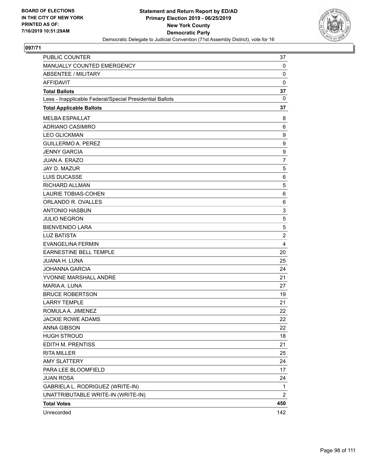

| PUBLIC COUNTER                                           | 37             |
|----------------------------------------------------------|----------------|
| MANUALLY COUNTED EMERGENCY                               | 0              |
| <b>ABSENTEE / MILITARY</b>                               | 0              |
| <b>AFFIDAVIT</b>                                         | 0              |
| <b>Total Ballots</b>                                     | 37             |
| Less - Inapplicable Federal/Special Presidential Ballots | 0              |
| <b>Total Applicable Ballots</b>                          | 37             |
| <b>MELBA ESPAILLAT</b>                                   | 8              |
| <b>ADRIANO CASIMIRO</b>                                  | 6              |
| <b>LEO GLICKMAN</b>                                      | 9              |
| <b>GUILLERMO A. PEREZ</b>                                | 9              |
| <b>JENNY GARCIA</b>                                      | 9              |
| <b>JUAN A. ERAZO</b>                                     | $\overline{7}$ |
| <b>JAY D. MAZUR</b>                                      | 5              |
| LUIS DUCASSE                                             | 6              |
| RICHARD ALLMAN                                           | 5              |
| LAURIE TOBIAS-COHEN                                      | 6              |
| ORLANDO R. OVALLES                                       | 6              |
| <b>ANTONIO HASBUN</b>                                    | 3              |
| <b>JULIO NEGRON</b>                                      | 5              |
| <b>BIENVENIDO LARA</b>                                   | 5              |
| <b>LUZ BATISTA</b>                                       | $\overline{2}$ |
| <b>EVANGELINA FERMIN</b>                                 | 4              |
| EARNESTINE BELL TEMPLE                                   | 20             |
| <b>JUANA H. LUNA</b>                                     | 25             |
| <b>JOHANNA GARCIA</b>                                    | 24             |
| YVONNE MARSHALL ANDRE                                    | 21             |
| MARIA A. LUNA                                            | 27             |
| <b>BRUCE ROBERTSON</b>                                   | 19             |
| <b>LARRY TEMPLE</b>                                      | 21             |
| ROMULA A. JIMENEZ                                        | 22             |
| <b>JACKIE ROWE ADAMS</b>                                 | 22             |
| <b>ANNA GIBSON</b>                                       | 22             |
| <b>HUGH STROUD</b>                                       | 18             |
| EDITH M. PRENTISS                                        | 21             |
| <b>RITA MILLER</b>                                       | 25             |
| <b>AMY SLATTERY</b>                                      | 24             |
| PARA LEE BLOOMFIELD                                      | 17             |
| <b>JUAN ROSA</b>                                         | 24             |
| GABRIELA L. RODRIGUEZ (WRITE-IN)                         | 1              |
| UNATTRIBUTABLE WRITE-IN (WRITE-IN)                       | 2              |
| <b>Total Votes</b>                                       | 450            |
| Unrecorded                                               | 142            |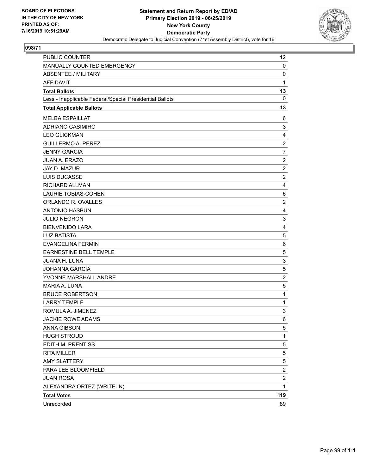

| PUBLIC COUNTER                                           | 12                      |
|----------------------------------------------------------|-------------------------|
| MANUALLY COUNTED EMERGENCY                               | 0                       |
| <b>ABSENTEE / MILITARY</b>                               | $\mathbf 0$             |
| AFFIDAVIT                                                | 1                       |
| <b>Total Ballots</b>                                     | 13                      |
| Less - Inapplicable Federal/Special Presidential Ballots | $\mathbf 0$             |
| <b>Total Applicable Ballots</b>                          | 13                      |
| <b>MELBA ESPAILLAT</b>                                   | 6                       |
| <b>ADRIANO CASIMIRO</b>                                  | 3                       |
| <b>LEO GLICKMAN</b>                                      | 4                       |
| <b>GUILLERMO A. PEREZ</b>                                | $\overline{c}$          |
| <b>JENNY GARCIA</b>                                      | $\overline{7}$          |
| JUAN A. ERAZO                                            | $\overline{c}$          |
| JAY D. MAZUR                                             | $\overline{c}$          |
| LUIS DUCASSE                                             | $\overline{2}$          |
| RICHARD ALLMAN                                           | $\overline{4}$          |
| <b>LAURIE TOBIAS-COHEN</b>                               | 6                       |
| ORLANDO R. OVALLES                                       | $\overline{2}$          |
| <b>ANTONIO HASBUN</b>                                    | $\overline{4}$          |
| <b>JULIO NEGRON</b>                                      | 3                       |
| <b>BIENVENIDO LARA</b>                                   | $\overline{4}$          |
| <b>LUZ BATISTA</b>                                       | 5                       |
| <b>EVANGELINA FERMIN</b>                                 | 6                       |
| <b>EARNESTINE BELL TEMPLE</b>                            | 5                       |
| JUANA H. LUNA                                            | 3                       |
| <b>JOHANNA GARCIA</b>                                    | 5                       |
| YVONNE MARSHALL ANDRE                                    | $\overline{2}$          |
| MARIA A. LUNA                                            | 5                       |
| <b>BRUCE ROBERTSON</b>                                   | 1                       |
| <b>LARRY TEMPLE</b>                                      | 1                       |
| ROMULA A. JIMENEZ                                        | 3                       |
| <b>JACKIE ROWE ADAMS</b>                                 | 6                       |
| ANNA GIBSON                                              | 5                       |
| <b>HUGH STROUD</b>                                       | $\mathbf{1}$            |
| EDITH M. PRENTISS                                        | 5                       |
| <b>RITA MILLER</b>                                       | 5                       |
| <b>AMY SLATTERY</b>                                      | 5                       |
| PARA LEE BLOOMFIELD                                      | $\overline{\mathbf{c}}$ |
| <b>JUAN ROSA</b>                                         | $\overline{c}$          |
| ALEXANDRA ORTEZ (WRITE-IN)                               | $\mathbf{1}$            |
| <b>Total Votes</b>                                       | 119                     |
| Unrecorded                                               | 89                      |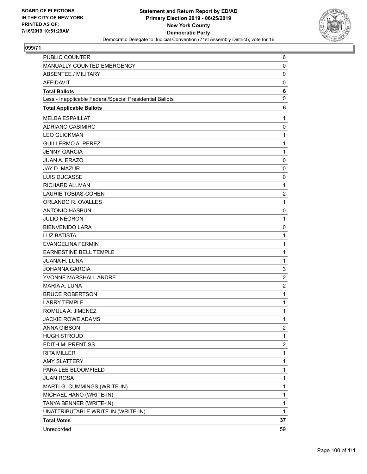

| PUBLIC COUNTER                                           | 6              |
|----------------------------------------------------------|----------------|
| <b>MANUALLY COUNTED EMERGENCY</b>                        | 0              |
| <b>ABSENTEE / MILITARY</b>                               | $\mathbf 0$    |
| AFFIDAVIT                                                | 0              |
| <b>Total Ballots</b>                                     | 6              |
| Less - Inapplicable Federal/Special Presidential Ballots | 0              |
| <b>Total Applicable Ballots</b>                          | 6              |
| <b>MELBA ESPAILLAT</b>                                   | 1              |
| ADRIANO CASIMIRO                                         | 0              |
| <b>LEO GLICKMAN</b>                                      | 1              |
| <b>GUILLERMO A. PEREZ</b>                                | 1              |
| <b>JENNY GARCIA</b>                                      | 1              |
| <b>JUAN A. ERAZO</b>                                     | $\mathbf 0$    |
| JAY D. MAZUR                                             | 0              |
| LUIS DUCASSE                                             | 0              |
| RICHARD ALLMAN                                           | 1              |
| <b>LAURIE TOBIAS-COHEN</b>                               | 2              |
| ORLANDO R. OVALLES                                       | 1              |
| <b>ANTONIO HASBUN</b>                                    | 0              |
| <b>JULIO NEGRON</b>                                      | 1              |
| <b>BIENVENIDO LARA</b>                                   | 0              |
| <b>LUZ BATISTA</b>                                       | 1              |
| <b>EVANGELINA FERMIN</b>                                 | 1              |
| <b>EARNESTINE BELL TEMPLE</b>                            | 1              |
| JUANA H. LUNA                                            | 1              |
| <b>JOHANNA GARCIA</b>                                    | 3              |
| YVONNE MARSHALL ANDRE                                    | $\overline{2}$ |
| MARIA A. LUNA                                            | $\overline{c}$ |
| <b>BRUCE ROBERTSON</b>                                   | 1              |
| <b>LARRY TEMPLE</b>                                      | 1              |
| ROMULA A. JIMENEZ                                        | 1              |
| <b>JACKIE ROWE ADAMS</b>                                 | 1              |
| <b>ANNA GIBSON</b>                                       | $\overline{2}$ |
| <b>HUGH STROUD</b>                                       | 1              |
| EDITH M. PRENTISS                                        | 2              |
| <b>RITA MILLER</b>                                       | 1              |
| <b>AMY SLATTERY</b>                                      | 1              |
| PARA LEE BLOOMFIELD                                      | 1              |
| <b>JUAN ROSA</b>                                         | 1              |
| MARTI G. CUMMINGS (WRITE-IN)                             | 1              |
| MICHAEL HANO (WRITE-IN)                                  | 1              |
| TANYA BENNER (WRITE-IN)                                  | 1              |
| UNATTRIBUTABLE WRITE-IN (WRITE-IN)                       | $\mathbf{1}$   |
| <b>Total Votes</b>                                       | 37             |
| Unrecorded                                               | 59             |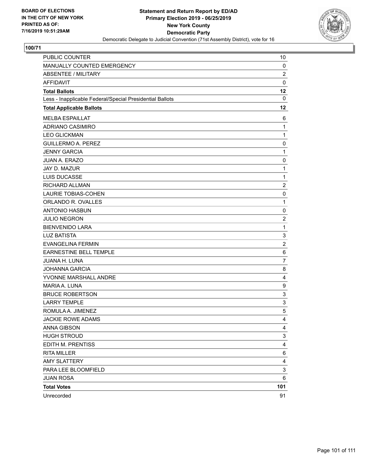

| PUBLIC COUNTER                                           | 10                      |
|----------------------------------------------------------|-------------------------|
| MANUALLY COUNTED EMERGENCY                               | 0                       |
| <b>ABSENTEE / MILITARY</b>                               | $\overline{\mathbf{c}}$ |
| <b>AFFIDAVIT</b>                                         | 0                       |
| <b>Total Ballots</b>                                     | 12                      |
| Less - Inapplicable Federal/Special Presidential Ballots | 0                       |
| <b>Total Applicable Ballots</b>                          | 12                      |
| <b>MELBA ESPAILLAT</b>                                   | 6                       |
| <b>ADRIANO CASIMIRO</b>                                  | $\mathbf{1}$            |
| <b>LEO GLICKMAN</b>                                      | 1                       |
| <b>GUILLERMO A. PEREZ</b>                                | 0                       |
| <b>JENNY GARCIA</b>                                      | $\mathbf{1}$            |
| JUAN A. ERAZO                                            | 0                       |
| <b>JAY D. MAZUR</b>                                      | $\mathbf 1$             |
| <b>LUIS DUCASSE</b>                                      | $\mathbf{1}$            |
| <b>RICHARD ALLMAN</b>                                    | $\overline{\mathbf{c}}$ |
| <b>LAURIE TOBIAS-COHEN</b>                               | 0                       |
| ORLANDO R. OVALLES                                       | $\mathbf{1}$            |
| <b>ANTONIO HASBUN</b>                                    | 0                       |
| <b>JULIO NEGRON</b>                                      | $\overline{2}$          |
| <b>BIENVENIDO LARA</b>                                   | $\mathbf{1}$            |
| <b>LUZ BATISTA</b>                                       | 3                       |
| <b>EVANGELINA FERMIN</b>                                 | $\overline{c}$          |
| EARNESTINE BELL TEMPLE                                   | 6                       |
| JUANA H. LUNA                                            | 7                       |
| <b>JOHANNA GARCIA</b>                                    | 8                       |
| YVONNE MARSHALL ANDRE                                    | 4                       |
| MARIA A. LUNA                                            | 9                       |
| <b>BRUCE ROBERTSON</b>                                   | 3                       |
| <b>LARRY TEMPLE</b>                                      | 3                       |
| ROMULA A. JIMENEZ                                        | 5                       |
| JACKIE ROWE ADAMS                                        | $\overline{4}$          |
| <b>ANNA GIBSON</b>                                       | 4                       |
| <b>HUGH STROUD</b>                                       | 3                       |
| EDITH M. PRENTISS                                        | 4                       |
| <b>RITA MILLER</b>                                       | 6                       |
| <b>AMY SLATTERY</b>                                      | 4                       |
| PARA LEE BLOOMFIELD                                      | 3                       |
| <b>JUAN ROSA</b>                                         | 6                       |
| <b>Total Votes</b>                                       | 101                     |
| Unrecorded                                               | 91                      |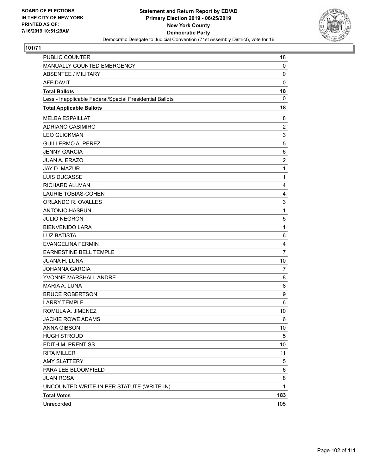

| PUBLIC COUNTER                                           | 18             |
|----------------------------------------------------------|----------------|
| MANUALLY COUNTED EMERGENCY                               | 0              |
| <b>ABSENTEE / MILITARY</b>                               | 0              |
| <b>AFFIDAVIT</b>                                         | $\mathbf 0$    |
| <b>Total Ballots</b>                                     | 18             |
| Less - Inapplicable Federal/Special Presidential Ballots | $\mathbf{0}$   |
| <b>Total Applicable Ballots</b>                          | 18             |
| <b>MELBA ESPAILLAT</b>                                   | 8              |
| ADRIANO CASIMIRO                                         | $\overline{2}$ |
| <b>LEO GLICKMAN</b>                                      | 3              |
| <b>GUILLERMO A. PEREZ</b>                                | 5              |
| <b>JENNY GARCIA</b>                                      | 6              |
| <b>JUAN A. ERAZO</b>                                     | $\overline{c}$ |
| <b>JAY D. MAZUR</b>                                      | 1              |
| LUIS DUCASSE                                             | 1              |
| RICHARD ALLMAN                                           | 4              |
| <b>LAURIE TOBIAS-COHEN</b>                               | 4              |
| ORLANDO R. OVALLES                                       | 3              |
| <b>ANTONIO HASBUN</b>                                    | $\mathbf 1$    |
| <b>JULIO NEGRON</b>                                      | 5              |
| <b>BIENVENIDO LARA</b>                                   | $\mathbf 1$    |
| <b>LUZ BATISTA</b>                                       | 6              |
| <b>EVANGELINA FERMIN</b>                                 | 4              |
| EARNESTINE BELL TEMPLE                                   | $\overline{7}$ |
| <b>JUANA H. LUNA</b>                                     | 10             |
| <b>JOHANNA GARCIA</b>                                    | 7              |
| YVONNE MARSHALL ANDRE                                    | 8              |
| MARIA A. LUNA                                            | 8              |
| <b>BRUCE ROBERTSON</b>                                   | 9              |
| <b>LARRY TEMPLE</b>                                      | 6              |
| ROMULA A. JIMENEZ                                        | 10             |
| <b>JACKIE ROWE ADAMS</b>                                 | 6              |
| <b>ANNA GIBSON</b>                                       | 10             |
| <b>HUGH STROUD</b>                                       | 5              |
| EDITH M. PRENTISS                                        | 10             |
| <b>RITA MILLER</b>                                       | 11             |
| <b>AMY SLATTERY</b>                                      | 5              |
| PARA LEE BLOOMFIELD                                      | 6              |
| <b>JUAN ROSA</b>                                         | 8              |
| UNCOUNTED WRITE-IN PER STATUTE (WRITE-IN)                | $\mathbf{1}$   |
| <b>Total Votes</b>                                       | 183            |
| Unrecorded                                               | 105            |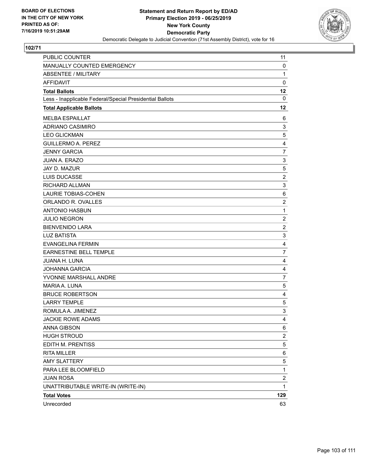

| PUBLIC COUNTER                                           | 11                      |
|----------------------------------------------------------|-------------------------|
| MANUALLY COUNTED EMERGENCY                               | 0                       |
| <b>ABSENTEE / MILITARY</b>                               | $\mathbf{1}$            |
| <b>AFFIDAVIT</b>                                         | $\mathbf 0$             |
| <b>Total Ballots</b>                                     | 12                      |
| Less - Inapplicable Federal/Special Presidential Ballots | $\mathbf 0$             |
| <b>Total Applicable Ballots</b>                          | 12                      |
| <b>MELBA ESPAILLAT</b>                                   | 6                       |
| <b>ADRIANO CASIMIRO</b>                                  | 3                       |
| <b>LEO GLICKMAN</b>                                      | 5                       |
| <b>GUILLERMO A. PEREZ</b>                                | 4                       |
| <b>JENNY GARCIA</b>                                      | 7                       |
| <b>JUAN A. ERAZO</b>                                     | 3                       |
| JAY D. MAZUR                                             | 5                       |
| <b>LUIS DUCASSE</b>                                      | $\overline{c}$          |
| RICHARD ALLMAN                                           | 3                       |
| <b>LAURIE TOBIAS-COHEN</b>                               | 6                       |
| ORLANDO R. OVALLES                                       | $\overline{\mathbf{c}}$ |
| <b>ANTONIO HASBUN</b>                                    | $\mathbf{1}$            |
| <b>JULIO NEGRON</b>                                      | $\overline{2}$          |
| <b>BIENVENIDO LARA</b>                                   | $\overline{c}$          |
| <b>LUZ BATISTA</b>                                       | 3                       |
| <b>EVANGELINA FERMIN</b>                                 | 4                       |
| <b>EARNESTINE BELL TEMPLE</b>                            | 7                       |
| JUANA H. LUNA                                            | 4                       |
| <b>JOHANNA GARCIA</b>                                    | 4                       |
| YVONNE MARSHALL ANDRE                                    | 7                       |
| MARIA A. LUNA                                            | 5                       |
| <b>BRUCE ROBERTSON</b>                                   | 4                       |
| <b>LARRY TEMPLE</b>                                      | $\,$ 5 $\,$             |
| ROMULA A. JIMENEZ                                        | 3                       |
| <b>JACKIE ROWE ADAMS</b>                                 | 4                       |
| ANNA GIBSON                                              | 6                       |
| <b>HUGH STROUD</b>                                       | $\overline{c}$          |
| EDITH M. PRENTISS                                        | 5                       |
| <b>RITA MILLER</b>                                       | 6                       |
| <b>AMY SLATTERY</b>                                      | 5                       |
| PARA LEE BLOOMFIELD                                      | $\mathbf 1$             |
| <b>JUAN ROSA</b>                                         | $\overline{\mathbf{c}}$ |
| UNATTRIBUTABLE WRITE-IN (WRITE-IN)                       | $\mathbf{1}$            |
| <b>Total Votes</b>                                       | 129                     |
| Unrecorded                                               | 63                      |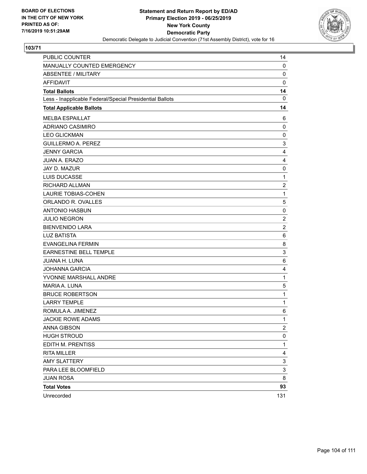

| PUBLIC COUNTER                                           | 14                        |
|----------------------------------------------------------|---------------------------|
| MANUALLY COUNTED EMERGENCY                               | 0                         |
| <b>ABSENTEE / MILITARY</b>                               | 0                         |
| <b>AFFIDAVIT</b>                                         | $\mathbf 0$               |
| <b>Total Ballots</b>                                     | 14                        |
| Less - Inapplicable Federal/Special Presidential Ballots | $\mathbf{0}$              |
| <b>Total Applicable Ballots</b>                          | 14                        |
| <b>MELBA ESPAILLAT</b>                                   | 6                         |
| ADRIANO CASIMIRO                                         | 0                         |
| <b>LEO GLICKMAN</b>                                      | $\mathbf 0$               |
| <b>GUILLERMO A. PEREZ</b>                                | 3                         |
| <b>JENNY GARCIA</b>                                      | 4                         |
| JUAN A. ERAZO                                            | 4                         |
| JAY D. MAZUR                                             | 0                         |
| <b>LUIS DUCASSE</b>                                      | $\mathbf 1$               |
| RICHARD ALLMAN                                           | $\overline{c}$            |
| LAURIE TOBIAS-COHEN                                      | $\mathbf{1}$              |
| ORLANDO R. OVALLES                                       | 5                         |
| <b>ANTONIO HASBUN</b>                                    | 0                         |
| <b>JULIO NEGRON</b>                                      | $\overline{c}$            |
| <b>BIENVENIDO LARA</b>                                   | $\overline{2}$            |
| <b>LUZ BATISTA</b>                                       | 6                         |
| <b>EVANGELINA FERMIN</b>                                 | 8                         |
| EARNESTINE BELL TEMPLE                                   | 3                         |
| <b>JUANA H. LUNA</b>                                     | 6                         |
| <b>JOHANNA GARCIA</b>                                    | 4                         |
| YVONNE MARSHALL ANDRE                                    | $\mathbf 1$               |
| MARIA A. LUNA                                            | 5                         |
| <b>BRUCE ROBERTSON</b>                                   | 1                         |
| <b>LARRY TEMPLE</b>                                      | $\mathbf 1$               |
| ROMULA A. JIMENEZ                                        | 6                         |
| <b>JACKIE ROWE ADAMS</b>                                 | 1                         |
| <b>ANNA GIBSON</b>                                       | $\overline{c}$            |
| <b>HUGH STROUD</b>                                       | $\pmb{0}$                 |
| EDITH M. PRENTISS                                        | $\mathbf 1$               |
| <b>RITA MILLER</b>                                       | 4                         |
| <b>AMY SLATTERY</b>                                      | $\ensuremath{\mathsf{3}}$ |
| PARA LEE BLOOMFIELD                                      | 3                         |
| <b>JUAN ROSA</b>                                         | 8                         |
| <b>Total Votes</b>                                       | 93                        |
| Unrecorded                                               | 131                       |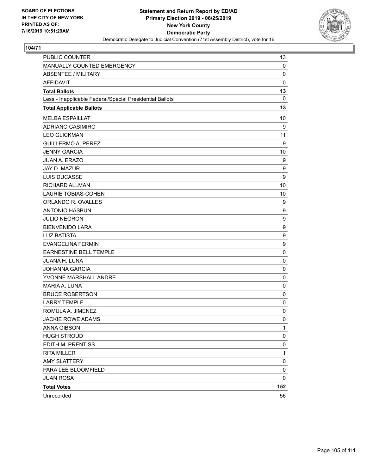

| PUBLIC COUNTER                                           | 13           |
|----------------------------------------------------------|--------------|
| MANUALLY COUNTED EMERGENCY                               | 0            |
| <b>ABSENTEE / MILITARY</b>                               | 0            |
| <b>AFFIDAVIT</b>                                         | $\mathbf 0$  |
| <b>Total Ballots</b>                                     | 13           |
| Less - Inapplicable Federal/Special Presidential Ballots | 0            |
| <b>Total Applicable Ballots</b>                          | 13           |
| <b>MELBA ESPAILLAT</b>                                   | 10           |
| ADRIANO CASIMIRO                                         | 9            |
| <b>LEO GLICKMAN</b>                                      | 11           |
| <b>GUILLERMO A. PEREZ</b>                                | 9            |
| <b>JENNY GARCIA</b>                                      | 10           |
| <b>JUAN A. ERAZO</b>                                     | 9            |
| JAY D. MAZUR                                             | 9            |
| LUIS DUCASSE                                             | 9            |
| RICHARD ALLMAN                                           | 10           |
| LAURIE TOBIAS-COHEN                                      | 10           |
| ORLANDO R. OVALLES                                       | 9            |
| <b>ANTONIO HASBUN</b>                                    | 9            |
| <b>JULIO NEGRON</b>                                      | 9            |
| <b>BIENVENIDO LARA</b>                                   | 9            |
| <b>LUZ BATISTA</b>                                       | 9            |
| <b>EVANGELINA FERMIN</b>                                 | 9            |
| EARNESTINE BELL TEMPLE                                   | 0            |
| <b>JUANA H. LUNA</b>                                     | $\mathbf 0$  |
| <b>JOHANNA GARCIA</b>                                    | 0            |
| YVONNE MARSHALL ANDRE                                    | 0            |
| <b>MARIA A. LUNA</b>                                     | $\mathbf 0$  |
| <b>BRUCE ROBERTSON</b>                                   | 0            |
| <b>LARRY TEMPLE</b>                                      | 0            |
| ROMULA A. JIMENEZ                                        | 0            |
| <b>JACKIE ROWE ADAMS</b>                                 | $\mathbf 0$  |
| <b>ANNA GIBSON</b>                                       | 1            |
| <b>HUGH STROUD</b>                                       | 0            |
| EDITH M. PRENTISS                                        | 0            |
| <b>RITA MILLER</b>                                       | $\mathbf{1}$ |
| <b>AMY SLATTERY</b>                                      | 0            |
| PARA LEE BLOOMFIELD                                      | 0            |
| <b>JUAN ROSA</b>                                         | 0            |
| <b>Total Votes</b>                                       | 152          |
| Unrecorded                                               | 56           |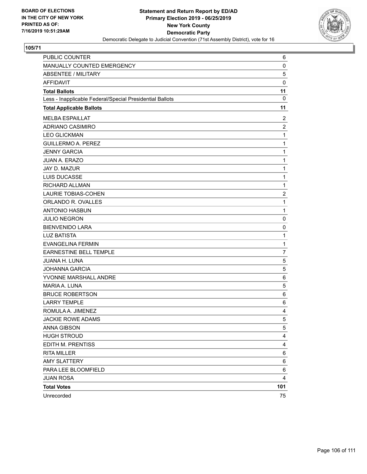

| PUBLIC COUNTER                                           | 6                       |
|----------------------------------------------------------|-------------------------|
| MANUALLY COUNTED EMERGENCY                               | 0                       |
| <b>ABSENTEE / MILITARY</b>                               | 5                       |
| <b>AFFIDAVIT</b>                                         | $\mathbf 0$             |
| <b>Total Ballots</b>                                     | 11                      |
| Less - Inapplicable Federal/Special Presidential Ballots | 0                       |
| <b>Total Applicable Ballots</b>                          | 11                      |
| <b>MELBA ESPAILLAT</b>                                   | 2                       |
| <b>ADRIANO CASIMIRO</b>                                  | $\overline{2}$          |
| <b>LEO GLICKMAN</b>                                      | $\mathbf{1}$            |
| <b>GUILLERMO A. PEREZ</b>                                | $\mathbf{1}$            |
| <b>JENNY GARCIA</b>                                      | $\mathbf 1$             |
| <b>JUAN A. ERAZO</b>                                     | $\mathbf{1}$            |
| JAY D. MAZUR                                             | $\mathbf 1$             |
| <b>LUIS DUCASSE</b>                                      | $\mathbf 1$             |
| RICHARD ALLMAN                                           | $\mathbf{1}$            |
| LAURIE TOBIAS-COHEN                                      | $\overline{\mathbf{c}}$ |
| ORLANDO R. OVALLES                                       | $\mathbf{1}$            |
| <b>ANTONIO HASBUN</b>                                    | $\mathbf{1}$            |
| <b>JULIO NEGRON</b>                                      | 0                       |
| <b>BIENVENIDO LARA</b>                                   | 0                       |
| <b>LUZ BATISTA</b>                                       | $\mathbf{1}$            |
| <b>EVANGELINA FERMIN</b>                                 | $\mathbf{1}$            |
| <b>EARNESTINE BELL TEMPLE</b>                            | $\overline{7}$          |
| <b>JUANA H. LUNA</b>                                     | $\mathbf 5$             |
| <b>JOHANNA GARCIA</b>                                    | 5                       |
| YVONNE MARSHALL ANDRE                                    | 6                       |
| MARIA A. LUNA                                            | 5                       |
| <b>BRUCE ROBERTSON</b>                                   | $\,6$                   |
| <b>LARRY TEMPLE</b>                                      | 6                       |
| ROMULA A. JIMENEZ                                        | 4                       |
| <b>JACKIE ROWE ADAMS</b>                                 | 5                       |
| <b>ANNA GIBSON</b>                                       | 5                       |
| <b>HUGH STROUD</b>                                       | 4                       |
| EDITH M. PRENTISS                                        | 4                       |
| <b>RITA MILLER</b>                                       | 6                       |
| <b>AMY SLATTERY</b>                                      | 6                       |
| PARA LEE BLOOMFIELD                                      | 6                       |
| <b>JUAN ROSA</b>                                         | 4                       |
| <b>Total Votes</b>                                       | 101                     |
| Unrecorded                                               | 75                      |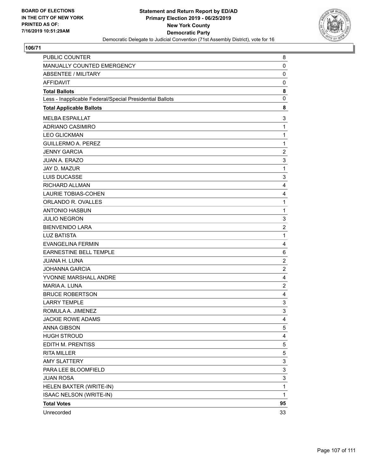

| PUBLIC COUNTER                                           | 8                         |
|----------------------------------------------------------|---------------------------|
| MANUALLY COUNTED EMERGENCY                               | 0                         |
| <b>ABSENTEE / MILITARY</b>                               | $\mathbf 0$               |
| <b>AFFIDAVIT</b>                                         | 0                         |
| <b>Total Ballots</b>                                     | 8                         |
| Less - Inapplicable Federal/Special Presidential Ballots | 0                         |
| <b>Total Applicable Ballots</b>                          | 8                         |
| <b>MELBA ESPAILLAT</b>                                   | 3                         |
| ADRIANO CASIMIRO                                         | $\mathbf{1}$              |
| <b>LEO GLICKMAN</b>                                      | $\mathbf 1$               |
| <b>GUILLERMO A. PEREZ</b>                                | $\mathbf{1}$              |
| <b>JENNY GARCIA</b>                                      | $\overline{c}$            |
| JUAN A. ERAZO                                            | $\ensuremath{\mathsf{3}}$ |
| JAY D. MAZUR                                             | $\mathbf{1}$              |
| LUIS DUCASSE                                             | 3                         |
| RICHARD ALLMAN                                           | 4                         |
| <b>LAURIE TOBIAS-COHEN</b>                               | 4                         |
| ORLANDO R. OVALLES                                       | $\mathbf 1$               |
| <b>ANTONIO HASBUN</b>                                    | $\mathbf 1$               |
| <b>JULIO NEGRON</b>                                      | 3                         |
| <b>BIENVENIDO LARA</b>                                   | $\overline{c}$            |
| <b>LUZ BATISTA</b>                                       | $\mathbf{1}$              |
| <b>EVANGELINA FERMIN</b>                                 | 4                         |
| EARNESTINE BELL TEMPLE                                   | 6                         |
| <b>JUANA H. LUNA</b>                                     | $\overline{c}$            |
| <b>JOHANNA GARCIA</b>                                    | $\overline{c}$            |
| YVONNE MARSHALL ANDRE                                    | 4                         |
| MARIA A. LUNA                                            | $\boldsymbol{2}$          |
| <b>BRUCE ROBERTSON</b>                                   | 4                         |
| <b>LARRY TEMPLE</b>                                      | 3                         |
| ROMULA A. JIMENEZ                                        | 3                         |
| <b>JACKIE ROWE ADAMS</b>                                 | 4                         |
| ANNA GIBSON                                              | 5                         |
| <b>HUGH STROUD</b>                                       | 4                         |
| EDITH M. PRENTISS                                        | 5                         |
| <b>RITA MILLER</b>                                       | 5                         |
| <b>AMY SLATTERY</b>                                      | 3                         |
| PARA LEE BLOOMFIELD                                      | 3                         |
| <b>JUAN ROSA</b>                                         | 3                         |
| HELEN BAXTER (WRITE-IN)                                  | 1                         |
| <b>ISAAC NELSON (WRITE-IN)</b>                           | $\mathbf 1$               |
| <b>Total Votes</b>                                       | 95                        |
| Unrecorded                                               | 33                        |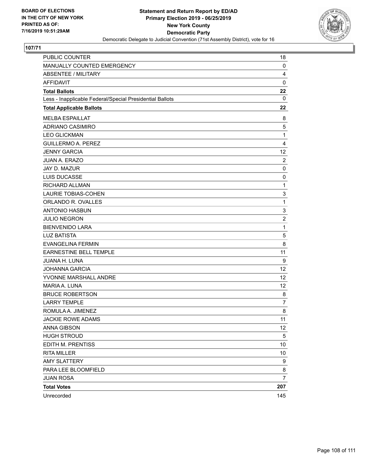

| PUBLIC COUNTER                                           | 18                |
|----------------------------------------------------------|-------------------|
| MANUALLY COUNTED EMERGENCY                               | 0                 |
| <b>ABSENTEE / MILITARY</b>                               | 4                 |
| <b>AFFIDAVIT</b>                                         | $\pmb{0}$         |
| <b>Total Ballots</b>                                     | 22                |
| Less - Inapplicable Federal/Special Presidential Ballots | $\mathbf{0}$      |
| <b>Total Applicable Ballots</b>                          | 22                |
| <b>MELBA ESPAILLAT</b>                                   | 8                 |
| ADRIANO CASIMIRO                                         | 5                 |
| <b>LEO GLICKMAN</b>                                      | 1                 |
| <b>GUILLERMO A. PEREZ</b>                                | 4                 |
| <b>JENNY GARCIA</b>                                      | 12 <sub>2</sub>   |
| JUAN A. ERAZO                                            | $\overline{2}$    |
| JAY D. MAZUR                                             | $\mathbf 0$       |
| LUIS DUCASSE                                             | 0                 |
| RICHARD ALLMAN                                           | $\mathbf{1}$      |
| <b>LAURIE TOBIAS-COHEN</b>                               | 3                 |
| ORLANDO R. OVALLES                                       | $\mathbf 1$       |
| <b>ANTONIO HASBUN</b>                                    | 3                 |
| <b>JULIO NEGRON</b>                                      | $\boldsymbol{2}$  |
| <b>BIENVENIDO LARA</b>                                   | $\mathbf 1$       |
| <b>LUZ BATISTA</b>                                       | 5                 |
| <b>EVANGELINA FERMIN</b>                                 | 8                 |
| EARNESTINE BELL TEMPLE                                   | 11                |
| <b>JUANA H. LUNA</b>                                     | 9                 |
| <b>JOHANNA GARCIA</b>                                    | 12                |
| YVONNE MARSHALL ANDRE                                    | 12                |
| MARIA A. LUNA                                            | 12                |
| <b>BRUCE ROBERTSON</b>                                   | 8                 |
| <b>LARRY TEMPLE</b>                                      | 7                 |
| ROMULA A. JIMENEZ                                        | 8                 |
| <b>JACKIE ROWE ADAMS</b>                                 | 11                |
| <b>ANNA GIBSON</b>                                       | $12 \overline{ }$ |
| <b>HUGH STROUD</b>                                       | $\sqrt{5}$        |
| EDITH M. PRENTISS                                        | 10                |
| <b>RITA MILLER</b>                                       | 10                |
| <b>AMY SLATTERY</b>                                      | 9                 |
| PARA LEE BLOOMFIELD                                      | 8                 |
| <b>JUAN ROSA</b>                                         | $\overline{7}$    |
| <b>Total Votes</b>                                       | 207               |
| Unrecorded                                               | 145               |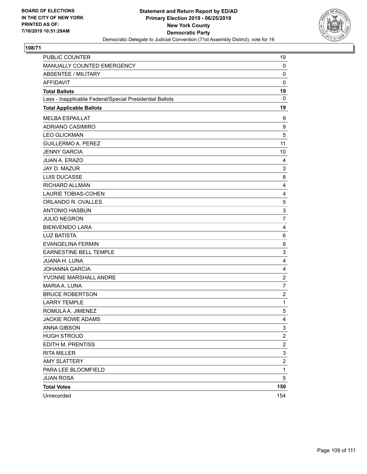

## **108/71**

| PUBLIC COUNTER                                           | 19                        |
|----------------------------------------------------------|---------------------------|
| MANUALLY COUNTED EMERGENCY                               | 0                         |
| <b>ABSENTEE / MILITARY</b>                               | 0                         |
| <b>AFFIDAVIT</b>                                         | $\mathbf 0$               |
| <b>Total Ballots</b>                                     | 19                        |
| Less - Inapplicable Federal/Special Presidential Ballots | $\mathbf{0}$              |
| <b>Total Applicable Ballots</b>                          | 19                        |
| <b>MELBA ESPAILLAT</b>                                   | 9                         |
| <b>ADRIANO CASIMIRO</b>                                  | 9                         |
| <b>LEO GLICKMAN</b>                                      | 5                         |
| <b>GUILLERMO A. PEREZ</b>                                | 11                        |
| <b>JENNY GARCIA</b>                                      | 10                        |
| JUAN A. ERAZO                                            | 4                         |
| JAY D. MAZUR                                             | 3                         |
| LUIS DUCASSE                                             | 8                         |
| RICHARD ALLMAN                                           | 4                         |
| <b>LAURIE TOBIAS-COHEN</b>                               | 4                         |
| ORLANDO R. OVALLES                                       | $\,$ 5 $\,$               |
| <b>ANTONIO HASBUN</b>                                    | $\ensuremath{\mathsf{3}}$ |
| <b>JULIO NEGRON</b>                                      | $\overline{7}$            |
| <b>BIENVENIDO LARA</b>                                   | 4                         |
| <b>LUZ BATISTA</b>                                       | 6                         |
| <b>EVANGELINA FERMIN</b>                                 | 8                         |
| EARNESTINE BELL TEMPLE                                   | 3                         |
| <b>JUANA H. LUNA</b>                                     | 4                         |
| <b>JOHANNA GARCIA</b>                                    | 4                         |
| YVONNE MARSHALL ANDRE                                    | $\overline{c}$            |
| MARIA A. LUNA                                            | $\overline{7}$            |
| <b>BRUCE ROBERTSON</b>                                   | $\overline{\mathbf{c}}$   |
| <b>LARRY TEMPLE</b>                                      | $\mathbf 1$               |
| ROMULA A. JIMENEZ                                        | 5                         |
| <b>JACKIE ROWE ADAMS</b>                                 | 4                         |
| <b>ANNA GIBSON</b>                                       | 3                         |
| <b>HUGH STROUD</b>                                       | $\boldsymbol{2}$          |
| EDITH M. PRENTISS                                        | $\overline{\mathbf{c}}$   |
| <b>RITA MILLER</b>                                       | $\ensuremath{\mathsf{3}}$ |
| <b>AMY SLATTERY</b>                                      | $\sqrt{2}$                |
| PARA LEE BLOOMFIELD                                      | $\mathbf{1}$              |
| <b>JUAN ROSA</b>                                         | 5                         |
| <b>Total Votes</b>                                       | 150                       |
| Unrecorded                                               | 154                       |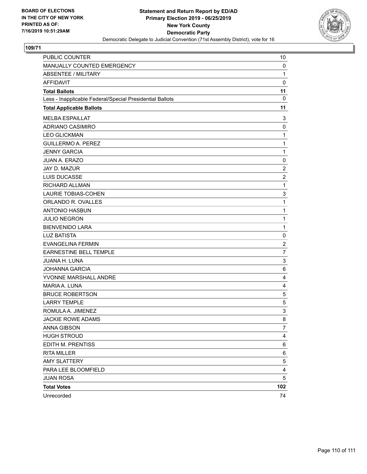

## **109/71**

| PUBLIC COUNTER                                           | 10             |
|----------------------------------------------------------|----------------|
| MANUALLY COUNTED EMERGENCY                               | 0              |
| <b>ABSENTEE / MILITARY</b>                               | $\mathbf{1}$   |
| <b>AFFIDAVIT</b>                                         | $\mathbf 0$    |
| <b>Total Ballots</b>                                     | 11             |
| Less - Inapplicable Federal/Special Presidential Ballots | 0              |
| <b>Total Applicable Ballots</b>                          | 11             |
| <b>MELBA ESPAILLAT</b>                                   | 3              |
| <b>ADRIANO CASIMIRO</b>                                  | 0              |
| <b>LEO GLICKMAN</b>                                      | $\mathbf{1}$   |
| <b>GUILLERMO A. PEREZ</b>                                | $\mathbf{1}$   |
| <b>JENNY GARCIA</b>                                      | $\mathbf{1}$   |
| JUAN A. ERAZO                                            | 0              |
| <b>JAY D. MAZUR</b>                                      | $\overline{c}$ |
| <b>LUIS DUCASSE</b>                                      | $\overline{c}$ |
| <b>RICHARD ALLMAN</b>                                    | $\mathbf{1}$   |
| LAURIE TOBIAS-COHEN                                      | 3              |
| ORLANDO R. OVALLES                                       | $\mathbf{1}$   |
| <b>ANTONIO HASBUN</b>                                    | $\mathbf{1}$   |
| <b>JULIO NEGRON</b>                                      | $\mathbf{1}$   |
| <b>BIENVENIDO LARA</b>                                   | $\mathbf{1}$   |
| <b>LUZ BATISTA</b>                                       | 0              |
| <b>EVANGELINA FERMIN</b>                                 | $\overline{c}$ |
| EARNESTINE BELL TEMPLE                                   | $\overline{7}$ |
| JUANA H. LUNA                                            | 3              |
| <b>JOHANNA GARCIA</b>                                    | 6              |
| YVONNE MARSHALL ANDRE                                    | 4              |
| MARIA A. LUNA                                            | 4              |
| <b>BRUCE ROBERTSON</b>                                   | 5              |
| <b>LARRY TEMPLE</b>                                      | 5              |
| ROMULA A. JIMENEZ                                        | 3              |
| JACKIE ROWE ADAMS                                        | 8              |
| <b>ANNA GIBSON</b>                                       | 7              |
| <b>HUGH STROUD</b>                                       | 4              |
| EDITH M. PRENTISS                                        | 6              |
| <b>RITA MILLER</b>                                       | 6              |
| <b>AMY SLATTERY</b>                                      | 5              |
| PARA LEE BLOOMFIELD                                      | 4              |
| <b>JUAN ROSA</b>                                         | 5              |
| <b>Total Votes</b>                                       | 102            |
| Unrecorded                                               | 74             |